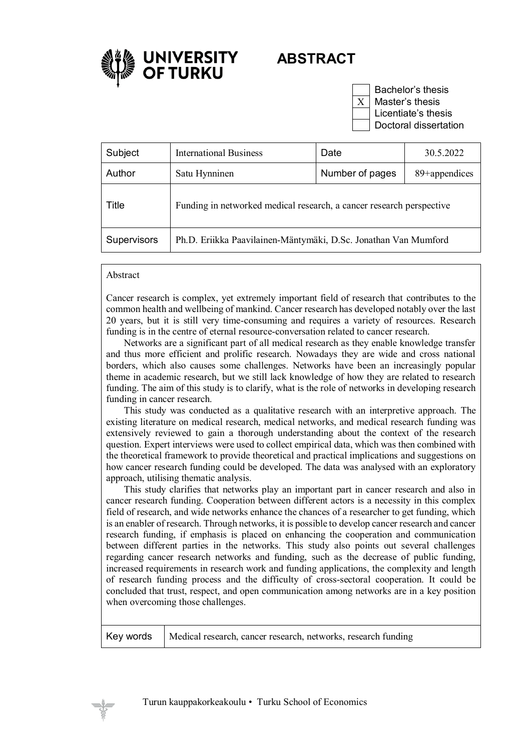

# **ABSTRACT**

Bachelor's thesis Master's thesis Licentiate's thesis Doctoral dissertation

| Subject     | <b>International Business</b>                                        | Date            | 30.5.2022     |
|-------------|----------------------------------------------------------------------|-----------------|---------------|
| Author      | Satu Hynninen                                                        | Number of pages | 89+appendices |
| Title       | Funding in networked medical research, a cancer research perspective |                 |               |
| Supervisors | Ph.D. Eriikka Paavilainen-Mäntymäki, D.Sc. Jonathan Van Mumford      |                 |               |

#### Abstract

Cancer research is complex, yet extremely important field of research that contributes to the common health and wellbeing of mankind. Cancer research has developed notably over the last 20 years, but it is still very time-consuming and requires a variety of resources. Research funding is in the centre of eternal resource-conversation related to cancer research.

Networks are a significant part of all medical research as they enable knowledge transfer and thus more efficient and prolific research. Nowadays they are wide and cross national borders, which also causes some challenges. Networks have been an increasingly popular theme in academic research, but we still lack knowledge of how they are related to research funding. The aim of this study is to clarify, what is the role of networks in developing research funding in cancer research.

This study was conducted as a qualitative research with an interpretive approach. The existing literature on medical research, medical networks, and medical research funding was extensively reviewed to gain a thorough understanding about the context of the research question. Expert interviews were used to collect empirical data, which was then combined with the theoretical framework to provide theoretical and practical implications and suggestions on how cancer research funding could be developed. The data was analysed with an exploratory approach, utilising thematic analysis.

This study clarifies that networks play an important part in cancer research and also in cancer research funding. Cooperation between different actors is a necessity in this complex field of research, and wide networks enhance the chances of a researcher to get funding, which is an enabler of research. Through networks, it is possible to develop cancer research and cancer research funding, if emphasis is placed on enhancing the cooperation and communication between different parties in the networks. This study also points out several challenges regarding cancer research networks and funding, such as the decrease of public funding, increased requirements in research work and funding applications, the complexity and length of research funding process and the difficulty of cross-sectoral cooperation. It could be concluded that trust, respect, and open communication among networks are in a key position when overcoming those challenges.

 $Key words$  Medical research, cancer research, networks, research funding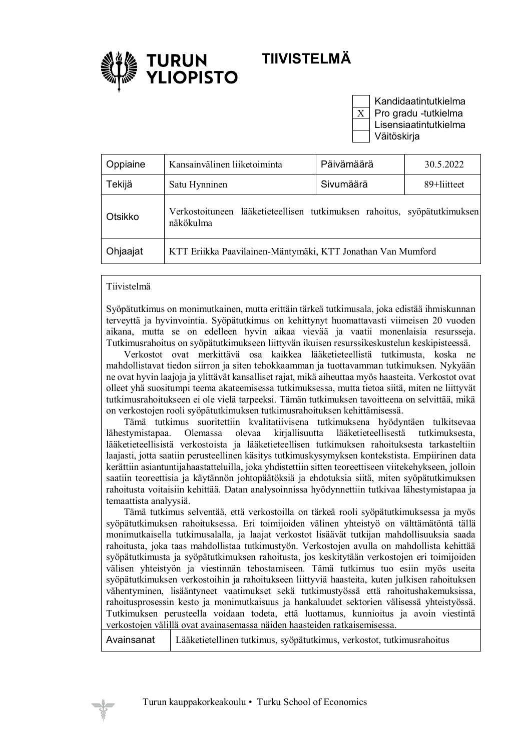

# **TIIVISTELMÄ**

Kandidaatintutkielma  $\overline{X}$  Pro gradu -tutkielma Lisensiaatintutkielma Väitöskirja

| Oppiaine | Kansainvälinen liiketoiminta                                                          | Päivämäärä | 30.5.2022   |
|----------|---------------------------------------------------------------------------------------|------------|-------------|
| Tekijä   | Satu Hynninen                                                                         | Sivumäärä  | 89+liitteet |
| Otsikko  | Verkostoituneen lääketieteellisen tutkimuksen rahoitus, syöpätutkimuksen<br>näkökulma |            |             |
| Ohjaajat | KTT Eriikka Paavilainen-Mäntymäki, KTT Jonathan Van Mumford                           |            |             |

### Tiivistelmä

Syöpätutkimus on monimutkainen, mutta erittäin tärkeä tutkimusala, joka edistää ihmiskunnan terveyttä ja hyvinvointia. Syöpätutkimus on kehittynyt huomattavasti viimeisen 20 vuoden aikana, mutta se on edelleen hyvin aikaa vievää ja vaatii monenlaisia resursseja. Tutkimusrahoitus on syöpätutkimukseen liittyvän ikuisen resurssikeskustelun keskipisteessä.

Verkostot ovat merkittävä osa kaikkea lääketieteellistä tutkimusta, koska ne mahdollistavat tiedon siirron ja siten tehokkaamman ja tuottavamman tutkimuksen. Nykyään ne ovat hyvin laajoja ja ylittävät kansalliset rajat, mikä aiheuttaa myös haasteita. Verkostot ovat olleet yhä suositumpi teema akateemisessa tutkimuksessa, mutta tietoa siitä, miten ne liittyvät tutkimusrahoitukseen ei ole vielä tarpeeksi. Tämän tutkimuksen tavoitteena on selvittää, mikä on verkostojen rooli syöpätutkimuksen tutkimusrahoituksen kehittämisessä.

Tämä tutkimus suoritettiin kvalitatiivisena tutkimuksena hyödyntäen tulkitsevaa lähestymistapaa. Olemassa olevaa kirjallisuutta lääketieteellisestä tutkimuksesta, lääketieteellisistä verkostoista ja lääketieteellisen tutkimuksen rahoituksesta tarkasteltiin laajasti, jotta saatiin perusteellinen käsitys tutkimuskysymyksen kontekstista. Empiirinen data kerättiin asiantuntijahaastatteluilla, joka yhdistettiin sitten teoreettiseen viitekehykseen, jolloin saatiin teoreettisia ja käytännön johtopäätöksiä ja ehdotuksia siitä, miten syöpätutkimuksen rahoitusta voitaisiin kehittää. Datan analysoinnissa hyödynnettiin tutkivaa lähestymistapaa ja temaattista analyysiä.

Tämä tutkimus selventää, että verkostoilla on tärkeä rooli syöpätutkimuksessa ja myös syöpätutkimuksen rahoituksessa. Eri toimijoiden välinen yhteistyö on välttämätöntä tällä monimutkaisella tutkimusalalla, ja laajat verkostot lisäävät tutkijan mahdollisuuksia saada rahoitusta, joka taas mahdollistaa tutkimustyön. Verkostojen avulla on mahdollista kehittää syöpätutkimusta ja syöpätutkimuksen rahoitusta, jos keskitytään verkostojen eri toimijoiden välisen yhteistyön ja viestinnän tehostamiseen. Tämä tutkimus tuo esiin myös useita syöpätutkimuksen verkostoihin ja rahoitukseen liittyviä haasteita, kuten julkisen rahoituksen vähentyminen, lisääntyneet vaatimukset sekä tutkimustyössä että rahoitushakemuksissa, rahoitusprosessin kesto ja monimutkaisuus ja hankaluudet sektorien välisessä yhteistyössä. Tutkimuksen perusteella voidaan todeta, että luottamus, kunnioitus ja avoin viestintä verkostojen välillä ovat avainasemassa näiden haasteiden ratkaisemisessa.

Avainsanat Lääketietellinen tutkimus, syöpätutkimus, verkostot, tutkimusrahoitus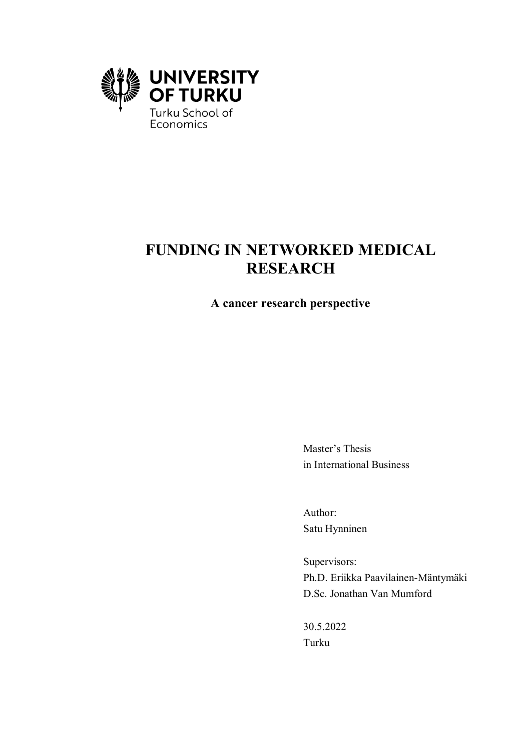

# **FUNDING IN NETWORKED MEDICAL RESEARCH**

**A cancer research perspective**

Master's Thesis in International Business

Author: Satu Hynninen

Supervisors: Ph.D. Eriikka Paavilainen-Mäntymäki D.Sc. Jonathan Van Mumford

30.5.2022 Turku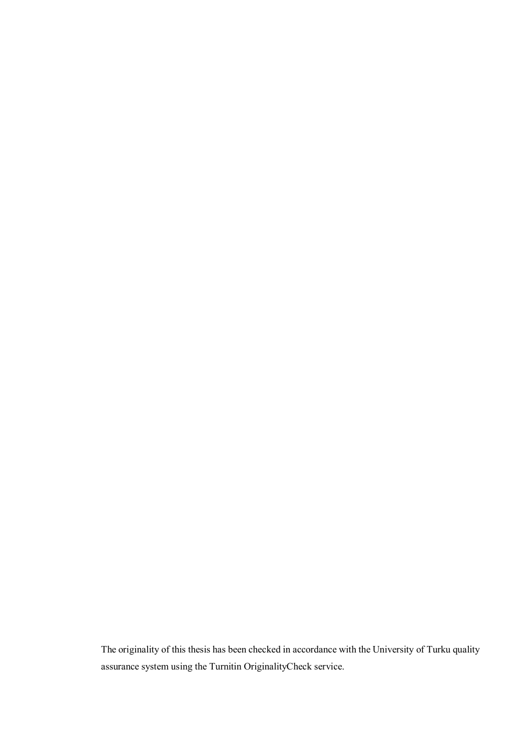The originality of this thesis has been checked in accordance with the University of Turku quality assurance system using the Turnitin OriginalityCheck service.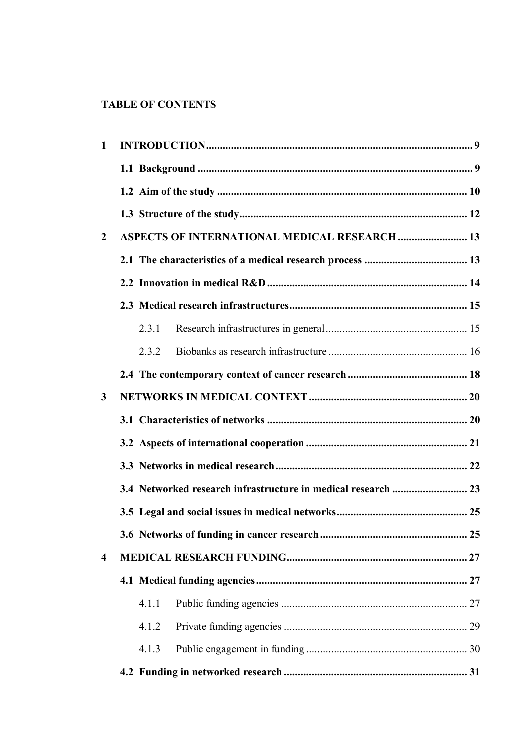# **TABLE OF CONTENTS**

| $\mathbf{1}$            |                                               |  |
|-------------------------|-----------------------------------------------|--|
|                         |                                               |  |
|                         |                                               |  |
|                         |                                               |  |
| $\overline{2}$          | ASPECTS OF INTERNATIONAL MEDICAL RESEARCH  13 |  |
|                         |                                               |  |
|                         |                                               |  |
|                         |                                               |  |
|                         | 2.3.1                                         |  |
|                         | 2.3.2                                         |  |
|                         |                                               |  |
| $\mathbf{3}$            |                                               |  |
|                         |                                               |  |
|                         |                                               |  |
|                         |                                               |  |
|                         |                                               |  |
|                         |                                               |  |
|                         |                                               |  |
| $\overline{\mathbf{4}}$ |                                               |  |
|                         |                                               |  |
|                         | 4.1.1                                         |  |
|                         | 4.1.2                                         |  |
|                         | 4.1.3                                         |  |
|                         |                                               |  |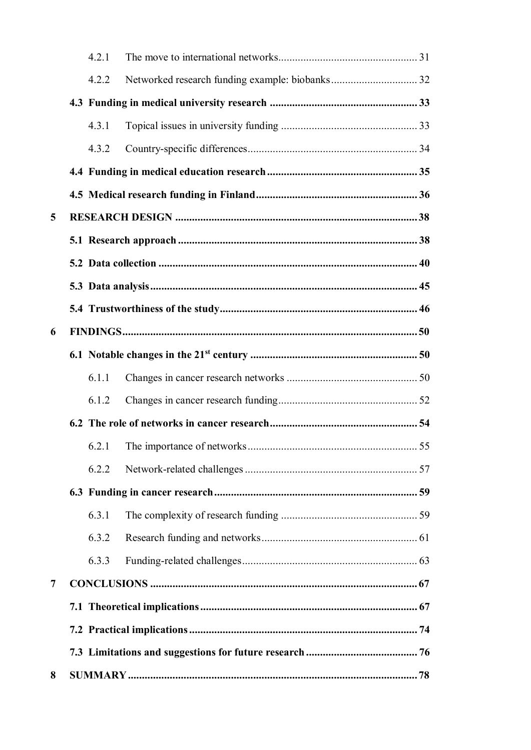|   | 4.2.1 |
|---|-------|
|   | 4.2.2 |
|   |       |
|   | 4.3.1 |
|   | 4.3.2 |
|   |       |
|   |       |
| 5 |       |
|   |       |
|   |       |
|   |       |
|   |       |
| 6 |       |
|   |       |
|   | 6.1.1 |
|   | 6.1.2 |
|   |       |
|   | 55    |
|   | 6.2.2 |
|   |       |
|   | 6.3.1 |
|   | 6.3.2 |
|   | 6.3.3 |
| 7 |       |
|   |       |
|   |       |
|   |       |
| 8 |       |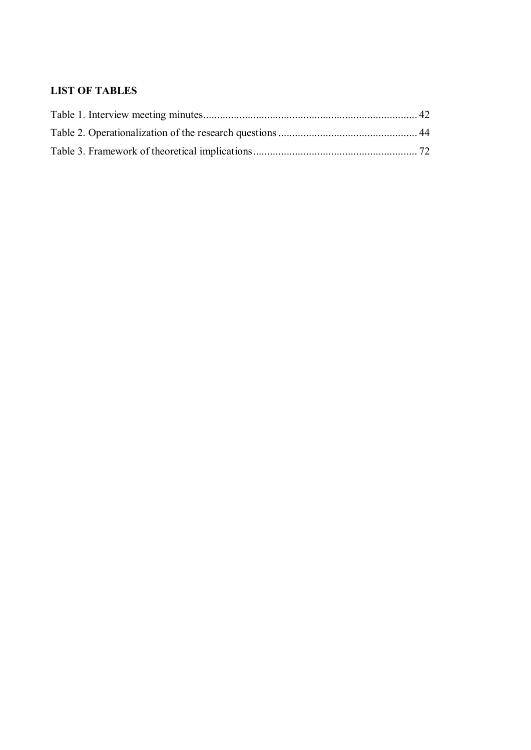# **LIST OF TABLES**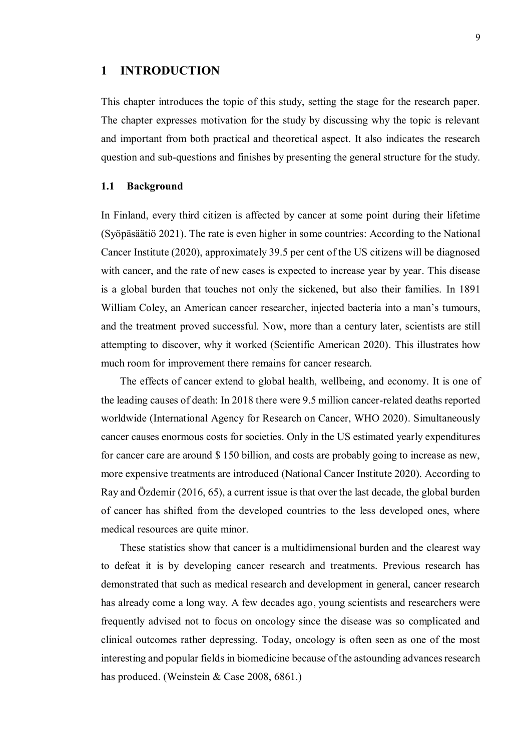## <span id="page-8-0"></span>**1 INTRODUCTION**

This chapter introduces the topic of this study, setting the stage for the research paper. The chapter expresses motivation for the study by discussing why the topic is relevant and important from both practical and theoretical aspect. It also indicates the research question and sub-questions and finishes by presenting the general structure for the study.

#### <span id="page-8-1"></span>**1.1 Background**

In Finland, every third citizen is affected by cancer at some point during their lifetime (Syöpäsäätiö 2021). The rate is even higher in some countries: According to the National Cancer Institute (2020), approximately 39.5 per cent of the US citizens will be diagnosed with cancer, and the rate of new cases is expected to increase year by year. This disease is a global burden that touches not only the sickened, but also their families. In 1891 William Coley, an American cancer researcher, injected bacteria into a man's tumours, and the treatment proved successful. Now, more than a century later, scientists are still attempting to discover, why it worked (Scientific American 2020). This illustrates how much room for improvement there remains for cancer research.

The effects of cancer extend to global health, wellbeing, and economy. It is one of the leading causes of death: In 2018 there were 9.5 million cancer-related deaths reported worldwide (International Agency for Research on Cancer, WHO 2020). Simultaneously cancer causes enormous costs for societies. Only in the US estimated yearly expenditures for cancer care are around \$ 150 billion, and costs are probably going to increase as new, more expensive treatments are introduced (National Cancer Institute 2020). According to Ray and Özdemir (2016, 65), a current issue is that over the last decade, the global burden of cancer has shifted from the developed countries to the less developed ones, where medical resources are quite minor.

These statistics show that cancer is a multidimensional burden and the clearest way to defeat it is by developing cancer research and treatments. Previous research has demonstrated that such as medical research and development in general, cancer research has already come a long way. A few decades ago, young scientists and researchers were frequently advised not to focus on oncology since the disease was so complicated and clinical outcomes rather depressing. Today, oncology is often seen as one of the most interesting and popular fields in biomedicine because of the astounding advances research has produced. (Weinstein & Case 2008, 6861.)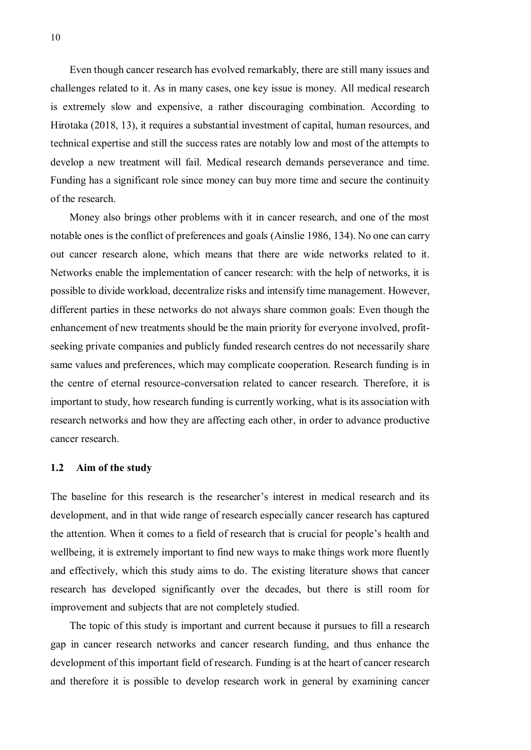Even though cancer research has evolved remarkably, there are still many issues and challenges related to it. As in many cases, one key issue is money. All medical research is extremely slow and expensive, a rather discouraging combination. According to Hirotaka (2018, 13), it requires a substantial investment of capital, human resources, and technical expertise and still the success rates are notably low and most of the attempts to develop a new treatment will fail. Medical research demands perseverance and time. Funding has a significant role since money can buy more time and secure the continuity of the research.

Money also brings other problems with it in cancer research, and one of the most notable ones is the conflict of preferences and goals (Ainslie 1986, 134). No one can carry out cancer research alone, which means that there are wide networks related to it. Networks enable the implementation of cancer research: with the help of networks, it is possible to divide workload, decentralize risks and intensify time management. However, different parties in these networks do not always share common goals: Even though the enhancement of new treatments should be the main priority for everyone involved, profitseeking private companies and publicly funded research centres do not necessarily share same values and preferences, which may complicate cooperation. Research funding is in the centre of eternal resource-conversation related to cancer research. Therefore, it is important to study, how research funding is currently working, what is its association with research networks and how they are affecting each other, in order to advance productive cancer research.

#### <span id="page-9-0"></span>**1.2 Aim of the study**

The baseline for this research is the researcher's interest in medical research and its development, and in that wide range of research especially cancer research has captured the attention. When it comes to a field of research that is crucial for people's health and wellbeing, it is extremely important to find new ways to make things work more fluently and effectively, which this study aims to do. The existing literature shows that cancer research has developed significantly over the decades, but there is still room for improvement and subjects that are not completely studied.

The topic of this study is important and current because it pursues to fill a research gap in cancer research networks and cancer research funding, and thus enhance the development of this important field of research. Funding is at the heart of cancer research and therefore it is possible to develop research work in general by examining cancer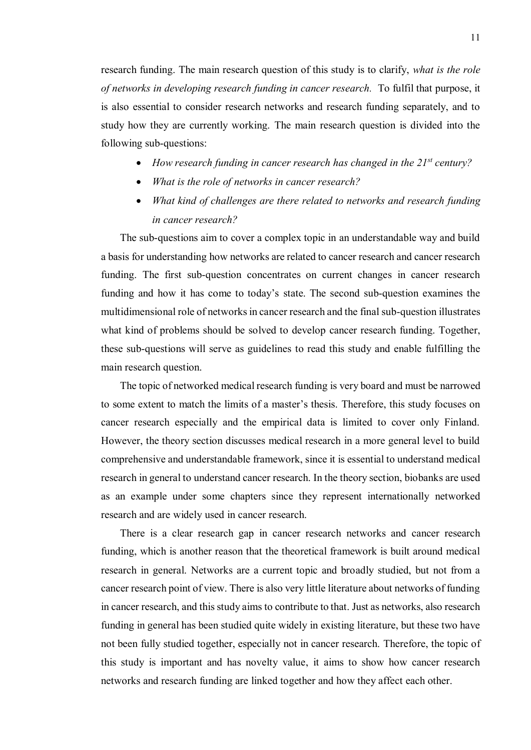research funding. The main research question of this study is to clarify, *what is the role of networks in developing research funding in cancer research.* To fulfil that purpose, it is also essential to consider research networks and research funding separately, and to study how they are currently working. The main research question is divided into the following sub-questions:

- *How research funding in cancer research has changed in the 21st century?*
- *What is the role of networks in cancer research?*
- *What kind of challenges are there related to networks and research funding in cancer research?*

The sub-questions aim to cover a complex topic in an understandable way and build a basis for understanding how networks are related to cancer research and cancer research funding. The first sub-question concentrates on current changes in cancer research funding and how it has come to today's state. The second sub-question examines the multidimensional role of networks in cancer research and the final sub-question illustrates what kind of problems should be solved to develop cancer research funding. Together, these sub-questions will serve as guidelines to read this study and enable fulfilling the main research question.

The topic of networked medical research funding is very board and must be narrowed to some extent to match the limits of a master's thesis. Therefore, this study focuses on cancer research especially and the empirical data is limited to cover only Finland. However, the theory section discusses medical research in a more general level to build comprehensive and understandable framework, since it is essential to understand medical research in general to understand cancer research. In the theory section, biobanks are used as an example under some chapters since they represent internationally networked research and are widely used in cancer research.

There is a clear research gap in cancer research networks and cancer research funding, which is another reason that the theoretical framework is built around medical research in general. Networks are a current topic and broadly studied, but not from a cancer research point of view. There is also very little literature about networks of funding in cancer research, and this study aims to contribute to that. Just as networks, also research funding in general has been studied quite widely in existing literature, but these two have not been fully studied together, especially not in cancer research. Therefore, the topic of this study is important and has novelty value, it aims to show how cancer research networks and research funding are linked together and how they affect each other.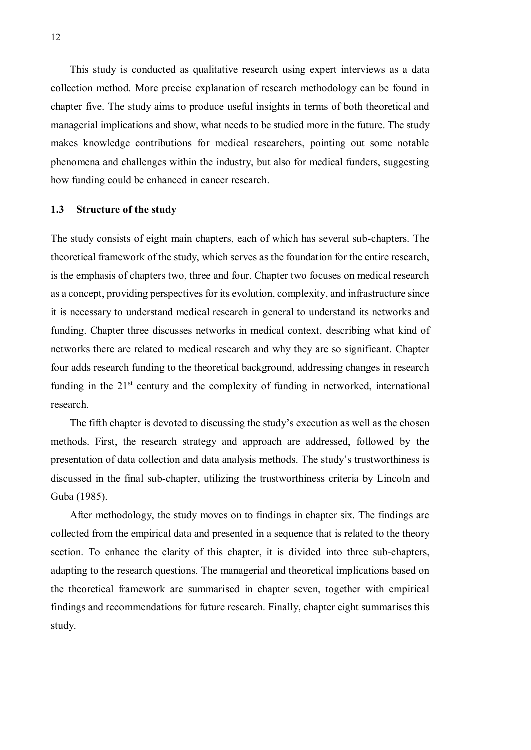This study is conducted as qualitative research using expert interviews as a data collection method. More precise explanation of research methodology can be found in chapter five. The study aims to produce useful insights in terms of both theoretical and managerial implications and show, what needs to be studied more in the future. The study makes knowledge contributions for medical researchers, pointing out some notable phenomena and challenges within the industry, but also for medical funders, suggesting how funding could be enhanced in cancer research.

#### <span id="page-11-0"></span>**1.3 Structure of the study**

The study consists of eight main chapters, each of which has several sub-chapters. The theoretical framework of the study, which serves as the foundation for the entire research, is the emphasis of chapters two, three and four. Chapter two focuses on medical research as a concept, providing perspectives for its evolution, complexity, and infrastructure since it is necessary to understand medical research in general to understand its networks and funding. Chapter three discusses networks in medical context, describing what kind of networks there are related to medical research and why they are so significant. Chapter four adds research funding to the theoretical background, addressing changes in research funding in the  $21<sup>st</sup>$  century and the complexity of funding in networked, international research.

The fifth chapter is devoted to discussing the study's execution as well as the chosen methods. First, the research strategy and approach are addressed, followed by the presentation of data collection and data analysis methods. The study's trustworthiness is discussed in the final sub-chapter, utilizing the trustworthiness criteria by Lincoln and Guba (1985).

After methodology, the study moves on to findings in chapter six. The findings are collected from the empirical data and presented in a sequence that is related to the theory section. To enhance the clarity of this chapter, it is divided into three sub-chapters, adapting to the research questions. The managerial and theoretical implications based on the theoretical framework are summarised in chapter seven, together with empirical findings and recommendations for future research. Finally, chapter eight summarises this study.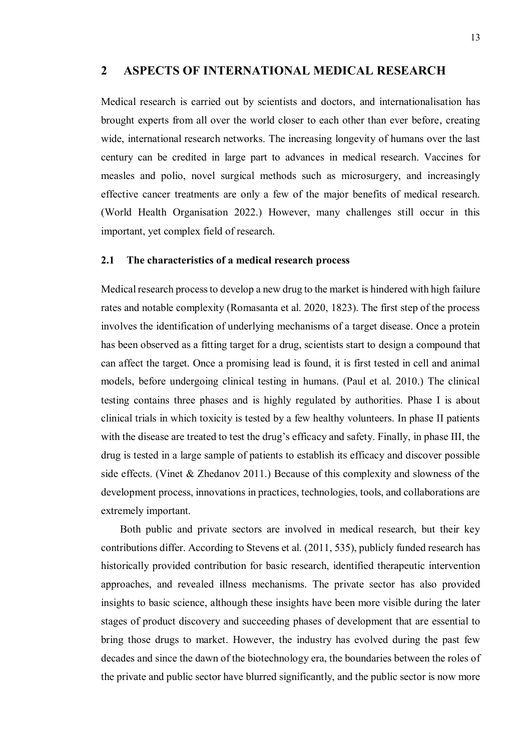# <span id="page-12-0"></span>**2 ASPECTS OF INTERNATIONAL MEDICAL RESEARCH**

Medical research is carried out by scientists and doctors, and internationalisation has brought experts from all over the world closer to each other than ever before, creating wide, international research networks. The increasing longevity of humans over the last century can be credited in large part to advances in medical research. Vaccines for measles and polio, novel surgical methods such as microsurgery, and increasingly effective cancer treatments are only a few of the major benefits of medical research. (World Health Organisation 2022.) However, many challenges still occur in this important, yet complex field of research.

#### <span id="page-12-1"></span>**2.1 The characteristics of a medical research process**

Medical research process to develop a new drug to the market is hindered with high failure rates and notable complexity (Romasanta et al. 2020, 1823). The first step of the process involves the identification of underlying mechanisms of a target disease. Once a protein has been observed as a fitting target for a drug, scientists start to design a compound that can affect the target. Once a promising lead is found, it is first tested in cell and animal models, before undergoing clinical testing in humans. (Paul et al. 2010.) The clinical testing contains three phases and is highly regulated by authorities. Phase I is about clinical trials in which toxicity is tested by a few healthy volunteers. In phase II patients with the disease are treated to test the drug's efficacy and safety. Finally, in phase III, the drug is tested in a large sample of patients to establish its efficacy and discover possible side effects. (Vinet & Zhedanov 2011.) Because of this complexity and slowness of the development process, innovations in practices, technologies, tools, and collaborations are extremely important.

Both public and private sectors are involved in medical research, but their key contributions differ. According to Stevens et al. (2011, 535), publicly funded research has historically provided contribution for basic research, identified therapeutic intervention approaches, and revealed illness mechanisms. The private sector has also provided insights to basic science, although these insights have been more visible during the later stages of product discovery and succeeding phases of development that are essential to bring those drugs to market. However, the industry has evolved during the past few decades and since the dawn of the biotechnology era, the boundaries between the roles of the private and public sector have blurred significantly, and the public sector is now more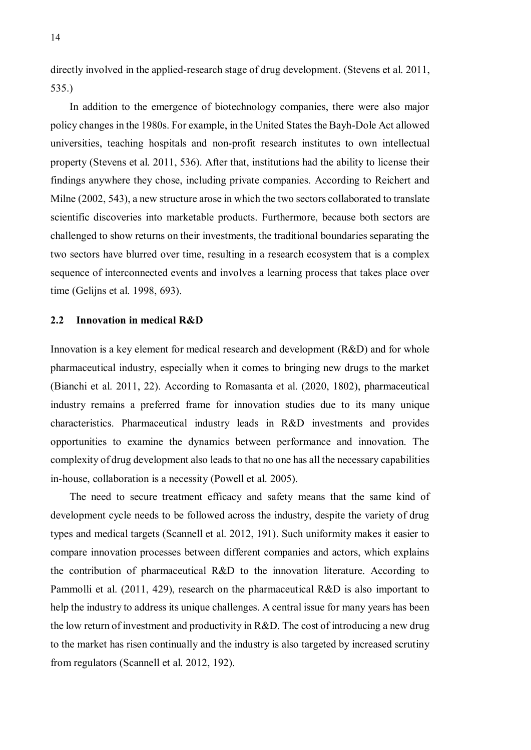directly involved in the applied-research stage of drug development. (Stevens et al. 2011, 535.)

In addition to the emergence of biotechnology companies, there were also major policy changes in the 1980s. For example, in the United States the Bayh-Dole Act allowed universities, teaching hospitals and non-profit research institutes to own intellectual property (Stevens et al. 2011, 536). After that, institutions had the ability to license their findings anywhere they chose, including private companies. According to Reichert and Milne (2002, 543), a new structure arose in which the two sectors collaborated to translate scientific discoveries into marketable products. Furthermore, because both sectors are challenged to show returns on their investments, the traditional boundaries separating the two sectors have blurred over time, resulting in a research ecosystem that is a complex sequence of interconnected events and involves a learning process that takes place over time (Gelijns et al. 1998, 693).

#### <span id="page-13-0"></span>**2.2 Innovation in medical R&D**

Innovation is a key element for medical research and development (R&D) and for whole pharmaceutical industry, especially when it comes to bringing new drugs to the market (Bianchi et al. 2011, 22). According to Romasanta et al. (2020, 1802), pharmaceutical industry remains a preferred frame for innovation studies due to its many unique characteristics. Pharmaceutical industry leads in R&D investments and provides opportunities to examine the dynamics between performance and innovation. The complexity of drug development also leads to that no one has all the necessary capabilities in-house, collaboration is a necessity (Powell et al. 2005).

The need to secure treatment efficacy and safety means that the same kind of development cycle needs to be followed across the industry, despite the variety of drug types and medical targets (Scannell et al. 2012, 191). Such uniformity makes it easier to compare innovation processes between different companies and actors, which explains the contribution of pharmaceutical R&D to the innovation literature. According to Pammolli et al. (2011, 429), research on the pharmaceutical R&D is also important to help the industry to address its unique challenges. A central issue for many years has been the low return of investment and productivity in R&D. The cost of introducing a new drug to the market has risen continually and the industry is also targeted by increased scrutiny from regulators (Scannell et al. 2012, 192).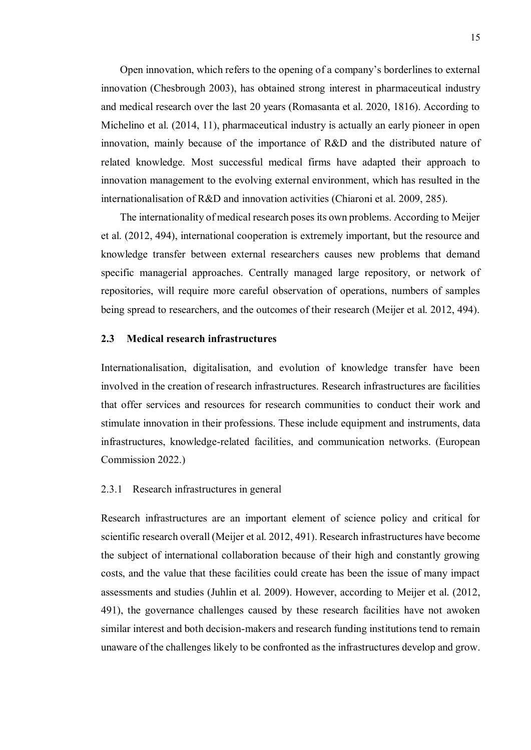Open innovation, which refers to the opening of a company's borderlines to external innovation (Chesbrough 2003), has obtained strong interest in pharmaceutical industry and medical research over the last 20 years (Romasanta et al. 2020, 1816). According to Michelino et al. (2014, 11), pharmaceutical industry is actually an early pioneer in open innovation, mainly because of the importance of R&D and the distributed nature of related knowledge. Most successful medical firms have adapted their approach to innovation management to the evolving external environment, which has resulted in the internationalisation of R&D and innovation activities (Chiaroni et al. 2009, 285).

The internationality of medical research poses its own problems. According to Meijer et al. (2012, 494), international cooperation is extremely important, but the resource and knowledge transfer between external researchers causes new problems that demand specific managerial approaches. Centrally managed large repository, or network of repositories, will require more careful observation of operations, numbers of samples being spread to researchers, and the outcomes of their research (Meijer et al. 2012, 494).

#### <span id="page-14-0"></span>**2.3 Medical research infrastructures**

Internationalisation, digitalisation, and evolution of knowledge transfer have been involved in the creation of research infrastructures. Research infrastructures are facilities that offer services and resources for research communities to conduct their work and stimulate innovation in their professions. These include equipment and instruments, data infrastructures, knowledge-related facilities, and communication networks. (European Commission 2022.)

#### <span id="page-14-1"></span>2.3.1 Research infrastructures in general

Research infrastructures are an important element of science policy and critical for scientific research overall (Meijer et al. 2012, 491). Research infrastructures have become the subject of international collaboration because of their high and constantly growing costs, and the value that these facilities could create has been the issue of many impact assessments and studies (Juhlin et al. 2009). However, according to Meijer et al. (2012, 491), the governance challenges caused by these research facilities have not awoken similar interest and both decision-makers and research funding institutions tend to remain unaware of the challenges likely to be confronted as the infrastructures develop and grow.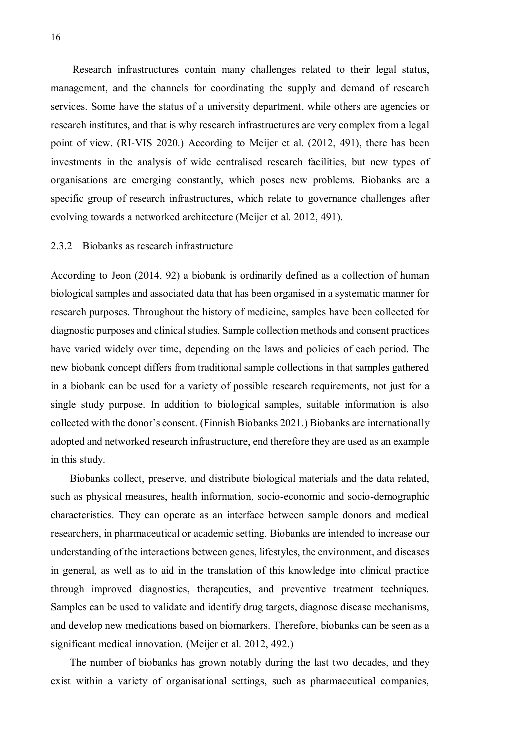Research infrastructures contain many challenges related to their legal status, management, and the channels for coordinating the supply and demand of research services. Some have the status of a university department, while others are agencies or research institutes, and that is why research infrastructures are very complex from a legal point of view. (RI-VIS 2020.) According to Meijer et al. (2012, 491), there has been investments in the analysis of wide centralised research facilities, but new types of organisations are emerging constantly, which poses new problems. Biobanks are a specific group of research infrastructures, which relate to governance challenges after evolving towards a networked architecture (Meijer et al. 2012, 491).

#### <span id="page-15-0"></span>2.3.2 Biobanks as research infrastructure

According to Jeon (2014, 92) a biobank is ordinarily defined as a collection of human biological samples and associated data that has been organised in a systematic manner for research purposes. Throughout the history of medicine, samples have been collected for diagnostic purposes and clinical studies. Sample collection methods and consent practices have varied widely over time, depending on the laws and policies of each period. The new biobank concept differs from traditional sample collections in that samples gathered in a biobank can be used for a variety of possible research requirements, not just for a single study purpose. In addition to biological samples, suitable information is also collected with the donor's consent. (Finnish Biobanks 2021.) Biobanks are internationally adopted and networked research infrastructure, end therefore they are used as an example in this study.

Biobanks collect, preserve, and distribute biological materials and the data related, such as physical measures, health information, socio-economic and socio-demographic characteristics. They can operate as an interface between sample donors and medical researchers, in pharmaceutical or academic setting. Biobanks are intended to increase our understanding of the interactions between genes, lifestyles, the environment, and diseases in general, as well as to aid in the translation of this knowledge into clinical practice through improved diagnostics, therapeutics, and preventive treatment techniques. Samples can be used to validate and identify drug targets, diagnose disease mechanisms, and develop new medications based on biomarkers. Therefore, biobanks can be seen as a significant medical innovation. (Meijer et al. 2012, 492.)

The number of biobanks has grown notably during the last two decades, and they exist within a variety of organisational settings, such as pharmaceutical companies,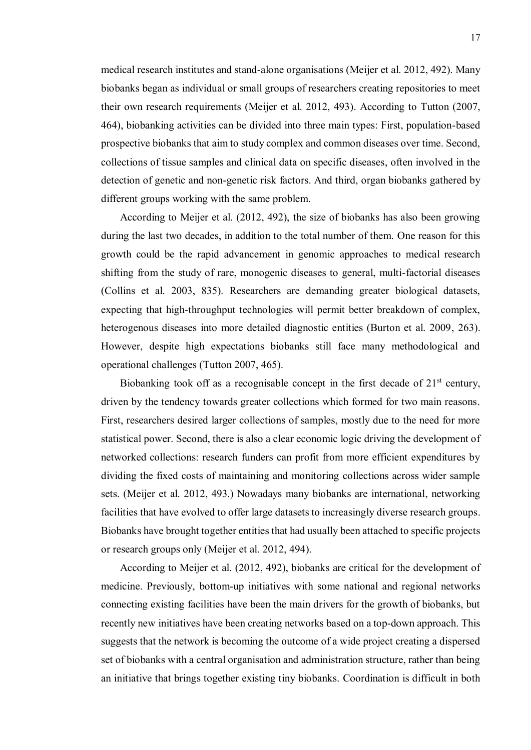medical research institutes and stand-alone organisations (Meijer et al. 2012, 492). Many biobanks began as individual or small groups of researchers creating repositories to meet their own research requirements (Meijer et al. 2012, 493). According to Tutton (2007, 464), biobanking activities can be divided into three main types: First, population-based prospective biobanks that aim to study complex and common diseases over time. Second, collections of tissue samples and clinical data on specific diseases, often involved in the detection of genetic and non-genetic risk factors. And third, organ biobanks gathered by different groups working with the same problem.

According to Meijer et al. (2012, 492), the size of biobanks has also been growing during the last two decades, in addition to the total number of them. One reason for this growth could be the rapid advancement in genomic approaches to medical research shifting from the study of rare, monogenic diseases to general, multi-factorial diseases (Collins et al. 2003, 835). Researchers are demanding greater biological datasets, expecting that high-throughput technologies will permit better breakdown of complex, heterogenous diseases into more detailed diagnostic entities (Burton et al. 2009, 263). However, despite high expectations biobanks still face many methodological and operational challenges (Tutton 2007, 465).

Biobanking took off as a recognisable concept in the first decade of  $21<sup>st</sup>$  century, driven by the tendency towards greater collections which formed for two main reasons. First, researchers desired larger collections of samples, mostly due to the need for more statistical power. Second, there is also a clear economic logic driving the development of networked collections: research funders can profit from more efficient expenditures by dividing the fixed costs of maintaining and monitoring collections across wider sample sets. (Meijer et al. 2012, 493.) Nowadays many biobanks are international, networking facilities that have evolved to offer large datasets to increasingly diverse research groups. Biobanks have brought together entities that had usually been attached to specific projects or research groups only (Meijer et al. 2012, 494).

According to Meijer et al. (2012, 492), biobanks are critical for the development of medicine. Previously, bottom-up initiatives with some national and regional networks connecting existing facilities have been the main drivers for the growth of biobanks, but recently new initiatives have been creating networks based on a top-down approach. This suggests that the network is becoming the outcome of a wide project creating a dispersed set of biobanks with a central organisation and administration structure, rather than being an initiative that brings together existing tiny biobanks. Coordination is difficult in both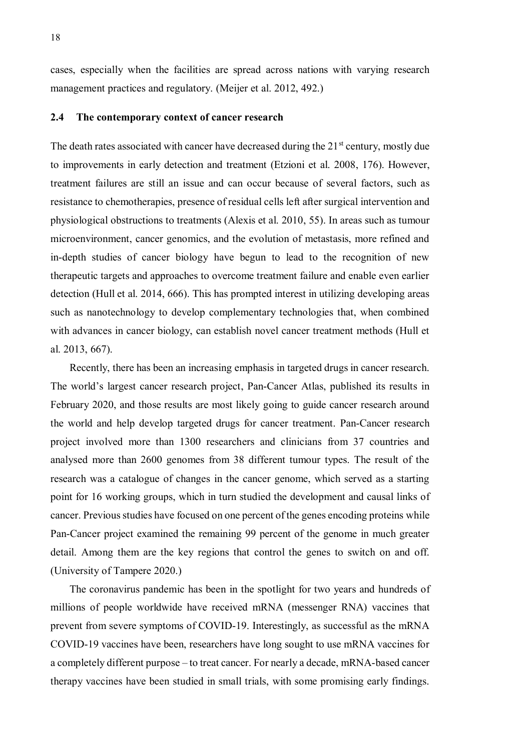cases, especially when the facilities are spread across nations with varying research management practices and regulatory. (Meijer et al. 2012, 492.)

#### <span id="page-17-0"></span>**2.4 The contemporary context of cancer research**

The death rates associated with cancer have decreased during the  $21<sup>st</sup>$  century, mostly due to improvements in early detection and treatment (Etzioni et al. 2008, 176). However, treatment failures are still an issue and can occur because of several factors, such as resistance to chemotherapies, presence of residual cells left after surgical intervention and physiological obstructions to treatments (Alexis et al. 2010, 55). In areas such as tumour microenvironment, cancer genomics, and the evolution of metastasis, more refined and in-depth studies of cancer biology have begun to lead to the recognition of new therapeutic targets and approaches to overcome treatment failure and enable even earlier detection (Hull et al. 2014, 666). This has prompted interest in utilizing developing areas such as nanotechnology to develop complementary technologies that, when combined with advances in cancer biology, can establish novel cancer treatment methods (Hull et al. 2013, 667).

Recently, there has been an increasing emphasis in targeted drugs in cancer research. The world's largest cancer research project, Pan-Cancer Atlas, published its results in February 2020, and those results are most likely going to guide cancer research around the world and help develop targeted drugs for cancer treatment. Pan-Cancer research project involved more than 1300 researchers and clinicians from 37 countries and analysed more than 2600 genomes from 38 different tumour types. The result of the research was a catalogue of changes in the cancer genome, which served as a starting point for 16 working groups, which in turn studied the development and causal links of cancer. Previous studies have focused on one percent of the genes encoding proteins while Pan-Cancer project examined the remaining 99 percent of the genome in much greater detail. Among them are the key regions that control the genes to switch on and off. (University of Tampere 2020.)

The coronavirus pandemic has been in the spotlight for two years and hundreds of millions of people worldwide have received mRNA (messenger RNA) vaccines that prevent from severe symptoms of COVID-19. Interestingly, as successful as the mRNA COVID-19 vaccines have been, researchers have long sought to use mRNA vaccines for a completely different purpose – to treat cancer. For nearly a decade, mRNA-based cancer therapy vaccines have been studied in small trials, with some promising early findings.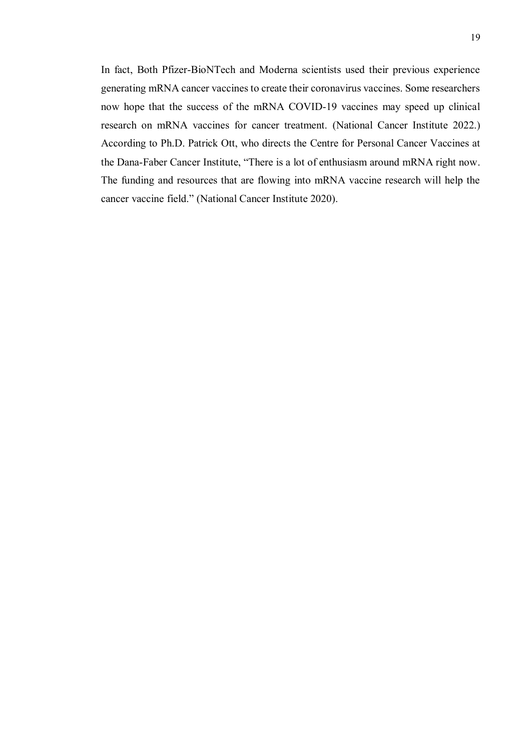In fact, Both Pfizer-BioNTech and Moderna scientists used their previous experience generating mRNA cancer vaccines to create their coronavirus vaccines. Some researchers now hope that the success of the mRNA COVID-19 vaccines may speed up clinical research on mRNA vaccines for cancer treatment. (National Cancer Institute 2022.) According to Ph.D. Patrick Ott, who directs the Centre for Personal Cancer Vaccines at the Dana-Faber Cancer Institute, "There is a lot of enthusiasm around mRNA right now. The funding and resources that are flowing into mRNA vaccine research will help the cancer vaccine field." (National Cancer Institute 2020).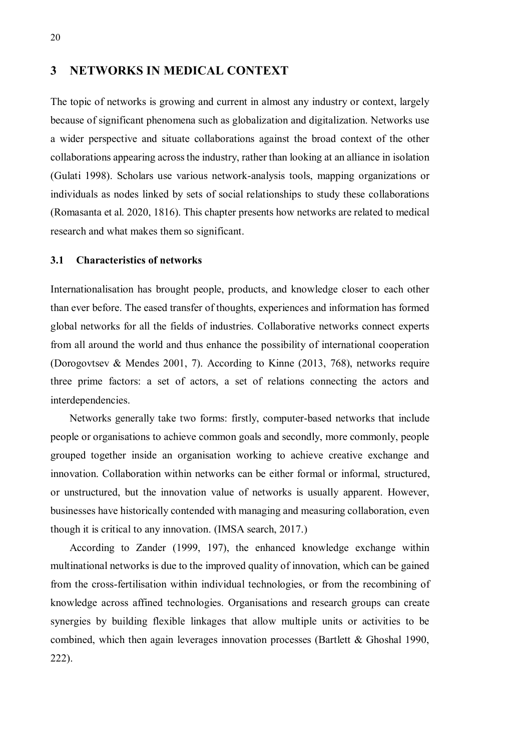# <span id="page-19-0"></span>**3 NETWORKS IN MEDICAL CONTEXT**

The topic of networks is growing and current in almost any industry or context, largely because of significant phenomena such as globalization and digitalization. Networks use a wider perspective and situate collaborations against the broad context of the other collaborations appearing across the industry, rather than looking at an alliance in isolation (Gulati 1998). Scholars use various network-analysis tools, mapping organizations or individuals as nodes linked by sets of social relationships to study these collaborations (Romasanta et al. 2020, 1816). This chapter presents how networks are related to medical research and what makes them so significant.

#### <span id="page-19-1"></span>**3.1 Characteristics of networks**

Internationalisation has brought people, products, and knowledge closer to each other than ever before. The eased transfer of thoughts, experiences and information has formed global networks for all the fields of industries. Collaborative networks connect experts from all around the world and thus enhance the possibility of international cooperation (Dorogovtsev & Mendes 2001, 7). According to Kinne (2013, 768), networks require three prime factors: a set of actors, a set of relations connecting the actors and interdependencies.

Networks generally take two forms: firstly, computer-based networks that include people or organisations to achieve common goals and secondly, more commonly, people grouped together inside an organisation working to achieve creative exchange and innovation. Collaboration within networks can be either formal or informal, structured, or unstructured, but the innovation value of networks is usually apparent. However, businesses have historically contended with managing and measuring collaboration, even though it is critical to any innovation. (IMSA search, 2017.)

According to Zander (1999, 197), the enhanced knowledge exchange within multinational networks is due to the improved quality of innovation, which can be gained from the cross-fertilisation within individual technologies, or from the recombining of knowledge across affined technologies. Organisations and research groups can create synergies by building flexible linkages that allow multiple units or activities to be combined, which then again leverages innovation processes (Bartlett & Ghoshal 1990, 222).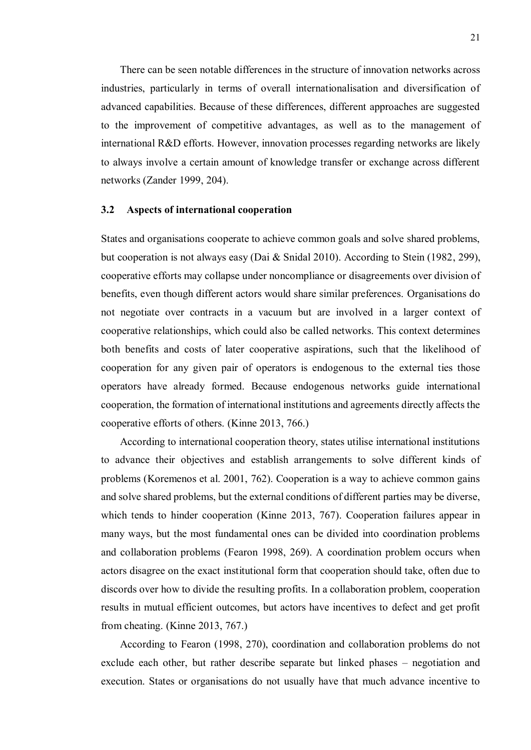There can be seen notable differences in the structure of innovation networks across industries, particularly in terms of overall internationalisation and diversification of advanced capabilities. Because of these differences, different approaches are suggested to the improvement of competitive advantages, as well as to the management of international R&D efforts. However, innovation processes regarding networks are likely to always involve a certain amount of knowledge transfer or exchange across different networks (Zander 1999, 204).

#### <span id="page-20-0"></span>**3.2 Aspects of international cooperation**

States and organisations cooperate to achieve common goals and solve shared problems, but cooperation is not always easy (Dai & Snidal 2010). According to Stein (1982, 299), cooperative efforts may collapse under noncompliance or disagreements over division of benefits, even though different actors would share similar preferences. Organisations do not negotiate over contracts in a vacuum but are involved in a larger context of cooperative relationships, which could also be called networks. This context determines both benefits and costs of later cooperative aspirations, such that the likelihood of cooperation for any given pair of operators is endogenous to the external ties those operators have already formed. Because endogenous networks guide international cooperation, the formation of international institutions and agreements directly affects the cooperative efforts of others. (Kinne 2013, 766.)

According to international cooperation theory, states utilise international institutions to advance their objectives and establish arrangements to solve different kinds of problems (Koremenos et al. 2001, 762). Cooperation is a way to achieve common gains and solve shared problems, but the external conditions of different parties may be diverse, which tends to hinder cooperation (Kinne 2013, 767). Cooperation failures appear in many ways, but the most fundamental ones can be divided into coordination problems and collaboration problems (Fearon 1998, 269). A coordination problem occurs when actors disagree on the exact institutional form that cooperation should take, often due to discords over how to divide the resulting profits. In a collaboration problem, cooperation results in mutual efficient outcomes, but actors have incentives to defect and get profit from cheating. (Kinne 2013, 767.)

According to Fearon (1998, 270), coordination and collaboration problems do not exclude each other, but rather describe separate but linked phases – negotiation and execution. States or organisations do not usually have that much advance incentive to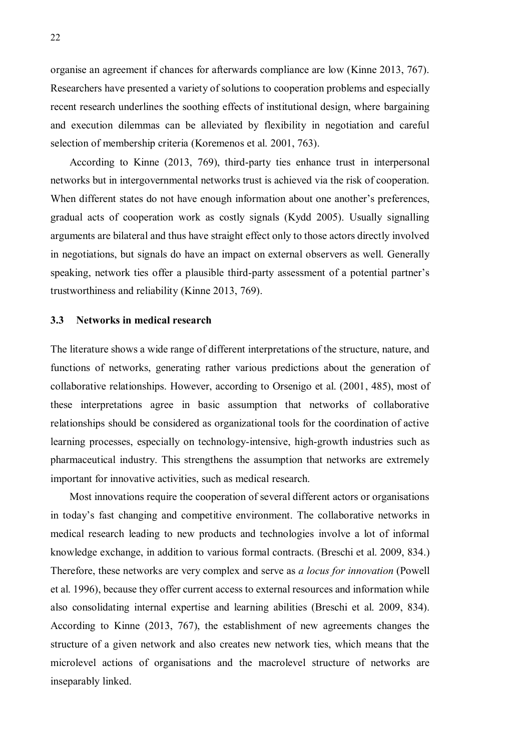organise an agreement if chances for afterwards compliance are low (Kinne 2013, 767). Researchers have presented a variety of solutions to cooperation problems and especially recent research underlines the soothing effects of institutional design, where bargaining and execution dilemmas can be alleviated by flexibility in negotiation and careful selection of membership criteria (Koremenos et al. 2001, 763).

According to Kinne (2013, 769), third-party ties enhance trust in interpersonal networks but in intergovernmental networks trust is achieved via the risk of cooperation. When different states do not have enough information about one another's preferences, gradual acts of cooperation work as costly signals (Kydd 2005). Usually signalling arguments are bilateral and thus have straight effect only to those actors directly involved in negotiations, but signals do have an impact on external observers as well. Generally speaking, network ties offer a plausible third-party assessment of a potential partner's trustworthiness and reliability (Kinne 2013, 769).

#### <span id="page-21-0"></span>**3.3 Networks in medical research**

The literature shows a wide range of different interpretations of the structure, nature, and functions of networks, generating rather various predictions about the generation of collaborative relationships. However, according to Orsenigo et al. (2001, 485), most of these interpretations agree in basic assumption that networks of collaborative relationships should be considered as organizational tools for the coordination of active learning processes, especially on technology-intensive, high-growth industries such as pharmaceutical industry. This strengthens the assumption that networks are extremely important for innovative activities, such as medical research.

Most innovations require the cooperation of several different actors or organisations in today's fast changing and competitive environment. The collaborative networks in medical research leading to new products and technologies involve a lot of informal knowledge exchange, in addition to various formal contracts. (Breschi et al. 2009, 834.) Therefore, these networks are very complex and serve as *a locus for innovation* (Powell et al. 1996), because they offer current access to external resources and information while also consolidating internal expertise and learning abilities (Breschi et al. 2009, 834). According to Kinne (2013, 767), the establishment of new agreements changes the structure of a given network and also creates new network ties, which means that the microlevel actions of organisations and the macrolevel structure of networks are inseparably linked.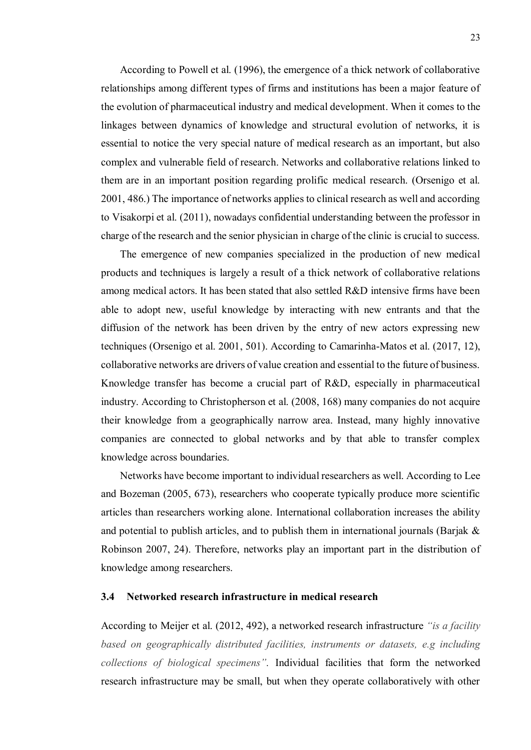According to Powell et al. (1996), the emergence of a thick network of collaborative relationships among different types of firms and institutions has been a major feature of the evolution of pharmaceutical industry and medical development. When it comes to the linkages between dynamics of knowledge and structural evolution of networks, it is essential to notice the very special nature of medical research as an important, but also complex and vulnerable field of research. Networks and collaborative relations linked to them are in an important position regarding prolific medical research. (Orsenigo et al. 2001, 486.) The importance of networks applies to clinical research as well and according to Visakorpi et al. (2011), nowadays confidential understanding between the professor in charge of the research and the senior physician in charge of the clinic is crucial to success.

The emergence of new companies specialized in the production of new medical products and techniques is largely a result of a thick network of collaborative relations among medical actors. It has been stated that also settled R&D intensive firms have been able to adopt new, useful knowledge by interacting with new entrants and that the diffusion of the network has been driven by the entry of new actors expressing new techniques (Orsenigo et al. 2001, 501). According to Camarinha-Matos et al. (2017, 12), collaborative networks are drivers of value creation and essential to the future of business. Knowledge transfer has become a crucial part of R&D, especially in pharmaceutical industry. According to Christopherson et al. (2008, 168) many companies do not acquire their knowledge from a geographically narrow area. Instead, many highly innovative companies are connected to global networks and by that able to transfer complex knowledge across boundaries.

Networks have become important to individual researchers as well. According to Lee and Bozeman (2005, 673), researchers who cooperate typically produce more scientific articles than researchers working alone. International collaboration increases the ability and potential to publish articles, and to publish them in international journals (Barjak & Robinson 2007, 24). Therefore, networks play an important part in the distribution of knowledge among researchers.

#### <span id="page-22-0"></span>**3.4 Networked research infrastructure in medical research**

According to Meijer et al. (2012, 492), a networked research infrastructure *"is a facility based on geographically distributed facilities, instruments or datasets, e.g including collections of biological specimens".* Individual facilities that form the networked research infrastructure may be small, but when they operate collaboratively with other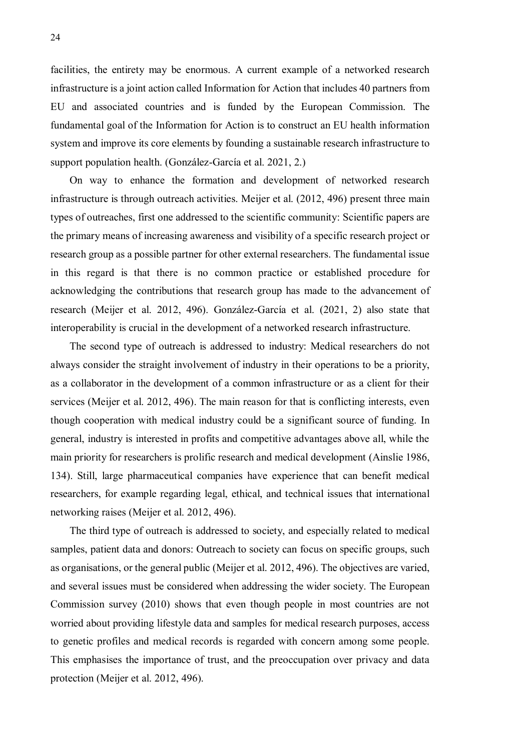facilities, the entirety may be enormous. A current example of a networked research infrastructure is a joint action called Information for Action that includes 40 partners from EU and associated countries and is funded by the European Commission. The fundamental goal of the Information for Action is to construct an EU health information system and improve its core elements by founding a sustainable research infrastructure to support population health. (González-García et al. 2021, 2.)

On way to enhance the formation and development of networked research infrastructure is through outreach activities. Meijer et al. (2012, 496) present three main types of outreaches, first one addressed to the scientific community: Scientific papers are the primary means of increasing awareness and visibility of a specific research project or research group as a possible partner for other external researchers. The fundamental issue in this regard is that there is no common practice or established procedure for acknowledging the contributions that research group has made to the advancement of research (Meijer et al. 2012, 496). González-García et al. (2021, 2) also state that interoperability is crucial in the development of a networked research infrastructure.

The second type of outreach is addressed to industry: Medical researchers do not always consider the straight involvement of industry in their operations to be a priority, as a collaborator in the development of a common infrastructure or as a client for their services (Meijer et al. 2012, 496). The main reason for that is conflicting interests, even though cooperation with medical industry could be a significant source of funding. In general, industry is interested in profits and competitive advantages above all, while the main priority for researchers is prolific research and medical development (Ainslie 1986, 134). Still, large pharmaceutical companies have experience that can benefit medical researchers, for example regarding legal, ethical, and technical issues that international networking raises (Meijer et al. 2012, 496).

The third type of outreach is addressed to society, and especially related to medical samples, patient data and donors: Outreach to society can focus on specific groups, such as organisations, or the general public (Meijer et al. 2012, 496). The objectives are varied, and several issues must be considered when addressing the wider society. The European Commission survey (2010) shows that even though people in most countries are not worried about providing lifestyle data and samples for medical research purposes, access to genetic profiles and medical records is regarded with concern among some people. This emphasises the importance of trust, and the preoccupation over privacy and data protection (Meijer et al. 2012, 496).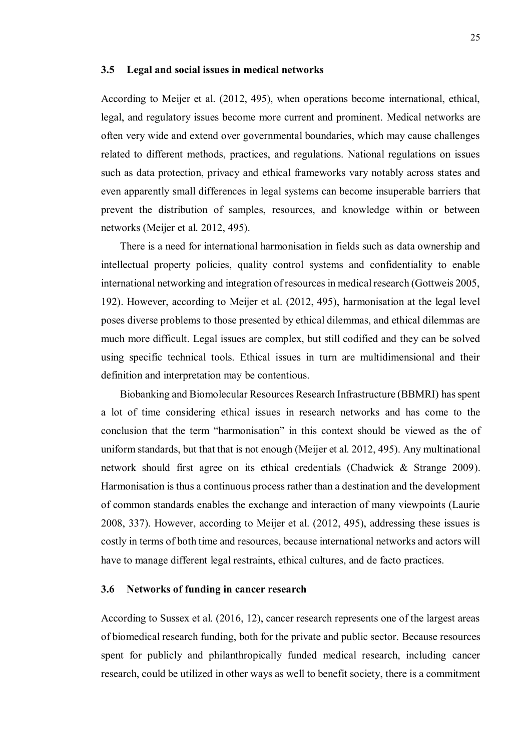#### <span id="page-24-0"></span>**3.5 Legal and social issues in medical networks**

According to Meijer et al. (2012, 495), when operations become international, ethical, legal, and regulatory issues become more current and prominent. Medical networks are often very wide and extend over governmental boundaries, which may cause challenges related to different methods, practices, and regulations. National regulations on issues such as data protection, privacy and ethical frameworks vary notably across states and even apparently small differences in legal systems can become insuperable barriers that prevent the distribution of samples, resources, and knowledge within or between networks (Meijer et al. 2012, 495).

There is a need for international harmonisation in fields such as data ownership and intellectual property policies, quality control systems and confidentiality to enable international networking and integration of resources in medical research (Gottweis 2005, 192). However, according to Meijer et al. (2012, 495), harmonisation at the legal level poses diverse problems to those presented by ethical dilemmas, and ethical dilemmas are much more difficult. Legal issues are complex, but still codified and they can be solved using specific technical tools. Ethical issues in turn are multidimensional and their definition and interpretation may be contentious.

Biobanking and Biomolecular Resources Research Infrastructure (BBMRI) has spent a lot of time considering ethical issues in research networks and has come to the conclusion that the term "harmonisation" in this context should be viewed as the of uniform standards, but that that is not enough (Meijer et al. 2012, 495). Any multinational network should first agree on its ethical credentials (Chadwick & Strange 2009). Harmonisation is thus a continuous process rather than a destination and the development of common standards enables the exchange and interaction of many viewpoints (Laurie 2008, 337). However, according to Meijer et al. (2012, 495), addressing these issues is costly in terms of both time and resources, because international networks and actors will have to manage different legal restraints, ethical cultures, and de facto practices.

#### <span id="page-24-1"></span>**3.6 Networks of funding in cancer research**

According to Sussex et al. (2016, 12), cancer research represents one of the largest areas of biomedical research funding, both for the private and public sector. Because resources spent for publicly and philanthropically funded medical research, including cancer research, could be utilized in other ways as well to benefit society, there is a commitment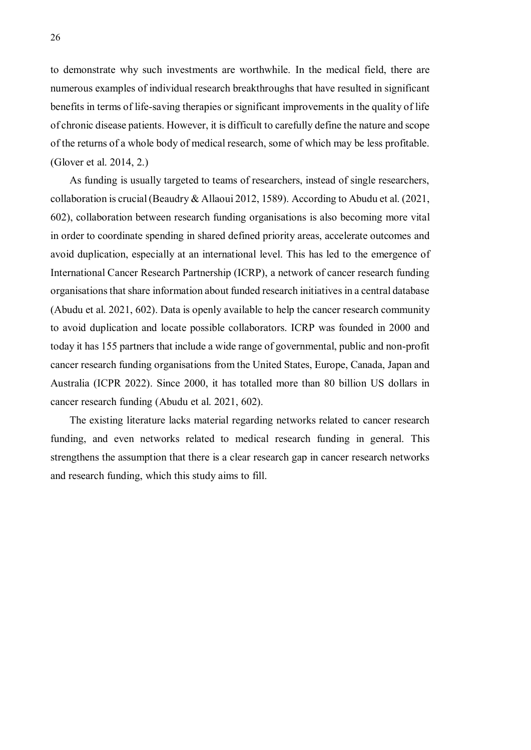to demonstrate why such investments are worthwhile. In the medical field, there are numerous examples of individual research breakthroughs that have resulted in significant benefits in terms of life-saving therapies or significant improvements in the quality of life of chronic disease patients. However, it is difficult to carefully define the nature and scope of the returns of a whole body of medical research, some of which may be less profitable. (Glover et al. 2014, 2.)

As funding is usually targeted to teams of researchers, instead of single researchers, collaboration is crucial (Beaudry & Allaoui 2012, 1589). According to Abudu et al. (2021, 602), collaboration between research funding organisations is also becoming more vital in order to coordinate spending in shared defined priority areas, accelerate outcomes and avoid duplication, especially at an international level. This has led to the emergence of International Cancer Research Partnership (ICRP), a network of cancer research funding organisations that share information about funded research initiatives in a central database (Abudu et al. 2021, 602). Data is openly available to help the cancer research community to avoid duplication and locate possible collaborators. ICRP was founded in 2000 and today it has 155 partners that include a wide range of governmental, public and non-profit cancer research funding organisations from the United States, Europe, Canada, Japan and Australia (ICPR 2022). Since 2000, it has totalled more than 80 billion US dollars in cancer research funding (Abudu et al. 2021, 602).

The existing literature lacks material regarding networks related to cancer research funding, and even networks related to medical research funding in general. This strengthens the assumption that there is a clear research gap in cancer research networks and research funding, which this study aims to fill.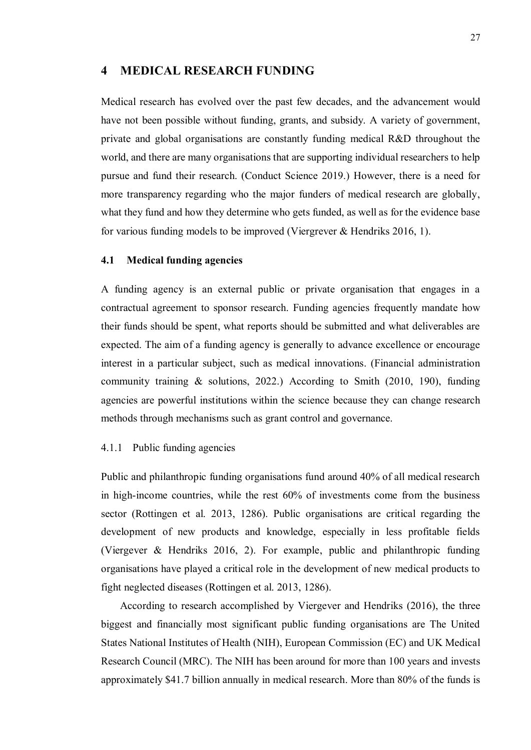### <span id="page-26-0"></span>**4 MEDICAL RESEARCH FUNDING**

Medical research has evolved over the past few decades, and the advancement would have not been possible without funding, grants, and subsidy. A variety of government, private and global organisations are constantly funding medical R&D throughout the world, and there are many organisations that are supporting individual researchers to help pursue and fund their research. (Conduct Science 2019.) However, there is a need for more transparency regarding who the major funders of medical research are globally, what they fund and how they determine who gets funded, as well as for the evidence base for various funding models to be improved (Viergrever & Hendriks 2016, 1).

#### <span id="page-26-1"></span>**4.1 Medical funding agencies**

A funding agency is an external public or private organisation that engages in a contractual agreement to sponsor research. Funding agencies frequently mandate how their funds should be spent, what reports should be submitted and what deliverables are expected. The aim of a funding agency is generally to advance excellence or encourage interest in a particular subject, such as medical innovations. (Financial administration community training & solutions, 2022.) According to Smith (2010, 190), funding agencies are powerful institutions within the science because they can change research methods through mechanisms such as grant control and governance.

#### <span id="page-26-2"></span>4.1.1 Public funding agencies

Public and philanthropic funding organisations fund around 40% of all medical research in high-income countries, while the rest 60% of investments come from the business sector (Rottingen et al. 2013, 1286). Public organisations are critical regarding the development of new products and knowledge, especially in less profitable fields (Viergever & Hendriks 2016, 2). For example, public and philanthropic funding organisations have played a critical role in the development of new medical products to fight neglected diseases (Rottingen et al. 2013, 1286).

According to research accomplished by Viergever and Hendriks (2016), the three biggest and financially most significant public funding organisations are The United States National Institutes of Health (NIH), European Commission (EC) and UK Medical Research Council (MRC). The NIH has been around for more than 100 years and invests approximately \$41.7 billion annually in medical research. More than 80% of the funds is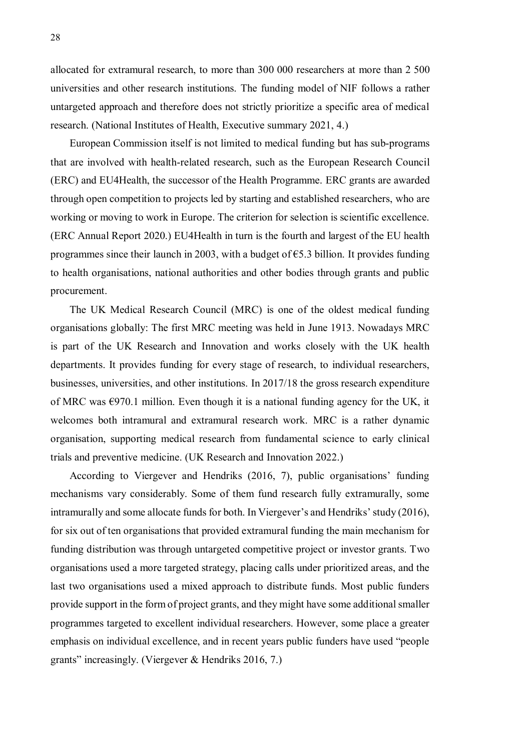allocated for extramural research, to more than 300 000 researchers at more than 2 500 universities and other research institutions. The funding model of NIF follows a rather untargeted approach and therefore does not strictly prioritize a specific area of medical research. (National Institutes of Health, Executive summary 2021, 4.)

European Commission itself is not limited to medical funding but has sub-programs that are involved with health-related research, such as the European Research Council (ERC) and EU4Health, the successor of the Health Programme. ERC grants are awarded through open competition to projects led by starting and established researchers, who are working or moving to work in Europe. The criterion for selection is scientific excellence. (ERC Annual Report 2020.) EU4Health in turn is the fourth and largest of the EU health programmes since their launch in 2003, with a budget of  $\epsilon$ 5.3 billion. It provides funding to health organisations, national authorities and other bodies through grants and public procurement.

The UK Medical Research Council (MRC) is one of the oldest medical funding organisations globally: The first MRC meeting was held in June 1913. Nowadays MRC is part of the UK Research and Innovation and works closely with the UK health departments. It provides funding for every stage of research, to individual researchers, businesses, universities, and other institutions. In 2017/18 the gross research expenditure of MRC was  $\epsilon$ 970.1 million. Even though it is a national funding agency for the UK, it welcomes both intramural and extramural research work. MRC is a rather dynamic organisation, supporting medical research from fundamental science to early clinical trials and preventive medicine. (UK Research and Innovation 2022.)

According to Viergever and Hendriks (2016, 7), public organisations' funding mechanisms vary considerably. Some of them fund research fully extramurally, some intramurally and some allocate funds for both. In Viergever's and Hendriks' study (2016), for six out of ten organisations that provided extramural funding the main mechanism for funding distribution was through untargeted competitive project or investor grants. Two organisations used a more targeted strategy, placing calls under prioritized areas, and the last two organisations used a mixed approach to distribute funds. Most public funders provide support in the form of project grants, and they might have some additional smaller programmes targeted to excellent individual researchers. However, some place a greater emphasis on individual excellence, and in recent years public funders have used "people grants" increasingly. (Viergever & Hendriks 2016, 7.)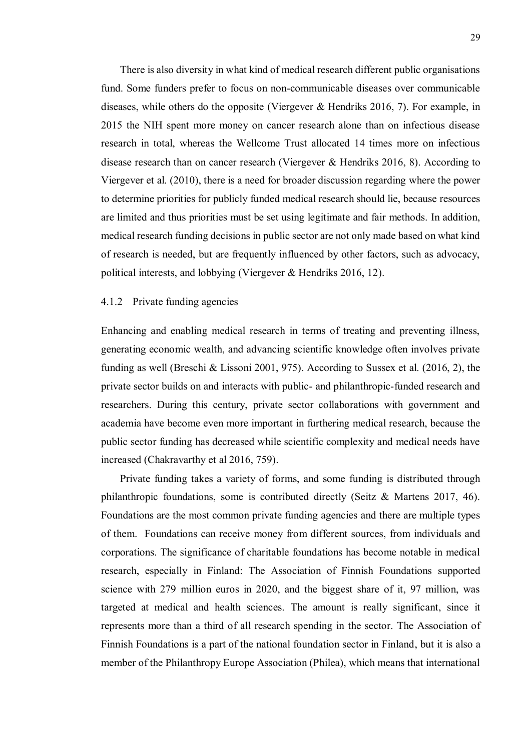There is also diversity in what kind of medical research different public organisations fund. Some funders prefer to focus on non-communicable diseases over communicable diseases, while others do the opposite (Viergever & Hendriks 2016, 7). For example, in 2015 the NIH spent more money on cancer research alone than on infectious disease research in total, whereas the Wellcome Trust allocated 14 times more on infectious disease research than on cancer research (Viergever & Hendriks 2016, 8). According to Viergever et al. (2010), there is a need for broader discussion regarding where the power to determine priorities for publicly funded medical research should lie, because resources are limited and thus priorities must be set using legitimate and fair methods. In addition, medical research funding decisions in public sector are not only made based on what kind of research is needed, but are frequently influenced by other factors, such as advocacy, political interests, and lobbying (Viergever & Hendriks 2016, 12).

#### <span id="page-28-0"></span>4.1.2 Private funding agencies

Enhancing and enabling medical research in terms of treating and preventing illness, generating economic wealth, and advancing scientific knowledge often involves private funding as well (Breschi & Lissoni 2001, 975). According to Sussex et al. (2016, 2), the private sector builds on and interacts with public- and philanthropic-funded research and researchers. During this century, private sector collaborations with government and academia have become even more important in furthering medical research, because the public sector funding has decreased while scientific complexity and medical needs have increased (Chakravarthy et al 2016, 759).

Private funding takes a variety of forms, and some funding is distributed through philanthropic foundations, some is contributed directly (Seitz & Martens 2017, 46). Foundations are the most common private funding agencies and there are multiple types of them. Foundations can receive money from different sources, from individuals and corporations. The significance of charitable foundations has become notable in medical research, especially in Finland: The Association of Finnish Foundations supported science with 279 million euros in 2020, and the biggest share of it, 97 million, was targeted at medical and health sciences. The amount is really significant, since it represents more than a third of all research spending in the sector. The Association of Finnish Foundations is a part of the national foundation sector in Finland, but it is also a member of the Philanthropy Europe Association (Philea), which means that international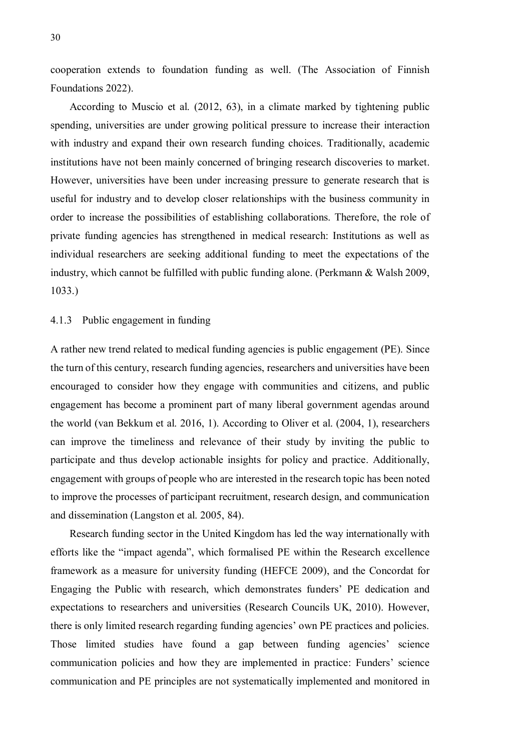cooperation extends to foundation funding as well. (The Association of Finnish Foundations 2022).

According to Muscio et al. (2012, 63), in a climate marked by tightening public spending, universities are under growing political pressure to increase their interaction with industry and expand their own research funding choices. Traditionally, academic institutions have not been mainly concerned of bringing research discoveries to market. However, universities have been under increasing pressure to generate research that is useful for industry and to develop closer relationships with the business community in order to increase the possibilities of establishing collaborations. Therefore, the role of private funding agencies has strengthened in medical research: Institutions as well as individual researchers are seeking additional funding to meet the expectations of the industry, which cannot be fulfilled with public funding alone. (Perkmann & Walsh 2009, 1033.)

## <span id="page-29-0"></span>4.1.3 Public engagement in funding

A rather new trend related to medical funding agencies is public engagement (PE). Since the turn of this century, research funding agencies, researchers and universities have been encouraged to consider how they engage with communities and citizens, and public engagement has become a prominent part of many liberal government agendas around the world (van Bekkum et al. 2016, 1). According to Oliver et al. (2004, 1), researchers can improve the timeliness and relevance of their study by inviting the public to participate and thus develop actionable insights for policy and practice. Additionally, engagement with groups of people who are interested in the research topic has been noted to improve the processes of participant recruitment, research design, and communication and dissemination (Langston et al. 2005, 84).

Research funding sector in the United Kingdom has led the way internationally with efforts like the "impact agenda", which formalised PE within the Research excellence framework as a measure for university funding (HEFCE 2009), and the Concordat for Engaging the Public with research, which demonstrates funders' PE dedication and expectations to researchers and universities (Research Councils UK, 2010). However, there is only limited research regarding funding agencies' own PE practices and policies. Those limited studies have found a gap between funding agencies' science communication policies and how they are implemented in practice: Funders' science communication and PE principles are not systematically implemented and monitored in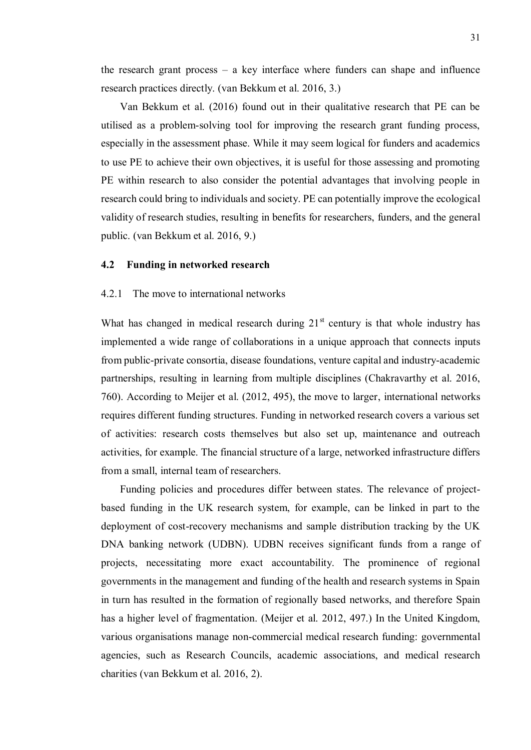the research grant process – a key interface where funders can shape and influence research practices directly. (van Bekkum et al. 2016, 3.)

Van Bekkum et al. (2016) found out in their qualitative research that PE can be utilised as a problem-solving tool for improving the research grant funding process, especially in the assessment phase. While it may seem logical for funders and academics to use PE to achieve their own objectives, it is useful for those assessing and promoting PE within research to also consider the potential advantages that involving people in research could bring to individuals and society. PE can potentially improve the ecological validity of research studies, resulting in benefits for researchers, funders, and the general public. (van Bekkum et al. 2016, 9.)

#### <span id="page-30-0"></span>**4.2 Funding in networked research**

#### <span id="page-30-1"></span>4.2.1 The move to international networks

What has changed in medical research during  $21<sup>st</sup>$  century is that whole industry has implemented a wide range of collaborations in a unique approach that connects inputs from public-private consortia, disease foundations, venture capital and industry-academic partnerships, resulting in learning from multiple disciplines (Chakravarthy et al. 2016, 760). According to Meijer et al. (2012, 495), the move to larger, international networks requires different funding structures. Funding in networked research covers a various set of activities: research costs themselves but also set up, maintenance and outreach activities, for example. The financial structure of a large, networked infrastructure differs from a small, internal team of researchers.

Funding policies and procedures differ between states. The relevance of projectbased funding in the UK research system, for example, can be linked in part to the deployment of cost-recovery mechanisms and sample distribution tracking by the UK DNA banking network (UDBN). UDBN receives significant funds from a range of projects, necessitating more exact accountability. The prominence of regional governments in the management and funding of the health and research systems in Spain in turn has resulted in the formation of regionally based networks, and therefore Spain has a higher level of fragmentation. (Meijer et al. 2012, 497.) In the United Kingdom, various organisations manage non-commercial medical research funding: governmental agencies, such as Research Councils, academic associations, and medical research charities (van Bekkum et al. 2016, 2).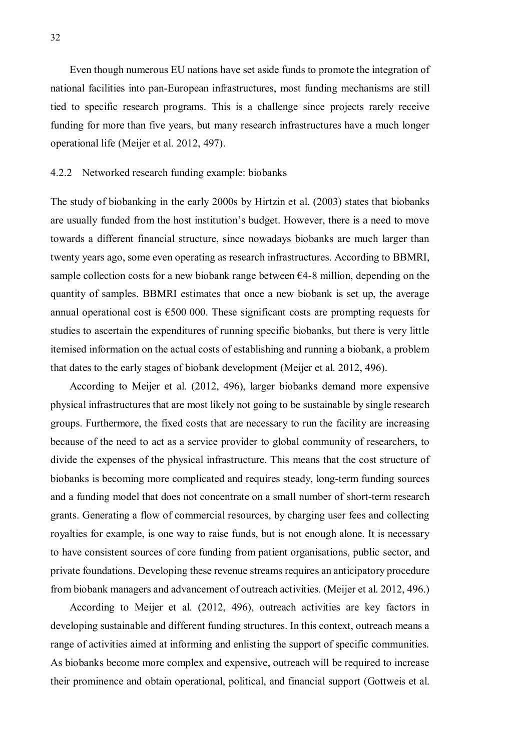Even though numerous EU nations have set aside funds to promote the integration of national facilities into pan-European infrastructures, most funding mechanisms are still tied to specific research programs. This is a challenge since projects rarely receive funding for more than five years, but many research infrastructures have a much longer operational life (Meijer et al. 2012, 497).

#### <span id="page-31-0"></span>4.2.2 Networked research funding example: biobanks

The study of biobanking in the early 2000s by Hirtzin et al. (2003) states that biobanks are usually funded from the host institution's budget. However, there is a need to move towards a different financial structure, since nowadays biobanks are much larger than twenty years ago, some even operating as research infrastructures. According to BBMRI, sample collection costs for a new biobank range between  $64-8$  million, depending on the quantity of samples. BBMRI estimates that once a new biobank is set up, the average annual operational cost is  $\epsilon$ 500 000. These significant costs are prompting requests for studies to ascertain the expenditures of running specific biobanks, but there is very little itemised information on the actual costs of establishing and running a biobank, a problem that dates to the early stages of biobank development (Meijer et al. 2012, 496).

According to Meijer et al. (2012, 496), larger biobanks demand more expensive physical infrastructures that are most likely not going to be sustainable by single research groups. Furthermore, the fixed costs that are necessary to run the facility are increasing because of the need to act as a service provider to global community of researchers, to divide the expenses of the physical infrastructure. This means that the cost structure of biobanks is becoming more complicated and requires steady, long-term funding sources and a funding model that does not concentrate on a small number of short-term research grants. Generating a flow of commercial resources, by charging user fees and collecting royalties for example, is one way to raise funds, but is not enough alone. It is necessary to have consistent sources of core funding from patient organisations, public sector, and private foundations. Developing these revenue streams requires an anticipatory procedure from biobank managers and advancement of outreach activities. (Meijer et al. 2012, 496.)

According to Meijer et al. (2012, 496), outreach activities are key factors in developing sustainable and different funding structures. In this context, outreach means a range of activities aimed at informing and enlisting the support of specific communities. As biobanks become more complex and expensive, outreach will be required to increase their prominence and obtain operational, political, and financial support (Gottweis et al.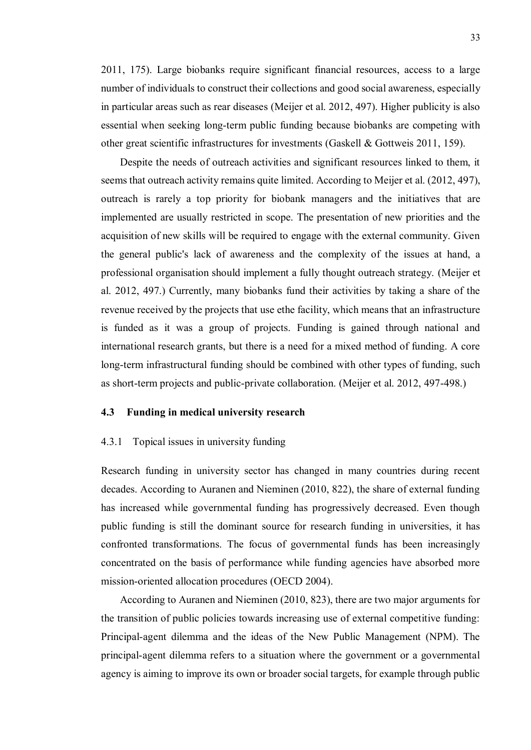2011, 175). Large biobanks require significant financial resources, access to a large number of individuals to construct their collections and good social awareness, especially in particular areas such as rear diseases (Meijer et al. 2012, 497). Higher publicity is also essential when seeking long-term public funding because biobanks are competing with other great scientific infrastructures for investments (Gaskell & Gottweis 2011, 159).

Despite the needs of outreach activities and significant resources linked to them, it seems that outreach activity remains quite limited. According to Meijer et al. (2012, 497), outreach is rarely a top priority for biobank managers and the initiatives that are implemented are usually restricted in scope. The presentation of new priorities and the acquisition of new skills will be required to engage with the external community. Given the general public's lack of awareness and the complexity of the issues at hand, a professional organisation should implement a fully thought outreach strategy. (Meijer et al. 2012, 497.) Currently, many biobanks fund their activities by taking a share of the revenue received by the projects that use ethe facility, which means that an infrastructure is funded as it was a group of projects. Funding is gained through national and international research grants, but there is a need for a mixed method of funding. A core long-term infrastructural funding should be combined with other types of funding, such as short-term projects and public-private collaboration. (Meijer et al. 2012, 497-498.)

#### <span id="page-32-0"></span>**4.3 Funding in medical university research**

#### <span id="page-32-1"></span>4.3.1 Topical issues in university funding

Research funding in university sector has changed in many countries during recent decades. According to Auranen and Nieminen (2010, 822), the share of external funding has increased while governmental funding has progressively decreased. Even though public funding is still the dominant source for research funding in universities, it has confronted transformations. The focus of governmental funds has been increasingly concentrated on the basis of performance while funding agencies have absorbed more mission-oriented allocation procedures (OECD 2004).

According to Auranen and Nieminen (2010, 823), there are two major arguments for the transition of public policies towards increasing use of external competitive funding: Principal-agent dilemma and the ideas of the New Public Management (NPM). The principal-agent dilemma refers to a situation where the government or a governmental agency is aiming to improve its own or broader social targets, for example through public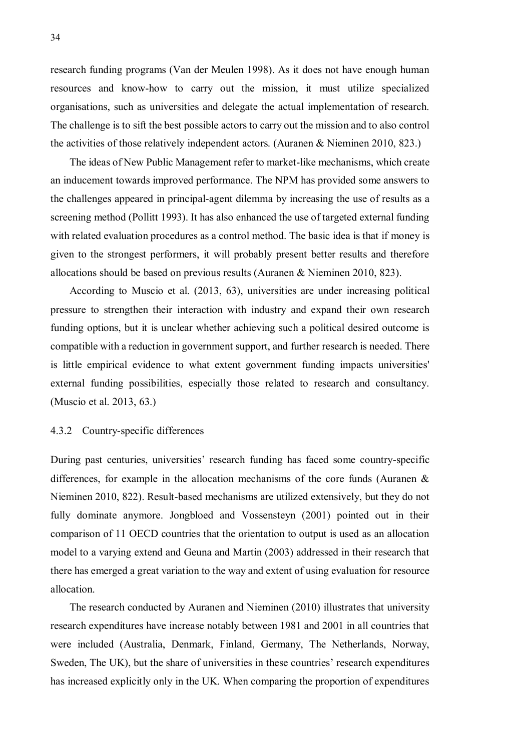research funding programs (Van der Meulen 1998). As it does not have enough human resources and know-how to carry out the mission, it must utilize specialized organisations, such as universities and delegate the actual implementation of research. The challenge is to sift the best possible actors to carry out the mission and to also control the activities of those relatively independent actors. (Auranen & Nieminen 2010, 823.)

The ideas of New Public Management refer to market-like mechanisms, which create an inducement towards improved performance. The NPM has provided some answers to the challenges appeared in principal-agent dilemma by increasing the use of results as a screening method (Pollitt 1993). It has also enhanced the use of targeted external funding with related evaluation procedures as a control method. The basic idea is that if money is given to the strongest performers, it will probably present better results and therefore allocations should be based on previous results (Auranen & Nieminen 2010, 823).

According to Muscio et al. (2013, 63), universities are under increasing political pressure to strengthen their interaction with industry and expand their own research funding options, but it is unclear whether achieving such a political desired outcome is compatible with a reduction in government support, and further research is needed. There is little empirical evidence to what extent government funding impacts universities' external funding possibilities, especially those related to research and consultancy. (Muscio et al. 2013, 63.)

#### <span id="page-33-0"></span>4.3.2 Country-specific differences

During past centuries, universities' research funding has faced some country-specific differences, for example in the allocation mechanisms of the core funds (Auranen & Nieminen 2010, 822). Result-based mechanisms are utilized extensively, but they do not fully dominate anymore. Jongbloed and Vossensteyn (2001) pointed out in their comparison of 11 OECD countries that the orientation to output is used as an allocation model to a varying extend and Geuna and Martin (2003) addressed in their research that there has emerged a great variation to the way and extent of using evaluation for resource allocation.

The research conducted by Auranen and Nieminen (2010) illustrates that university research expenditures have increase notably between 1981 and 2001 in all countries that were included (Australia, Denmark, Finland, Germany, The Netherlands, Norway, Sweden, The UK), but the share of universities in these countries' research expenditures has increased explicitly only in the UK. When comparing the proportion of expenditures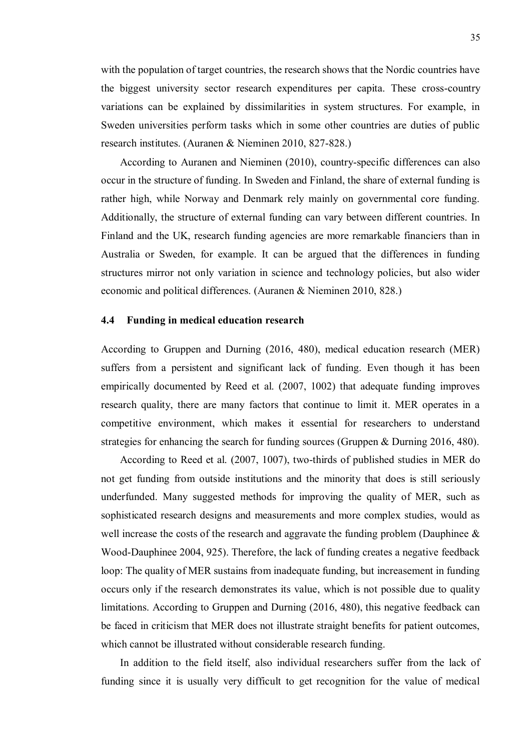with the population of target countries, the research shows that the Nordic countries have the biggest university sector research expenditures per capita. These cross-country variations can be explained by dissimilarities in system structures. For example, in Sweden universities perform tasks which in some other countries are duties of public research institutes. (Auranen & Nieminen 2010, 827-828.)

According to Auranen and Nieminen (2010), country-specific differences can also occur in the structure of funding. In Sweden and Finland, the share of external funding is rather high, while Norway and Denmark rely mainly on governmental core funding. Additionally, the structure of external funding can vary between different countries. In Finland and the UK, research funding agencies are more remarkable financiers than in Australia or Sweden, for example. It can be argued that the differences in funding structures mirror not only variation in science and technology policies, but also wider economic and political differences. (Auranen & Nieminen 2010, 828.)

#### <span id="page-34-0"></span>**4.4 Funding in medical education research**

According to Gruppen and Durning (2016, 480), medical education research (MER) suffers from a persistent and significant lack of funding. Even though it has been empirically documented by Reed et al. (2007, 1002) that adequate funding improves research quality, there are many factors that continue to limit it. MER operates in a competitive environment, which makes it essential for researchers to understand strategies for enhancing the search for funding sources (Gruppen & Durning 2016, 480).

According to Reed et al. (2007, 1007), two-thirds of published studies in MER do not get funding from outside institutions and the minority that does is still seriously underfunded. Many suggested methods for improving the quality of MER, such as sophisticated research designs and measurements and more complex studies, would as well increase the costs of the research and aggravate the funding problem (Dauphinee & Wood-Dauphinee 2004, 925). Therefore, the lack of funding creates a negative feedback loop: The quality of MER sustains from inadequate funding, but increasement in funding occurs only if the research demonstrates its value, which is not possible due to quality limitations. According to Gruppen and Durning (2016, 480), this negative feedback can be faced in criticism that MER does not illustrate straight benefits for patient outcomes, which cannot be illustrated without considerable research funding.

In addition to the field itself, also individual researchers suffer from the lack of funding since it is usually very difficult to get recognition for the value of medical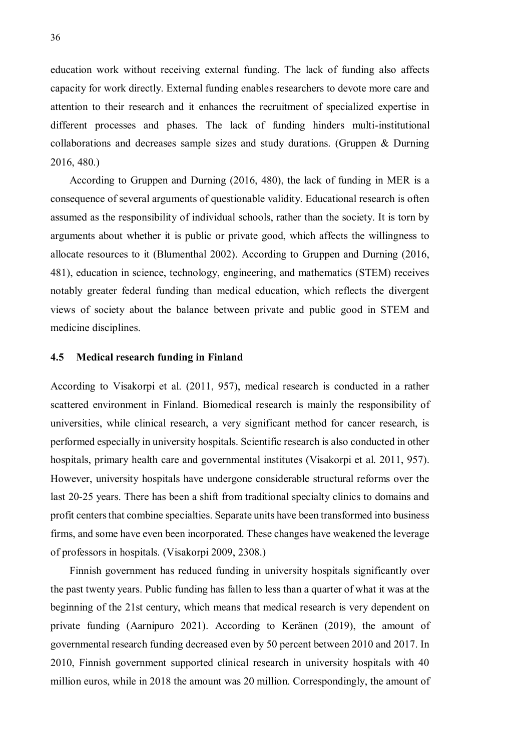education work without receiving external funding. The lack of funding also affects capacity for work directly. External funding enables researchers to devote more care and attention to their research and it enhances the recruitment of specialized expertise in different processes and phases. The lack of funding hinders multi-institutional collaborations and decreases sample sizes and study durations. (Gruppen & Durning 2016, 480.)

According to Gruppen and Durning (2016, 480), the lack of funding in MER is a consequence of several arguments of questionable validity. Educational research is often assumed as the responsibility of individual schools, rather than the society. It is torn by arguments about whether it is public or private good, which affects the willingness to allocate resources to it (Blumenthal 2002). According to Gruppen and Durning (2016, 481), education in science, technology, engineering, and mathematics (STEM) receives notably greater federal funding than medical education, which reflects the divergent views of society about the balance between private and public good in STEM and medicine disciplines.

#### <span id="page-35-0"></span>**4.5 Medical research funding in Finland**

According to Visakorpi et al. (2011, 957), medical research is conducted in a rather scattered environment in Finland. Biomedical research is mainly the responsibility of universities, while clinical research, a very significant method for cancer research, is performed especially in university hospitals. Scientific research is also conducted in other hospitals, primary health care and governmental institutes (Visakorpi et al. 2011, 957). However, university hospitals have undergone considerable structural reforms over the last 20-25 years. There has been a shift from traditional specialty clinics to domains and profit centers that combine specialties. Separate units have been transformed into business firms, and some have even been incorporated. These changes have weakened the leverage of professors in hospitals. (Visakorpi 2009, 2308.)

Finnish government has reduced funding in university hospitals significantly over the past twenty years. Public funding has fallen to less than a quarter of what it was at the beginning of the 21st century, which means that medical research is very dependent on private funding (Aarnipuro 2021). According to Keränen (2019), the amount of governmental research funding decreased even by 50 percent between 2010 and 2017. In 2010, Finnish government supported clinical research in university hospitals with 40 million euros, while in 2018 the amount was 20 million. Correspondingly, the amount of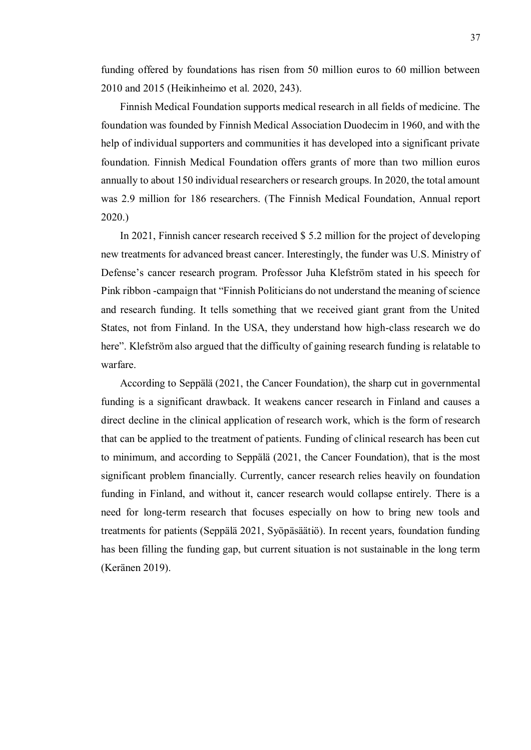funding offered by foundations has risen from 50 million euros to 60 million between 2010 and 2015 (Heikinheimo et al. 2020, 243).

Finnish Medical Foundation supports medical research in all fields of medicine. The foundation was founded by Finnish Medical Association Duodecim in 1960, and with the help of individual supporters and communities it has developed into a significant private foundation. Finnish Medical Foundation offers grants of more than two million euros annually to about 150 individual researchers or research groups. In 2020, the total amount was 2.9 million for 186 researchers. (The Finnish Medical Foundation, Annual report 2020.)

In 2021, Finnish cancer research received \$ 5.2 million for the project of developing new treatments for advanced breast cancer. Interestingly, the funder was U.S. Ministry of Defense's cancer research program. Professor Juha Klefström stated in his speech for Pink ribbon -campaign that "Finnish Politicians do not understand the meaning of science and research funding. It tells something that we received giant grant from the United States, not from Finland. In the USA, they understand how high-class research we do here". Klefström also argued that the difficulty of gaining research funding is relatable to warfare.

According to Seppälä (2021, the Cancer Foundation), the sharp cut in governmental funding is a significant drawback. It weakens cancer research in Finland and causes a direct decline in the clinical application of research work, which is the form of research that can be applied to the treatment of patients. Funding of clinical research has been cut to minimum, and according to Seppälä (2021, the Cancer Foundation), that is the most significant problem financially. Currently, cancer research relies heavily on foundation funding in Finland, and without it, cancer research would collapse entirely. There is a need for long-term research that focuses especially on how to bring new tools and treatments for patients (Seppälä 2021, Syöpäsäätiö). In recent years, foundation funding has been filling the funding gap, but current situation is not sustainable in the long term (Keränen 2019).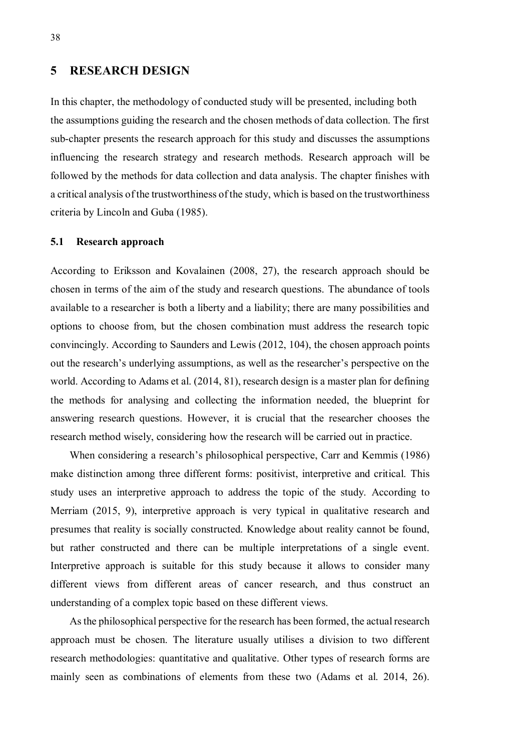# **5 RESEARCH DESIGN**

In this chapter, the methodology of conducted study will be presented, including both the assumptions guiding the research and the chosen methods of data collection. The first sub-chapter presents the research approach for this study and discusses the assumptions influencing the research strategy and research methods. Research approach will be followed by the methods for data collection and data analysis. The chapter finishes with a critical analysis of the trustworthiness of the study, which is based on the trustworthiness criteria by Lincoln and Guba (1985).

#### **5.1 Research approach**

According to Eriksson and Kovalainen (2008, 27), the research approach should be chosen in terms of the aim of the study and research questions. The abundance of tools available to a researcher is both a liberty and a liability; there are many possibilities and options to choose from, but the chosen combination must address the research topic convincingly. According to Saunders and Lewis (2012, 104), the chosen approach points out the research's underlying assumptions, as well as the researcher's perspective on the world. According to Adams et al. (2014, 81), research design is a master plan for defining the methods for analysing and collecting the information needed, the blueprint for answering research questions. However, it is crucial that the researcher chooses the research method wisely, considering how the research will be carried out in practice.

When considering a research's philosophical perspective, Carr and Kemmis (1986) make distinction among three different forms: positivist, interpretive and critical. This study uses an interpretive approach to address the topic of the study. According to Merriam (2015, 9), interpretive approach is very typical in qualitative research and presumes that reality is socially constructed. Knowledge about reality cannot be found, but rather constructed and there can be multiple interpretations of a single event. Interpretive approach is suitable for this study because it allows to consider many different views from different areas of cancer research, and thus construct an understanding of a complex topic based on these different views.

As the philosophical perspective for the research has been formed, the actual research approach must be chosen. The literature usually utilises a division to two different research methodologies: quantitative and qualitative. Other types of research forms are mainly seen as combinations of elements from these two (Adams et al. 2014, 26).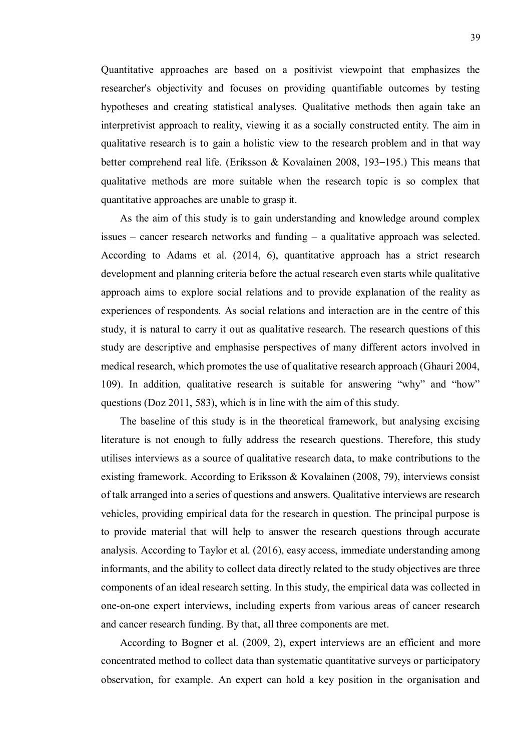Quantitative approaches are based on a positivist viewpoint that emphasizes the researcher's objectivity and focuses on providing quantifiable outcomes by testing hypotheses and creating statistical analyses. Qualitative methods then again take an interpretivist approach to reality, viewing it as a socially constructed entity. The aim in qualitative research is to gain a holistic view to the research problem and in that way better comprehend real life. (Eriksson & Kovalainen 2008, 193*–*195.) This means that qualitative methods are more suitable when the research topic is so complex that quantitative approaches are unable to grasp it.

As the aim of this study is to gain understanding and knowledge around complex issues – cancer research networks and funding – a qualitative approach was selected. According to Adams et al. (2014, 6), quantitative approach has a strict research development and planning criteria before the actual research even starts while qualitative approach aims to explore social relations and to provide explanation of the reality as experiences of respondents. As social relations and interaction are in the centre of this study, it is natural to carry it out as qualitative research. The research questions of this study are descriptive and emphasise perspectives of many different actors involved in medical research, which promotes the use of qualitative research approach (Ghauri 2004, 109). In addition, qualitative research is suitable for answering "why" and "how" questions (Doz 2011, 583), which is in line with the aim of this study.

The baseline of this study is in the theoretical framework, but analysing excising literature is not enough to fully address the research questions. Therefore, this study utilises interviews as a source of qualitative research data, to make contributions to the existing framework. According to Eriksson & Kovalainen (2008, 79), interviews consist of talk arranged into a series of questions and answers. Qualitative interviews are research vehicles, providing empirical data for the research in question. The principal purpose is to provide material that will help to answer the research questions through accurate analysis. According to Taylor et al. (2016), easy access, immediate understanding among informants, and the ability to collect data directly related to the study objectives are three components of an ideal research setting. In this study, the empirical data was collected in one-on-one expert interviews, including experts from various areas of cancer research and cancer research funding. By that, all three components are met.

According to Bogner et al. (2009, 2), expert interviews are an efficient and more concentrated method to collect data than systematic quantitative surveys or participatory observation, for example. An expert can hold a key position in the organisation and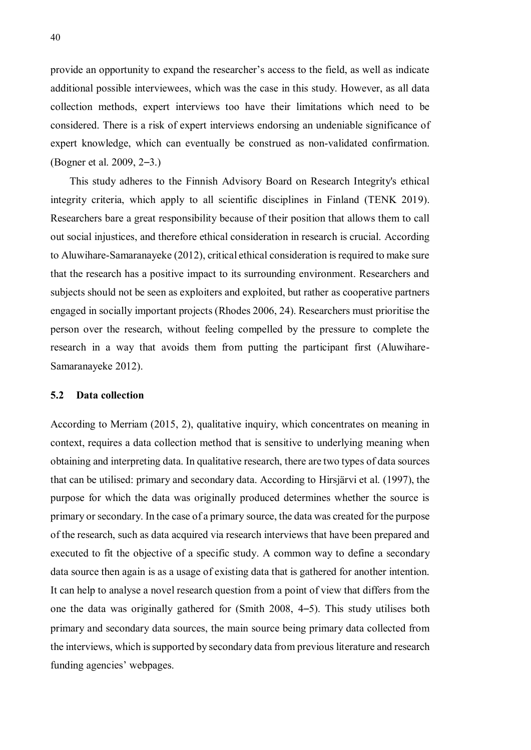provide an opportunity to expand the researcher's access to the field, as well as indicate additional possible interviewees, which was the case in this study. However, as all data collection methods, expert interviews too have their limitations which need to be considered. There is a risk of expert interviews endorsing an undeniable significance of expert knowledge, which can eventually be construed as non-validated confirmation. (Bogner et al. 2009, 2*–*3.)

This study adheres to the Finnish Advisory Board on Research Integrity's ethical integrity criteria, which apply to all scientific disciplines in Finland (TENK 2019). Researchers bare a great responsibility because of their position that allows them to call out social injustices, and therefore ethical consideration in research is crucial. According to Aluwihare-Samaranayeke (2012), critical ethical consideration is required to make sure that the research has a positive impact to its surrounding environment. Researchers and subjects should not be seen as exploiters and exploited, but rather as cooperative partners engaged in socially important projects (Rhodes 2006, 24). Researchers must prioritise the person over the research, without feeling compelled by the pressure to complete the research in a way that avoids them from putting the participant first (Aluwihare-Samaranayeke 2012).

## **5.2 Data collection**

According to Merriam (2015, 2), qualitative inquiry, which concentrates on meaning in context, requires a data collection method that is sensitive to underlying meaning when obtaining and interpreting data. In qualitative research, there are two types of data sources that can be utilised: primary and secondary data. According to Hirsjärvi et al. (1997), the purpose for which the data was originally produced determines whether the source is primary or secondary. In the case of a primary source, the data was created for the purpose of the research, such as data acquired via research interviews that have been prepared and executed to fit the objective of a specific study. A common way to define a secondary data source then again is as a usage of existing data that is gathered for another intention. It can help to analyse a novel research question from a point of view that differs from the one the data was originally gathered for (Smith 2008, 4*–*5). This study utilises both primary and secondary data sources, the main source being primary data collected from the interviews, which is supported by secondary data from previous literature and research funding agencies' webpages.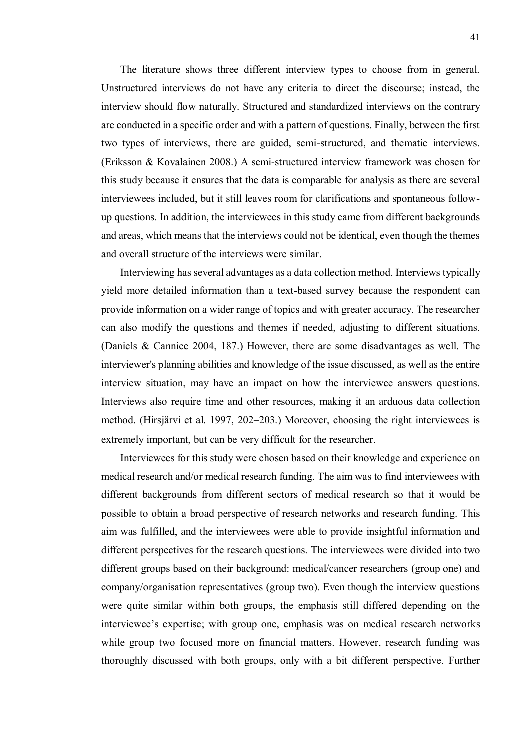The literature shows three different interview types to choose from in general. Unstructured interviews do not have any criteria to direct the discourse; instead, the interview should flow naturally. Structured and standardized interviews on the contrary are conducted in a specific order and with a pattern of questions. Finally, between the first two types of interviews, there are guided, semi-structured, and thematic interviews. (Eriksson & Kovalainen 2008.) A semi-structured interview framework was chosen for this study because it ensures that the data is comparable for analysis as there are several interviewees included, but it still leaves room for clarifications and spontaneous followup questions. In addition, the interviewees in this study came from different backgrounds and areas, which means that the interviews could not be identical, even though the themes and overall structure of the interviews were similar.

Interviewing has several advantages as a data collection method. Interviews typically yield more detailed information than a text-based survey because the respondent can provide information on a wider range of topics and with greater accuracy. The researcher can also modify the questions and themes if needed, adjusting to different situations. (Daniels & Cannice 2004, 187.) However, there are some disadvantages as well. The interviewer's planning abilities and knowledge of the issue discussed, as well as the entire interview situation, may have an impact on how the interviewee answers questions. Interviews also require time and other resources, making it an arduous data collection method. (Hirsjärvi et al. 1997, 202*–*203.) Moreover, choosing the right interviewees is extremely important, but can be very difficult for the researcher.

Interviewees for this study were chosen based on their knowledge and experience on medical research and/or medical research funding. The aim was to find interviewees with different backgrounds from different sectors of medical research so that it would be possible to obtain a broad perspective of research networks and research funding. This aim was fulfilled, and the interviewees were able to provide insightful information and different perspectives for the research questions. The interviewees were divided into two different groups based on their background: medical/cancer researchers (group one) and company/organisation representatives (group two). Even though the interview questions were quite similar within both groups, the emphasis still differed depending on the interviewee's expertise; with group one, emphasis was on medical research networks while group two focused more on financial matters. However, research funding was thoroughly discussed with both groups, only with a bit different perspective. Further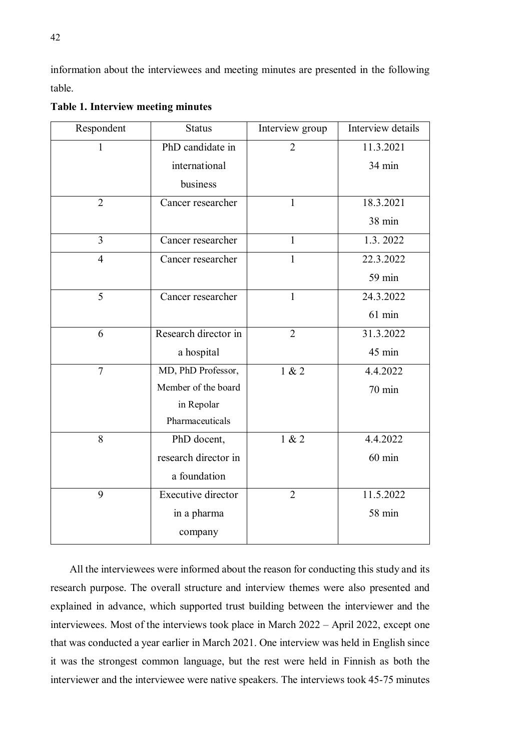information about the interviewees and meeting minutes are presented in the following table.

| Respondent     | <b>Status</b>        | Interview group | Interview details |
|----------------|----------------------|-----------------|-------------------|
| $\mathbf{1}$   | PhD candidate in     | $\overline{2}$  | 11.3.2021         |
|                | international        |                 | 34 min            |
|                | business             |                 |                   |
| $\overline{2}$ | Cancer researcher    | $\mathbf{1}$    | 18.3.2021         |
|                |                      |                 | 38 min            |
| $\overline{3}$ | Cancer researcher    | $\mathbf{1}$    | 1.3.2022          |
| $\overline{4}$ | Cancer researcher    | $\mathbf{1}$    | 22.3.2022         |
|                |                      |                 | 59 min            |
| 5              | Cancer researcher    | $\mathbf{1}$    | 24.3.2022         |
|                |                      |                 | $61$ min          |
| 6              | Research director in | $\overline{2}$  | 31.3.2022         |
|                | a hospital           |                 | 45 min            |
| $\overline{7}$ | MD, PhD Professor,   | 1 & 2           | 4.4.2022          |
|                | Member of the board  |                 | $70$ min          |
|                | in Repolar           |                 |                   |
|                | Pharmaceuticals      |                 |                   |
| 8              | PhD docent,          | 1 & 2           | 4.4.2022          |
|                | research director in |                 | $60$ min          |
|                | a foundation         |                 |                   |
| 9              | Executive director   | $\overline{2}$  | 11.5.2022         |
|                | in a pharma          |                 | 58 min            |
|                | company              |                 |                   |

**Table 1. Interview meeting minutes**

All the interviewees were informed about the reason for conducting this study and its research purpose. The overall structure and interview themes were also presented and explained in advance, which supported trust building between the interviewer and the interviewees. Most of the interviews took place in March 2022 – April 2022, except one that was conducted a year earlier in March 2021. One interview was held in English since it was the strongest common language, but the rest were held in Finnish as both the interviewer and the interviewee were native speakers. The interviews took 45-75 minutes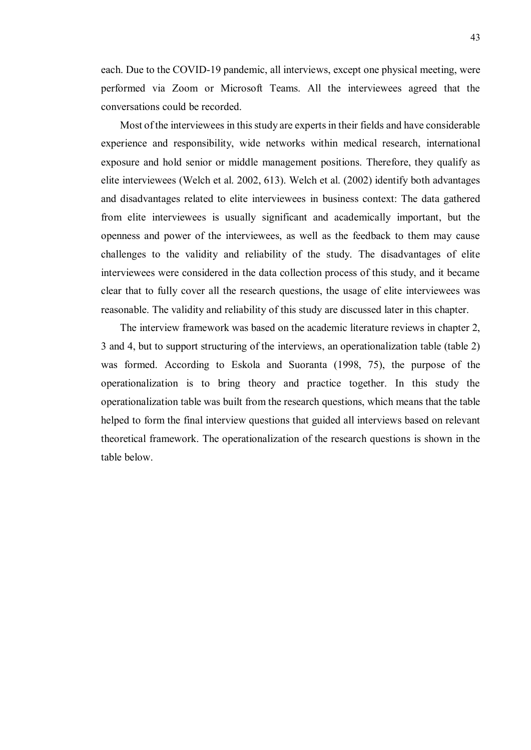each. Due to the COVID-19 pandemic, all interviews, except one physical meeting, were performed via Zoom or Microsoft Teams. All the interviewees agreed that the conversations could be recorded.

Most of the interviewees in this study are experts in their fields and have considerable experience and responsibility, wide networks within medical research, international exposure and hold senior or middle management positions. Therefore, they qualify as elite interviewees (Welch et al. 2002, 613). Welch et al. (2002) identify both advantages and disadvantages related to elite interviewees in business context: The data gathered from elite interviewees is usually significant and academically important, but the openness and power of the interviewees, as well as the feedback to them may cause challenges to the validity and reliability of the study. The disadvantages of elite interviewees were considered in the data collection process of this study, and it became clear that to fully cover all the research questions, the usage of elite interviewees was reasonable. The validity and reliability of this study are discussed later in this chapter.

The interview framework was based on the academic literature reviews in chapter 2, 3 and 4, but to support structuring of the interviews, an operationalization table (table 2) was formed. According to Eskola and Suoranta (1998, 75), the purpose of the operationalization is to bring theory and practice together. In this study the operationalization table was built from the research questions, which means that the table helped to form the final interview questions that guided all interviews based on relevant theoretical framework. The operationalization of the research questions is shown in the table below.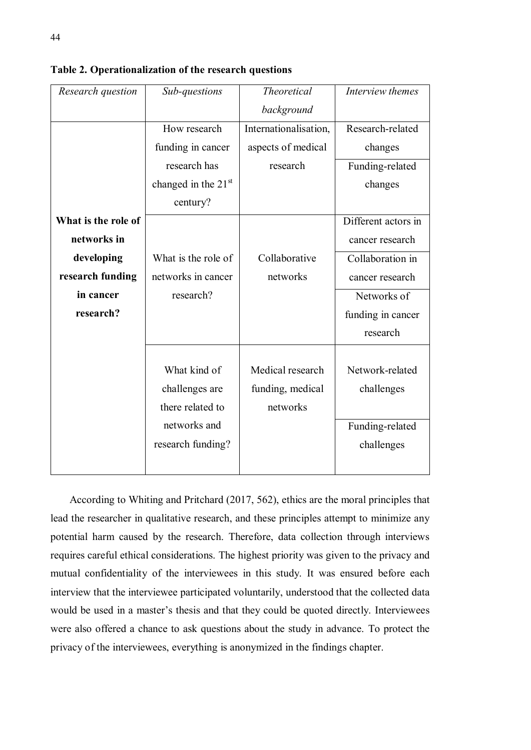| Research question   | Sub-questions         | <b>Theoretical</b>    | Interview themes    |
|---------------------|-----------------------|-----------------------|---------------------|
|                     |                       | background            |                     |
|                     | How research          | Internationalisation, | Research-related    |
|                     | funding in cancer     | aspects of medical    | changes             |
|                     | research has          | research              | Funding-related     |
|                     | changed in the $21st$ |                       | changes             |
|                     | century?              |                       |                     |
| What is the role of |                       |                       | Different actors in |
| networks in         |                       |                       | cancer research     |
| developing          | What is the role of   | Collaborative         | Collaboration in    |
| research funding    | networks in cancer    | networks              | cancer research     |
| in cancer           | research?             |                       | Networks of         |
| research?           |                       |                       | funding in cancer   |
|                     |                       |                       | research            |
|                     |                       |                       |                     |
|                     | What kind of          | Medical research      | Network-related     |
|                     | challenges are        | funding, medical      | challenges          |
|                     | there related to      | networks              |                     |
|                     | networks and          |                       | Funding-related     |
|                     | research funding?     |                       | challenges          |
|                     |                       |                       |                     |

**Table 2. Operationalization of the research questions**

According to Whiting and Pritchard (2017, 562), ethics are the moral principles that lead the researcher in qualitative research, and these principles attempt to minimize any potential harm caused by the research. Therefore, data collection through interviews requires careful ethical considerations. The highest priority was given to the privacy and mutual confidentiality of the interviewees in this study. It was ensured before each interview that the interviewee participated voluntarily, understood that the collected data would be used in a master's thesis and that they could be quoted directly. Interviewees were also offered a chance to ask questions about the study in advance. To protect the privacy of the interviewees, everything is anonymized in the findings chapter.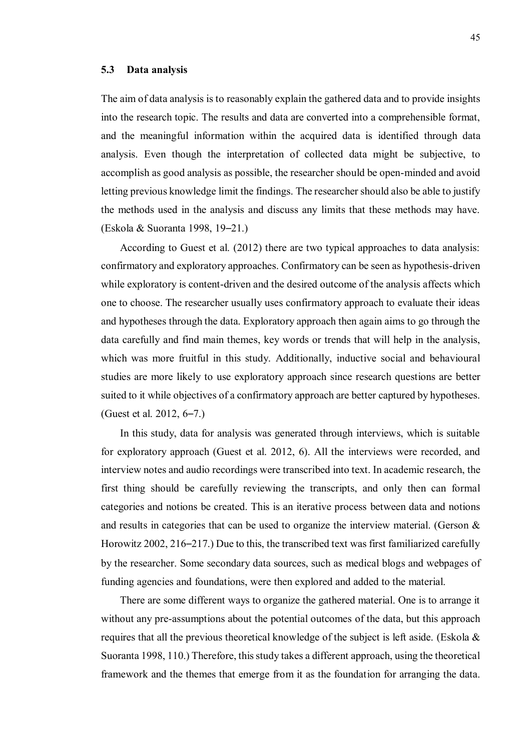#### **5.3 Data analysis**

The aim of data analysis is to reasonably explain the gathered data and to provide insights into the research topic. The results and data are converted into a comprehensible format, and the meaningful information within the acquired data is identified through data analysis. Even though the interpretation of collected data might be subjective, to accomplish as good analysis as possible, the researcher should be open-minded and avoid letting previous knowledge limit the findings. The researcher should also be able to justify the methods used in the analysis and discuss any limits that these methods may have. (Eskola & Suoranta 1998, 19*–*21.)

According to Guest et al. (2012) there are two typical approaches to data analysis: confirmatory and exploratory approaches. Confirmatory can be seen as hypothesis-driven while exploratory is content-driven and the desired outcome of the analysis affects which one to choose. The researcher usually uses confirmatory approach to evaluate their ideas and hypotheses through the data. Exploratory approach then again aims to go through the data carefully and find main themes, key words or trends that will help in the analysis, which was more fruitful in this study. Additionally, inductive social and behavioural studies are more likely to use exploratory approach since research questions are better suited to it while objectives of a confirmatory approach are better captured by hypotheses. (Guest et al. 2012, 6*–*7.)

In this study, data for analysis was generated through interviews, which is suitable for exploratory approach (Guest et al. 2012, 6). All the interviews were recorded, and interview notes and audio recordings were transcribed into text. In academic research, the first thing should be carefully reviewing the transcripts, and only then can formal categories and notions be created. This is an iterative process between data and notions and results in categories that can be used to organize the interview material. (Gerson  $\&$ Horowitz 2002, 216*–*217.) Due to this, the transcribed text was first familiarized carefully by the researcher. Some secondary data sources, such as medical blogs and webpages of funding agencies and foundations, were then explored and added to the material.

There are some different ways to organize the gathered material. One is to arrange it without any pre-assumptions about the potential outcomes of the data, but this approach requires that all the previous theoretical knowledge of the subject is left aside. (Eskola & Suoranta 1998, 110.) Therefore, this study takes a different approach, using the theoretical framework and the themes that emerge from it as the foundation for arranging the data.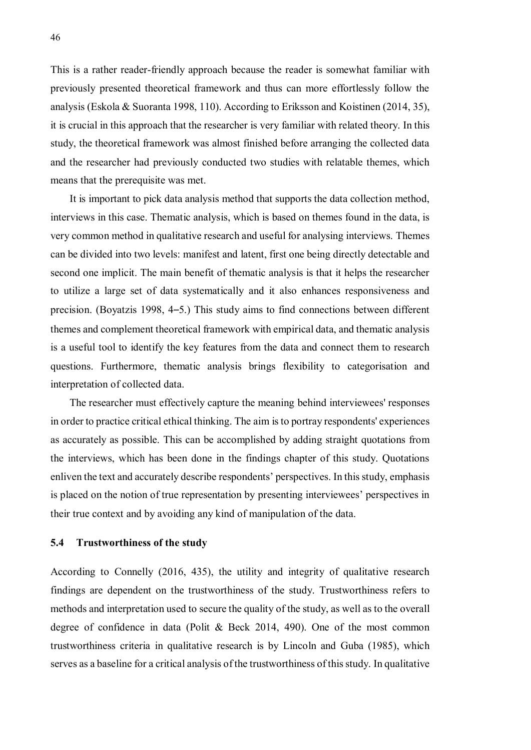This is a rather reader-friendly approach because the reader is somewhat familiar with previously presented theoretical framework and thus can more effortlessly follow the analysis (Eskola & Suoranta 1998, 110). According to Eriksson and Koistinen (2014, 35), it is crucial in this approach that the researcher is very familiar with related theory. In this study, the theoretical framework was almost finished before arranging the collected data and the researcher had previously conducted two studies with relatable themes, which means that the prerequisite was met.

It is important to pick data analysis method that supports the data collection method, interviews in this case. Thematic analysis, which is based on themes found in the data, is very common method in qualitative research and useful for analysing interviews. Themes can be divided into two levels: manifest and latent, first one being directly detectable and second one implicit. The main benefit of thematic analysis is that it helps the researcher to utilize a large set of data systematically and it also enhances responsiveness and precision. (Boyatzis 1998, 4*–*5.) This study aims to find connections between different themes and complement theoretical framework with empirical data, and thematic analysis is a useful tool to identify the key features from the data and connect them to research questions. Furthermore, thematic analysis brings flexibility to categorisation and interpretation of collected data.

The researcher must effectively capture the meaning behind interviewees' responses in order to practice critical ethical thinking. The aim is to portray respondents' experiences as accurately as possible. This can be accomplished by adding straight quotations from the interviews, which has been done in the findings chapter of this study. Quotations enliven the text and accurately describe respondents' perspectives. In this study, emphasis is placed on the notion of true representation by presenting interviewees' perspectives in their true context and by avoiding any kind of manipulation of the data.

### **5.4 Trustworthiness of the study**

According to Connelly (2016, 435), the utility and integrity of qualitative research findings are dependent on the trustworthiness of the study. Trustworthiness refers to methods and interpretation used to secure the quality of the study, as well as to the overall degree of confidence in data (Polit & Beck 2014, 490). One of the most common trustworthiness criteria in qualitative research is by Lincoln and Guba (1985), which serves as a baseline for a critical analysis of the trustworthiness of this study. In qualitative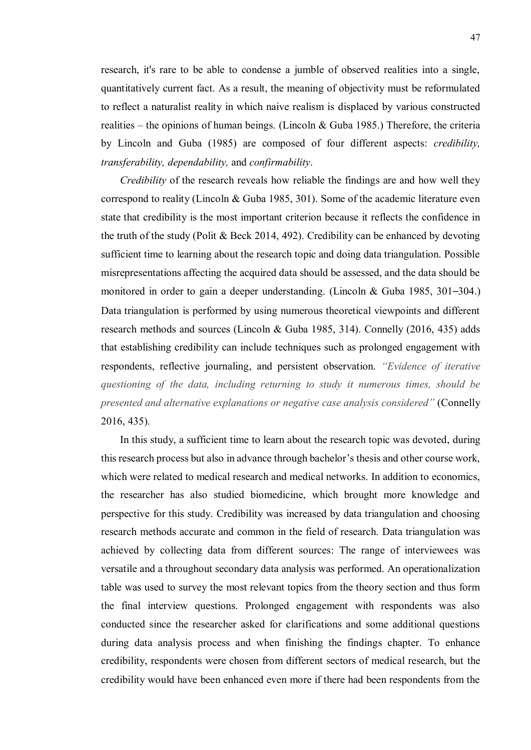research, it's rare to be able to condense a jumble of observed realities into a single, quantitatively current fact. As a result, the meaning of objectivity must be reformulated to reflect a naturalist reality in which naive realism is displaced by various constructed realities – the opinions of human beings. (Lincoln & Guba 1985.) Therefore, the criteria by Lincoln and Guba (1985) are composed of four different aspects: *credibility, transferability, dependability,* and *confirmability*.

*Credibility* of the research reveals how reliable the findings are and how well they correspond to reality (Lincoln & Guba 1985, 301). Some of the academic literature even state that credibility is the most important criterion because it reflects the confidence in the truth of the study (Polit & Beck 2014, 492). Credibility can be enhanced by devoting sufficient time to learning about the research topic and doing data triangulation. Possible misrepresentations affecting the acquired data should be assessed, and the data should be monitored in order to gain a deeper understanding. (Lincoln & Guba 1985, 301*–*304.) Data triangulation is performed by using numerous theoretical viewpoints and different research methods and sources (Lincoln & Guba 1985, 314). Connelly (2016, 435) adds that establishing credibility can include techniques such as prolonged engagement with respondents, reflective journaling, and persistent observation. *"Evidence of iterative questioning of the data, including returning to study it numerous times, should be presented and alternative explanations or negative case analysis considered"* (Connelly 2016, 435).

In this study, a sufficient time to learn about the research topic was devoted, during this research process but also in advance through bachelor's thesis and other course work, which were related to medical research and medical networks. In addition to economics, the researcher has also studied biomedicine, which brought more knowledge and perspective for this study. Credibility was increased by data triangulation and choosing research methods accurate and common in the field of research. Data triangulation was achieved by collecting data from different sources: The range of interviewees was versatile and a throughout secondary data analysis was performed. An operationalization table was used to survey the most relevant topics from the theory section and thus form the final interview questions. Prolonged engagement with respondents was also conducted since the researcher asked for clarifications and some additional questions during data analysis process and when finishing the findings chapter. To enhance credibility, respondents were chosen from different sectors of medical research, but the credibility would have been enhanced even more if there had been respondents from the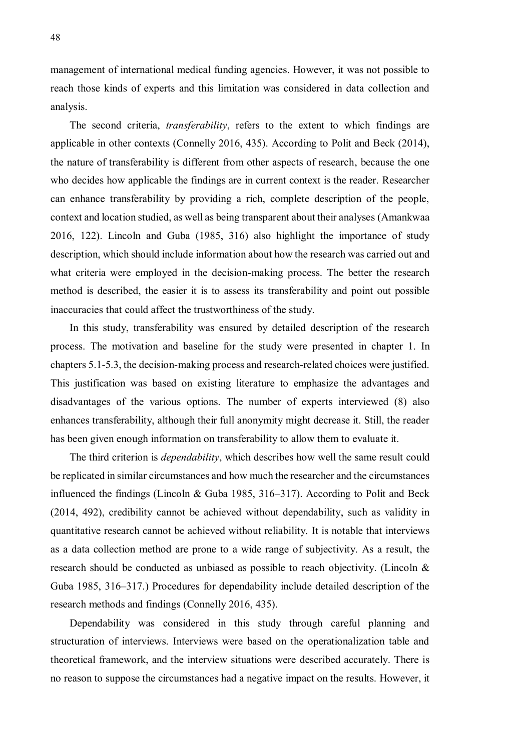management of international medical funding agencies. However, it was not possible to reach those kinds of experts and this limitation was considered in data collection and analysis.

The second criteria, *transferability*, refers to the extent to which findings are applicable in other contexts (Connelly 2016, 435). According to Polit and Beck (2014), the nature of transferability is different from other aspects of research, because the one who decides how applicable the findings are in current context is the reader. Researcher can enhance transferability by providing a rich, complete description of the people, context and location studied, as well as being transparent about their analyses (Amankwaa 2016, 122). Lincoln and Guba (1985, 316) also highlight the importance of study description, which should include information about how the research was carried out and what criteria were employed in the decision-making process. The better the research method is described, the easier it is to assess its transferability and point out possible inaccuracies that could affect the trustworthiness of the study.

In this study, transferability was ensured by detailed description of the research process. The motivation and baseline for the study were presented in chapter 1. In chapters 5.1-5.3, the decision-making process and research-related choices were justified. This justification was based on existing literature to emphasize the advantages and disadvantages of the various options. The number of experts interviewed (8) also enhances transferability, although their full anonymity might decrease it. Still, the reader has been given enough information on transferability to allow them to evaluate it.

The third criterion is *dependability*, which describes how well the same result could be replicated in similar circumstances and how much the researcher and the circumstances influenced the findings (Lincoln & Guba 1985, 316–317). According to Polit and Beck (2014, 492), credibility cannot be achieved without dependability, such as validity in quantitative research cannot be achieved without reliability. It is notable that interviews as a data collection method are prone to a wide range of subjectivity. As a result, the research should be conducted as unbiased as possible to reach objectivity. (Lincoln & Guba 1985, 316–317.) Procedures for dependability include detailed description of the research methods and findings (Connelly 2016, 435).

Dependability was considered in this study through careful planning and structuration of interviews. Interviews were based on the operationalization table and theoretical framework, and the interview situations were described accurately. There is no reason to suppose the circumstances had a negative impact on the results. However, it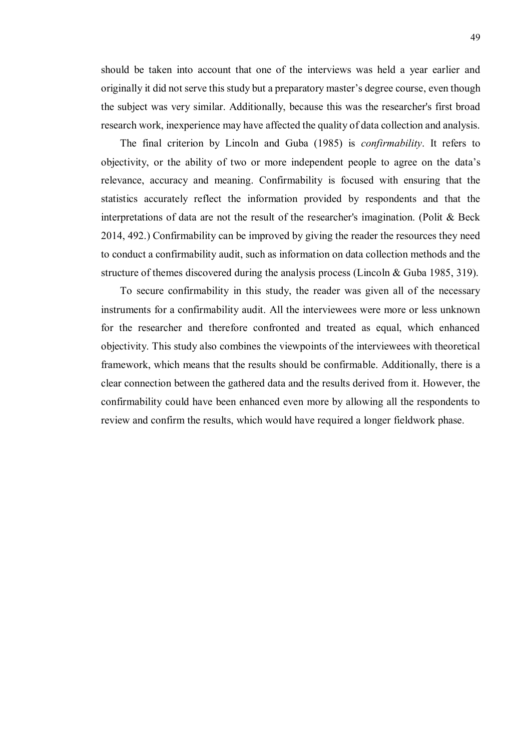should be taken into account that one of the interviews was held a year earlier and originally it did not serve this study but a preparatory master's degree course, even though the subject was very similar. Additionally, because this was the researcher's first broad research work, inexperience may have affected the quality of data collection and analysis.

The final criterion by Lincoln and Guba (1985) is *confirmability*. It refers to objectivity, or the ability of two or more independent people to agree on the data's relevance, accuracy and meaning. Confirmability is focused with ensuring that the statistics accurately reflect the information provided by respondents and that the interpretations of data are not the result of the researcher's imagination. (Polit & Beck 2014, 492.) Confirmability can be improved by giving the reader the resources they need to conduct a confirmability audit, such as information on data collection methods and the structure of themes discovered during the analysis process (Lincoln & Guba 1985, 319).

To secure confirmability in this study, the reader was given all of the necessary instruments for a confirmability audit. All the interviewees were more or less unknown for the researcher and therefore confronted and treated as equal, which enhanced objectivity. This study also combines the viewpoints of the interviewees with theoretical framework, which means that the results should be confirmable. Additionally, there is a clear connection between the gathered data and the results derived from it. However, the confirmability could have been enhanced even more by allowing all the respondents to review and confirm the results, which would have required a longer fieldwork phase.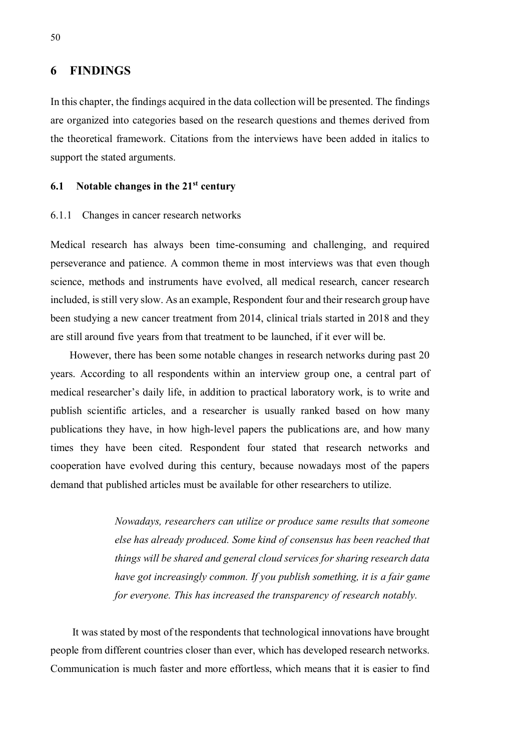# **6 FINDINGS**

In this chapter, the findings acquired in the data collection will be presented. The findings are organized into categories based on the research questions and themes derived from the theoretical framework. Citations from the interviews have been added in italics to support the stated arguments.

# **6.1 Notable changes in the 21st century**

#### 6.1.1 Changes in cancer research networks

Medical research has always been time-consuming and challenging, and required perseverance and patience. A common theme in most interviews was that even though science, methods and instruments have evolved, all medical research, cancer research included, is still very slow. As an example, Respondent four and their research group have been studying a new cancer treatment from 2014, clinical trials started in 2018 and they are still around five years from that treatment to be launched, if it ever will be.

However, there has been some notable changes in research networks during past 20 years. According to all respondents within an interview group one, a central part of medical researcher's daily life, in addition to practical laboratory work, is to write and publish scientific articles, and a researcher is usually ranked based on how many publications they have, in how high-level papers the publications are, and how many times they have been cited. Respondent four stated that research networks and cooperation have evolved during this century, because nowadays most of the papers demand that published articles must be available for other researchers to utilize.

> *Nowadays, researchers can utilize or produce same results that someone else has already produced. Some kind of consensus has been reached that things will be shared and general cloud services for sharing research data have got increasingly common. If you publish something, it is a fair game for everyone. This has increased the transparency of research notably.*

It was stated by most of the respondents that technological innovations have brought people from different countries closer than ever, which has developed research networks. Communication is much faster and more effortless, which means that it is easier to find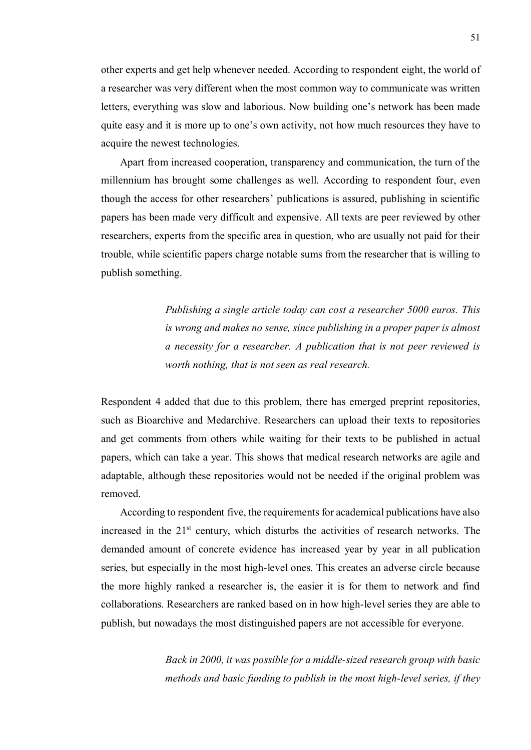other experts and get help whenever needed. According to respondent eight, the world of a researcher was very different when the most common way to communicate was written letters, everything was slow and laborious. Now building one's network has been made quite easy and it is more up to one's own activity, not how much resources they have to acquire the newest technologies.

Apart from increased cooperation, transparency and communication, the turn of the millennium has brought some challenges as well. According to respondent four, even though the access for other researchers' publications is assured, publishing in scientific papers has been made very difficult and expensive. All texts are peer reviewed by other researchers, experts from the specific area in question, who are usually not paid for their trouble, while scientific papers charge notable sums from the researcher that is willing to publish something.

> *Publishing a single article today can cost a researcher 5000 euros. This is wrong and makes no sense, since publishing in a proper paper is almost a necessity for a researcher. A publication that is not peer reviewed is worth nothing, that is not seen as real research.*

Respondent 4 added that due to this problem, there has emerged preprint repositories, such as Bioarchive and Medarchive. Researchers can upload their texts to repositories and get comments from others while waiting for their texts to be published in actual papers, which can take a year. This shows that medical research networks are agile and adaptable, although these repositories would not be needed if the original problem was removed.

According to respondent five, the requirements for academical publications have also increased in the  $21<sup>st</sup>$  century, which disturbs the activities of research networks. The demanded amount of concrete evidence has increased year by year in all publication series, but especially in the most high-level ones. This creates an adverse circle because the more highly ranked a researcher is, the easier it is for them to network and find collaborations. Researchers are ranked based on in how high-level series they are able to publish, but nowadays the most distinguished papers are not accessible for everyone.

> *Back in 2000, it was possible for a middle-sized research group with basic methods and basic funding to publish in the most high-level series, if they*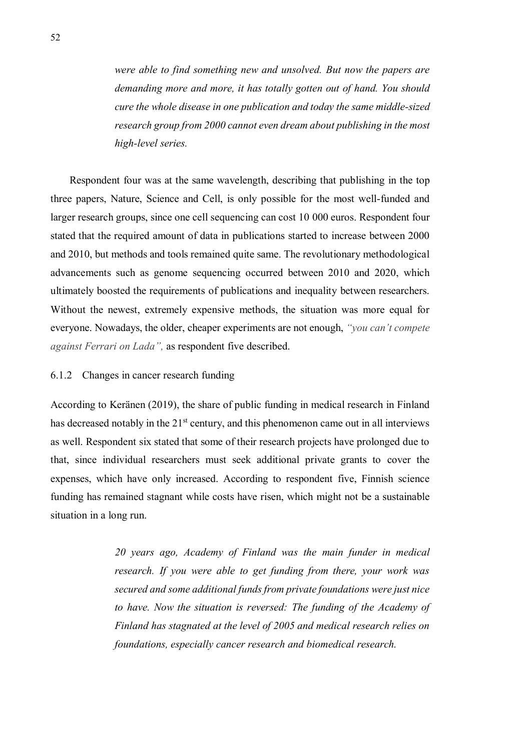*were able to find something new and unsolved. But now the papers are demanding more and more, it has totally gotten out of hand. You should cure the whole disease in one publication and today the same middle-sized research group from 2000 cannot even dream about publishing in the most high-level series.* 

Respondent four was at the same wavelength, describing that publishing in the top three papers, Nature, Science and Cell, is only possible for the most well-funded and larger research groups, since one cell sequencing can cost 10 000 euros. Respondent four stated that the required amount of data in publications started to increase between 2000 and 2010, but methods and tools remained quite same. The revolutionary methodological advancements such as genome sequencing occurred between 2010 and 2020, which ultimately boosted the requirements of publications and inequality between researchers. Without the newest, extremely expensive methods, the situation was more equal for everyone. Nowadays, the older, cheaper experiments are not enough, *"you can't compete against Ferrari on Lada",* as respondent five described.

# 6.1.2 Changes in cancer research funding

According to Keränen (2019), the share of public funding in medical research in Finland has decreased notably in the  $21<sup>st</sup>$  century, and this phenomenon came out in all interviews as well. Respondent six stated that some of their research projects have prolonged due to that, since individual researchers must seek additional private grants to cover the expenses, which have only increased. According to respondent five, Finnish science funding has remained stagnant while costs have risen, which might not be a sustainable situation in a long run.

> *20 years ago, Academy of Finland was the main funder in medical research. If you were able to get funding from there, your work was secured and some additional funds from private foundations were just nice to have. Now the situation is reversed: The funding of the Academy of Finland has stagnated at the level of 2005 and medical research relies on foundations, especially cancer research and biomedical research.*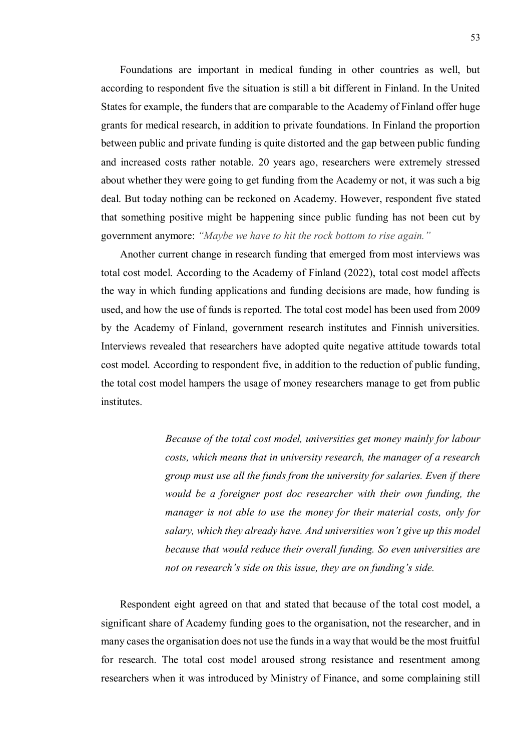Foundations are important in medical funding in other countries as well, but according to respondent five the situation is still a bit different in Finland. In the United States for example, the funders that are comparable to the Academy of Finland offer huge grants for medical research, in addition to private foundations. In Finland the proportion between public and private funding is quite distorted and the gap between public funding and increased costs rather notable. 20 years ago, researchers were extremely stressed about whether they were going to get funding from the Academy or not, it was such a big deal. But today nothing can be reckoned on Academy. However, respondent five stated that something positive might be happening since public funding has not been cut by government anymore: *"Maybe we have to hit the rock bottom to rise again."*

Another current change in research funding that emerged from most interviews was total cost model. According to the Academy of Finland (2022), total cost model affects the way in which funding applications and funding decisions are made, how funding is used, and how the use of funds is reported. The total cost model has been used from 2009 by the Academy of Finland, government research institutes and Finnish universities. Interviews revealed that researchers have adopted quite negative attitude towards total cost model. According to respondent five, in addition to the reduction of public funding, the total cost model hampers the usage of money researchers manage to get from public institutes.

> *Because of the total cost model, universities get money mainly for labour costs, which means that in university research, the manager of a research group must use all the funds from the university for salaries. Even if there would be a foreigner post doc researcher with their own funding, the manager is not able to use the money for their material costs, only for salary, which they already have. And universities won't give up this model because that would reduce their overall funding. So even universities are not on research's side on this issue, they are on funding's side.*

Respondent eight agreed on that and stated that because of the total cost model, a significant share of Academy funding goes to the organisation, not the researcher, and in many cases the organisation does not use the funds in a way that would be the most fruitful for research. The total cost model aroused strong resistance and resentment among researchers when it was introduced by Ministry of Finance, and some complaining still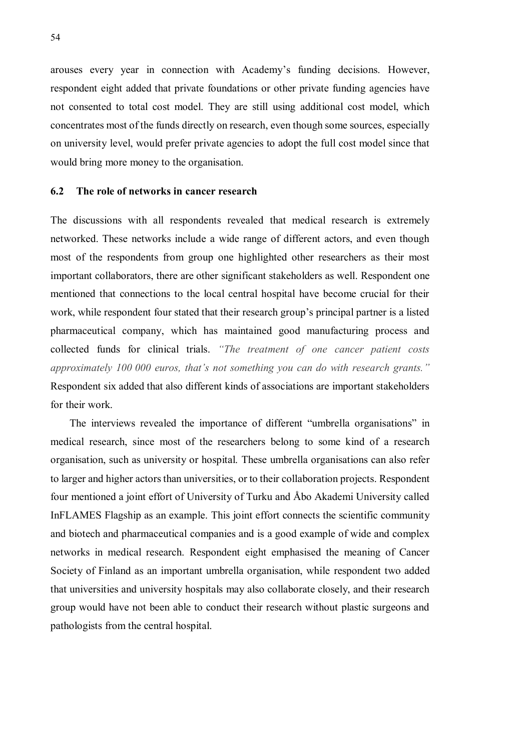arouses every year in connection with Academy's funding decisions. However, respondent eight added that private foundations or other private funding agencies have not consented to total cost model. They are still using additional cost model, which concentrates most of the funds directly on research, even though some sources, especially on university level, would prefer private agencies to adopt the full cost model since that would bring more money to the organisation.

# **6.2 The role of networks in cancer research**

The discussions with all respondents revealed that medical research is extremely networked. These networks include a wide range of different actors, and even though most of the respondents from group one highlighted other researchers as their most important collaborators, there are other significant stakeholders as well. Respondent one mentioned that connections to the local central hospital have become crucial for their work, while respondent four stated that their research group's principal partner is a listed pharmaceutical company, which has maintained good manufacturing process and collected funds for clinical trials. *"The treatment of one cancer patient costs approximately 100 000 euros, that's not something you can do with research grants."*  Respondent six added that also different kinds of associations are important stakeholders for their work.

The interviews revealed the importance of different "umbrella organisations" in medical research, since most of the researchers belong to some kind of a research organisation, such as university or hospital. These umbrella organisations can also refer to larger and higher actors than universities, or to their collaboration projects. Respondent four mentioned a joint effort of University of Turku and Åbo Akademi University called InFLAMES Flagship as an example. This joint effort connects the scientific community and biotech and pharmaceutical companies and is a good example of wide and complex networks in medical research. Respondent eight emphasised the meaning of Cancer Society of Finland as an important umbrella organisation, while respondent two added that universities and university hospitals may also collaborate closely, and their research group would have not been able to conduct their research without plastic surgeons and pathologists from the central hospital.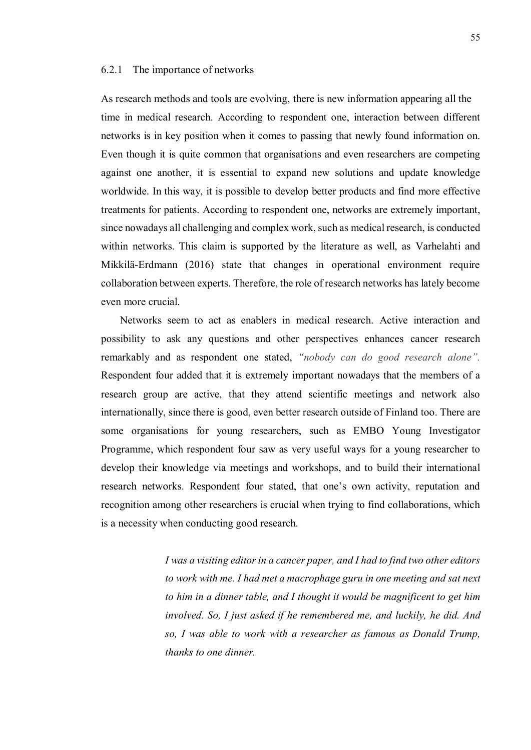#### 6.2.1 The importance of networks

As research methods and tools are evolving, there is new information appearing all the time in medical research. According to respondent one, interaction between different networks is in key position when it comes to passing that newly found information on. Even though it is quite common that organisations and even researchers are competing against one another, it is essential to expand new solutions and update knowledge worldwide. In this way, it is possible to develop better products and find more effective treatments for patients. According to respondent one, networks are extremely important, since nowadays all challenging and complex work, such as medical research, is conducted within networks. This claim is supported by the literature as well, as Varhelahti and Mikkilä-Erdmann (2016) state that changes in operational environment require collaboration between experts. Therefore, the role of research networks has lately become even more crucial.

Networks seem to act as enablers in medical research. Active interaction and possibility to ask any questions and other perspectives enhances cancer research remarkably and as respondent one stated, *"nobody can do good research alone".* Respondent four added that it is extremely important nowadays that the members of a research group are active, that they attend scientific meetings and network also internationally, since there is good, even better research outside of Finland too. There are some organisations for young researchers, such as EMBO Young Investigator Programme, which respondent four saw as very useful ways for a young researcher to develop their knowledge via meetings and workshops, and to build their international research networks. Respondent four stated, that one's own activity, reputation and recognition among other researchers is crucial when trying to find collaborations, which is a necessity when conducting good research.

> *I was a visiting editor in a cancer paper, and I had to find two other editors to work with me. I had met a macrophage guru in one meeting and sat next to him in a dinner table, and I thought it would be magnificent to get him involved. So, I just asked if he remembered me, and luckily, he did. And so, I was able to work with a researcher as famous as Donald Trump, thanks to one dinner.*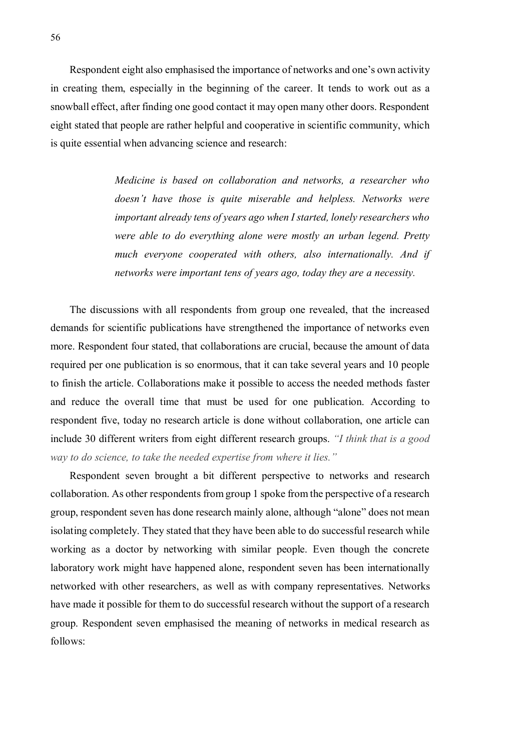Respondent eight also emphasised the importance of networks and one's own activity in creating them, especially in the beginning of the career. It tends to work out as a snowball effect, after finding one good contact it may open many other doors. Respondent eight stated that people are rather helpful and cooperative in scientific community, which is quite essential when advancing science and research:

> *Medicine is based on collaboration and networks, a researcher who doesn't have those is quite miserable and helpless. Networks were important already tens of years ago when I started, lonely researchers who were able to do everything alone were mostly an urban legend. Pretty much everyone cooperated with others, also internationally. And if networks were important tens of years ago, today they are a necessity.*

The discussions with all respondents from group one revealed, that the increased demands for scientific publications have strengthened the importance of networks even more. Respondent four stated, that collaborations are crucial, because the amount of data required per one publication is so enormous, that it can take several years and 10 people to finish the article. Collaborations make it possible to access the needed methods faster and reduce the overall time that must be used for one publication. According to respondent five, today no research article is done without collaboration, one article can include 30 different writers from eight different research groups. *"I think that is a good way to do science, to take the needed expertise from where it lies."*

Respondent seven brought a bit different perspective to networks and research collaboration. As other respondents from group 1 spoke from the perspective of a research group, respondent seven has done research mainly alone, although "alone" does not mean isolating completely. They stated that they have been able to do successful research while working as a doctor by networking with similar people. Even though the concrete laboratory work might have happened alone, respondent seven has been internationally networked with other researchers, as well as with company representatives. Networks have made it possible for them to do successful research without the support of a research group. Respondent seven emphasised the meaning of networks in medical research as follows: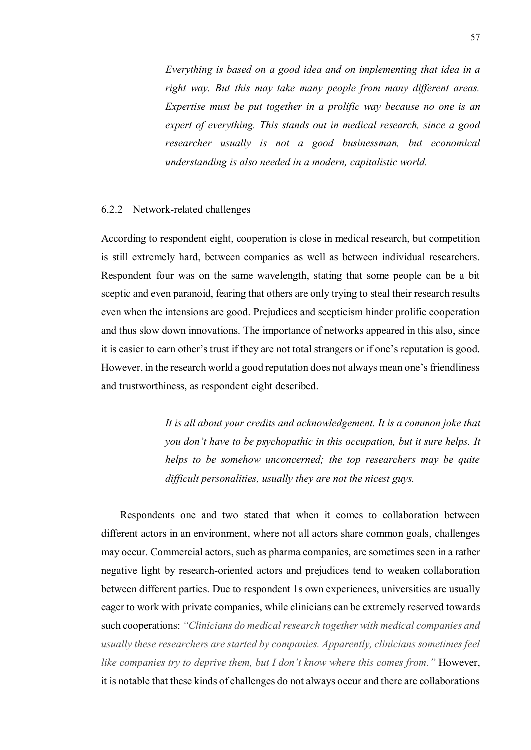*Everything is based on a good idea and on implementing that idea in a right way. But this may take many people from many different areas. Expertise must be put together in a prolific way because no one is an expert of everything. This stands out in medical research, since a good researcher usually is not a good businessman, but economical understanding is also needed in a modern, capitalistic world.* 

## 6.2.2 Network-related challenges

According to respondent eight, cooperation is close in medical research, but competition is still extremely hard, between companies as well as between individual researchers. Respondent four was on the same wavelength, stating that some people can be a bit sceptic and even paranoid, fearing that others are only trying to steal their research results even when the intensions are good. Prejudices and scepticism hinder prolific cooperation and thus slow down innovations. The importance of networks appeared in this also, since it is easier to earn other's trust if they are not total strangers or if one's reputation is good. However, in the research world a good reputation does not always mean one's friendliness and trustworthiness, as respondent eight described.

> *It is all about your credits and acknowledgement. It is a common joke that you don't have to be psychopathic in this occupation, but it sure helps. It helps to be somehow unconcerned; the top researchers may be quite difficult personalities, usually they are not the nicest guys.*

Respondents one and two stated that when it comes to collaboration between different actors in an environment, where not all actors share common goals, challenges may occur. Commercial actors, such as pharma companies, are sometimes seen in a rather negative light by research-oriented actors and prejudices tend to weaken collaboration between different parties. Due to respondent 1s own experiences, universities are usually eager to work with private companies, while clinicians can be extremely reserved towards such cooperations: *"Clinicians do medical research together with medical companies and usually these researchers are started by companies. Apparently, clinicians sometimes feel like companies try to deprive them, but I don't know where this comes from."* However, it is notable that these kinds of challenges do not always occur and there are collaborations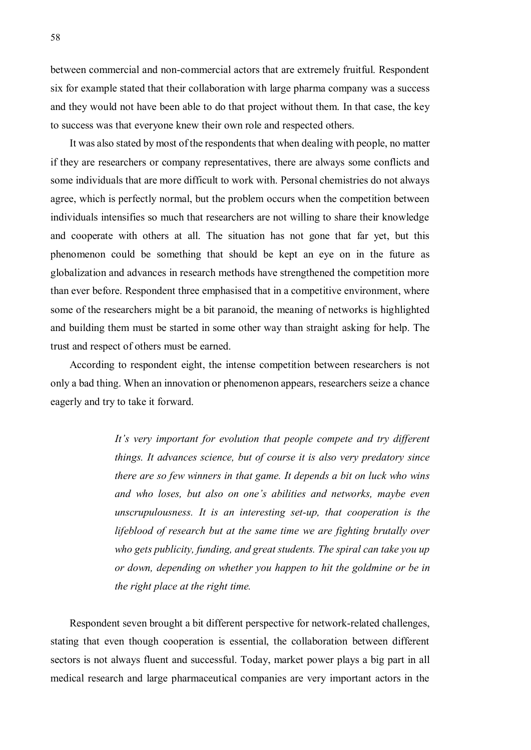between commercial and non-commercial actors that are extremely fruitful. Respondent six for example stated that their collaboration with large pharma company was a success and they would not have been able to do that project without them. In that case, the key to success was that everyone knew their own role and respected others.

It was also stated by most of the respondents that when dealing with people, no matter if they are researchers or company representatives, there are always some conflicts and some individuals that are more difficult to work with. Personal chemistries do not always agree, which is perfectly normal, but the problem occurs when the competition between individuals intensifies so much that researchers are not willing to share their knowledge and cooperate with others at all. The situation has not gone that far yet, but this phenomenon could be something that should be kept an eye on in the future as globalization and advances in research methods have strengthened the competition more than ever before. Respondent three emphasised that in a competitive environment, where some of the researchers might be a bit paranoid, the meaning of networks is highlighted and building them must be started in some other way than straight asking for help. The trust and respect of others must be earned.

According to respondent eight, the intense competition between researchers is not only a bad thing. When an innovation or phenomenon appears, researchers seize a chance eagerly and try to take it forward.

> *It's very important for evolution that people compete and try different things. It advances science, but of course it is also very predatory since there are so few winners in that game. It depends a bit on luck who wins and who loses, but also on one's abilities and networks, maybe even unscrupulousness. It is an interesting set-up, that cooperation is the lifeblood of research but at the same time we are fighting brutally over who gets publicity, funding, and great students. The spiral can take you up or down, depending on whether you happen to hit the goldmine or be in the right place at the right time.*

Respondent seven brought a bit different perspective for network-related challenges, stating that even though cooperation is essential, the collaboration between different sectors is not always fluent and successful. Today, market power plays a big part in all medical research and large pharmaceutical companies are very important actors in the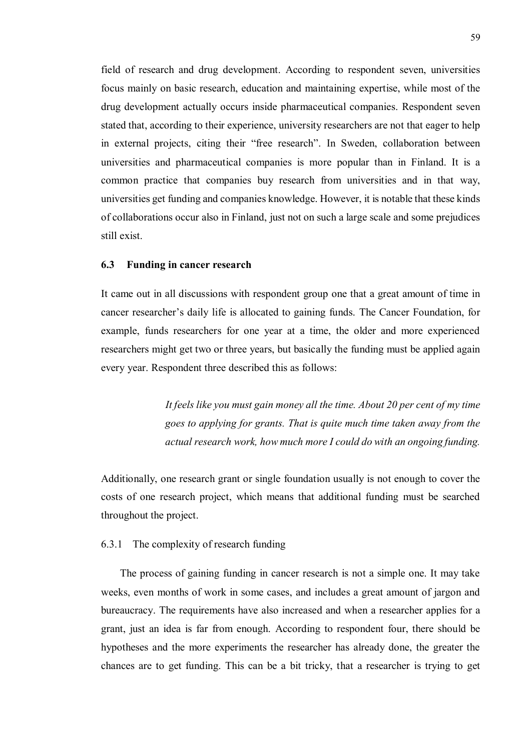field of research and drug development. According to respondent seven, universities focus mainly on basic research, education and maintaining expertise, while most of the drug development actually occurs inside pharmaceutical companies. Respondent seven stated that, according to their experience, university researchers are not that eager to help in external projects, citing their "free research". In Sweden, collaboration between universities and pharmaceutical companies is more popular than in Finland. It is a common practice that companies buy research from universities and in that way, universities get funding and companies knowledge. However, it is notable that these kinds of collaborations occur also in Finland, just not on such a large scale and some prejudices still exist.

## **6.3 Funding in cancer research**

It came out in all discussions with respondent group one that a great amount of time in cancer researcher's daily life is allocated to gaining funds. The Cancer Foundation, for example, funds researchers for one year at a time, the older and more experienced researchers might get two or three years, but basically the funding must be applied again every year. Respondent three described this as follows:

> *It feels like you must gain money all the time. About 20 per cent of my time goes to applying for grants. That is quite much time taken away from the actual research work, how much more I could do with an ongoing funding.*

Additionally, one research grant or single foundation usually is not enough to cover the costs of one research project, which means that additional funding must be searched throughout the project.

## 6.3.1 The complexity of research funding

The process of gaining funding in cancer research is not a simple one. It may take weeks, even months of work in some cases, and includes a great amount of jargon and bureaucracy. The requirements have also increased and when a researcher applies for a grant, just an idea is far from enough. According to respondent four, there should be hypotheses and the more experiments the researcher has already done, the greater the chances are to get funding. This can be a bit tricky, that a researcher is trying to get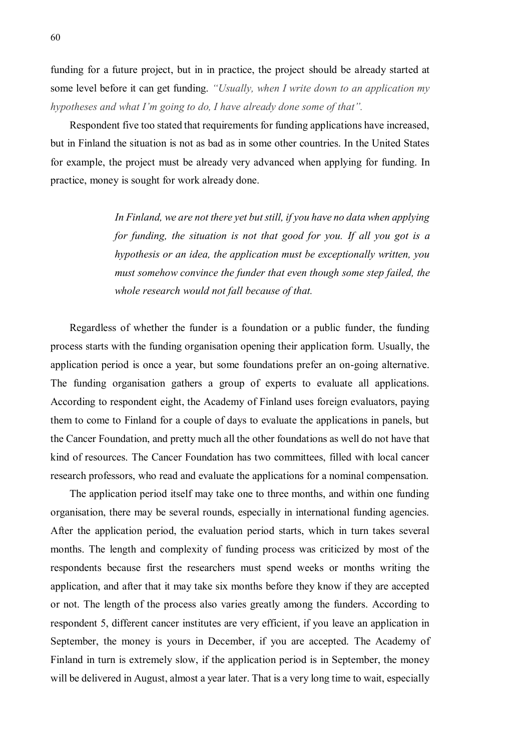funding for a future project, but in in practice, the project should be already started at some level before it can get funding. *"Usually, when I write down to an application my hypotheses and what I'm going to do, I have already done some of that".*

Respondent five too stated that requirements for funding applications have increased, but in Finland the situation is not as bad as in some other countries. In the United States for example, the project must be already very advanced when applying for funding. In practice, money is sought for work already done.

> *In Finland, we are not there yet but still, if you have no data when applying for funding, the situation is not that good for you. If all you got is a hypothesis or an idea, the application must be exceptionally written, you must somehow convince the funder that even though some step failed, the whole research would not fall because of that.*

Regardless of whether the funder is a foundation or a public funder, the funding process starts with the funding organisation opening their application form. Usually, the application period is once a year, but some foundations prefer an on-going alternative. The funding organisation gathers a group of experts to evaluate all applications. According to respondent eight, the Academy of Finland uses foreign evaluators, paying them to come to Finland for a couple of days to evaluate the applications in panels, but the Cancer Foundation, and pretty much all the other foundations as well do not have that kind of resources. The Cancer Foundation has two committees, filled with local cancer research professors, who read and evaluate the applications for a nominal compensation.

The application period itself may take one to three months, and within one funding organisation, there may be several rounds, especially in international funding agencies. After the application period, the evaluation period starts, which in turn takes several months. The length and complexity of funding process was criticized by most of the respondents because first the researchers must spend weeks or months writing the application, and after that it may take six months before they know if they are accepted or not. The length of the process also varies greatly among the funders. According to respondent 5, different cancer institutes are very efficient, if you leave an application in September, the money is yours in December, if you are accepted. The Academy of Finland in turn is extremely slow, if the application period is in September, the money will be delivered in August, almost a year later. That is a very long time to wait, especially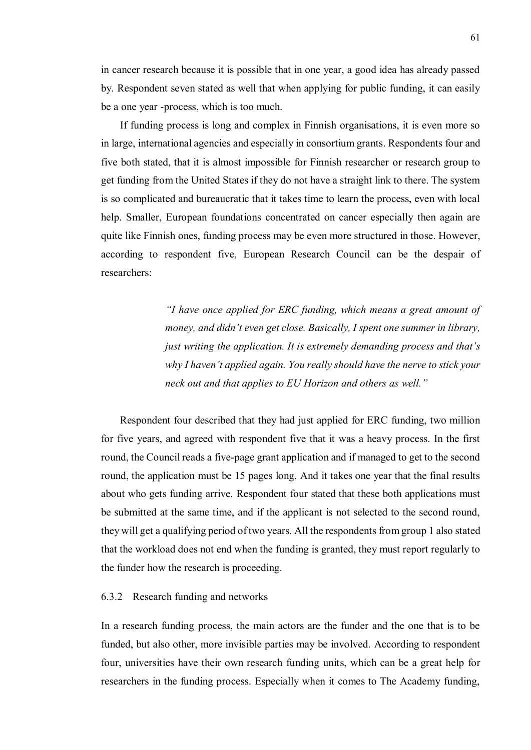in cancer research because it is possible that in one year, a good idea has already passed by. Respondent seven stated as well that when applying for public funding, it can easily be a one year -process, which is too much.

If funding process is long and complex in Finnish organisations, it is even more so in large, international agencies and especially in consortium grants. Respondents four and five both stated, that it is almost impossible for Finnish researcher or research group to get funding from the United States if they do not have a straight link to there. The system is so complicated and bureaucratic that it takes time to learn the process, even with local help. Smaller, European foundations concentrated on cancer especially then again are quite like Finnish ones, funding process may be even more structured in those. However, according to respondent five, European Research Council can be the despair of researchers:

> *"I have once applied for ERC funding, which means a great amount of money, and didn't even get close. Basically, I spent one summer in library, just writing the application. It is extremely demanding process and that's why I haven't applied again. You really should have the nerve to stick your neck out and that applies to EU Horizon and others as well."*

Respondent four described that they had just applied for ERC funding, two million for five years, and agreed with respondent five that it was a heavy process. In the first round, the Council reads a five-page grant application and if managed to get to the second round, the application must be 15 pages long. And it takes one year that the final results about who gets funding arrive. Respondent four stated that these both applications must be submitted at the same time, and if the applicant is not selected to the second round, they will get a qualifying period of two years. All the respondents from group 1 also stated that the workload does not end when the funding is granted, they must report regularly to the funder how the research is proceeding.

### 6.3.2 Research funding and networks

In a research funding process, the main actors are the funder and the one that is to be funded, but also other, more invisible parties may be involved. According to respondent four, universities have their own research funding units, which can be a great help for researchers in the funding process. Especially when it comes to The Academy funding,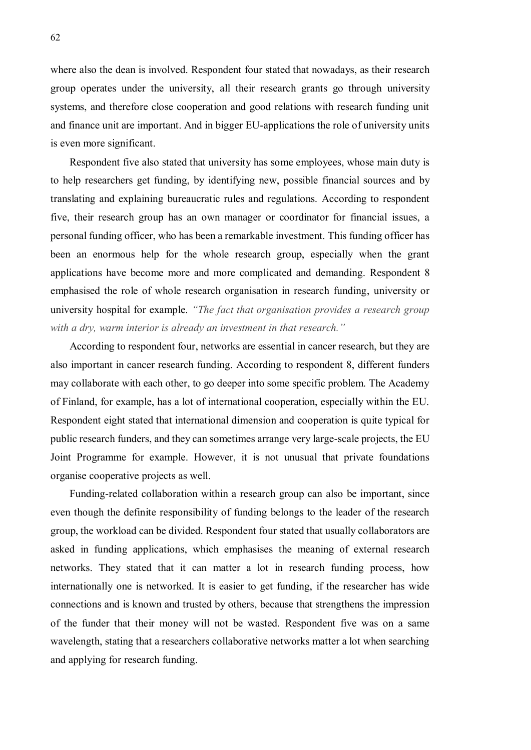where also the dean is involved. Respondent four stated that nowadays, as their research group operates under the university, all their research grants go through university systems, and therefore close cooperation and good relations with research funding unit and finance unit are important. And in bigger EU-applications the role of university units is even more significant.

Respondent five also stated that university has some employees, whose main duty is to help researchers get funding, by identifying new, possible financial sources and by translating and explaining bureaucratic rules and regulations. According to respondent five, their research group has an own manager or coordinator for financial issues, a personal funding officer, who has been a remarkable investment. This funding officer has been an enormous help for the whole research group, especially when the grant applications have become more and more complicated and demanding. Respondent 8 emphasised the role of whole research organisation in research funding, university or university hospital for example. *"The fact that organisation provides a research group*  with a dry, warm interior is already an investment in that research."

According to respondent four, networks are essential in cancer research, but they are also important in cancer research funding. According to respondent 8, different funders may collaborate with each other, to go deeper into some specific problem. The Academy of Finland, for example, has a lot of international cooperation, especially within the EU. Respondent eight stated that international dimension and cooperation is quite typical for public research funders, and they can sometimes arrange very large-scale projects, the EU Joint Programme for example. However, it is not unusual that private foundations organise cooperative projects as well.

Funding-related collaboration within a research group can also be important, since even though the definite responsibility of funding belongs to the leader of the research group, the workload can be divided. Respondent four stated that usually collaborators are asked in funding applications, which emphasises the meaning of external research networks. They stated that it can matter a lot in research funding process, how internationally one is networked. It is easier to get funding, if the researcher has wide connections and is known and trusted by others, because that strengthens the impression of the funder that their money will not be wasted. Respondent five was on a same wavelength, stating that a researchers collaborative networks matter a lot when searching and applying for research funding.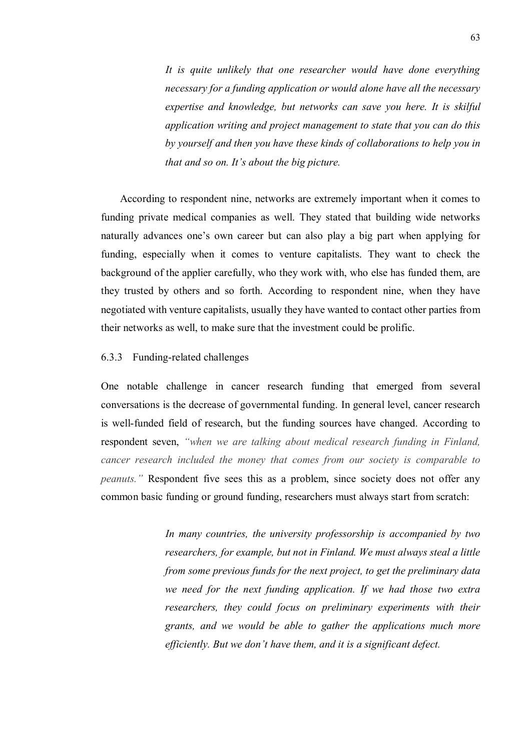*It is quite unlikely that one researcher would have done everything necessary for a funding application or would alone have all the necessary expertise and knowledge, but networks can save you here. It is skilful application writing and project management to state that you can do this by yourself and then you have these kinds of collaborations to help you in that and so on. It's about the big picture.* 

According to respondent nine, networks are extremely important when it comes to funding private medical companies as well. They stated that building wide networks naturally advances one's own career but can also play a big part when applying for funding, especially when it comes to venture capitalists. They want to check the background of the applier carefully, who they work with, who else has funded them, are they trusted by others and so forth. According to respondent nine, when they have negotiated with venture capitalists, usually they have wanted to contact other parties from their networks as well, to make sure that the investment could be prolific.

### 6.3.3 Funding-related challenges

One notable challenge in cancer research funding that emerged from several conversations is the decrease of governmental funding. In general level, cancer research is well-funded field of research, but the funding sources have changed. According to respondent seven, *"when we are talking about medical research funding in Finland, cancer research included the money that comes from our society is comparable to peanuts.*" Respondent five sees this as a problem, since society does not offer any common basic funding or ground funding, researchers must always start from scratch:

> *In many countries, the university professorship is accompanied by two researchers, for example, but not in Finland. We must always steal a little from some previous funds for the next project, to get the preliminary data we need for the next funding application. If we had those two extra researchers, they could focus on preliminary experiments with their grants, and we would be able to gather the applications much more efficiently. But we don't have them, and it is a significant defect.*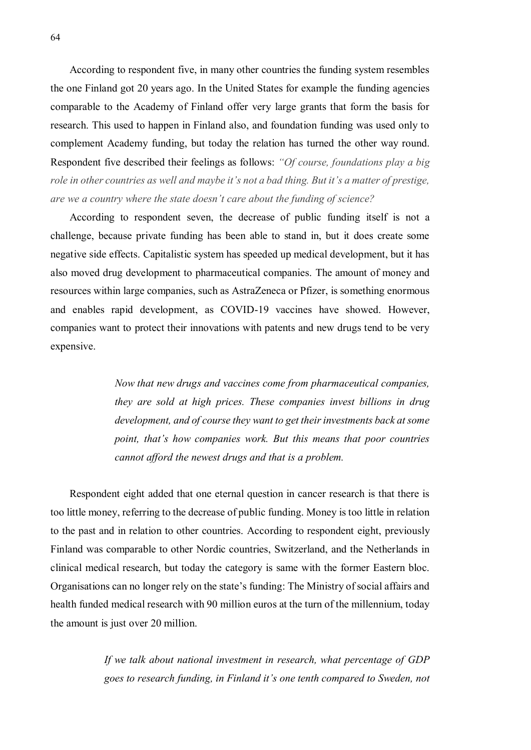According to respondent five, in many other countries the funding system resembles the one Finland got 20 years ago. In the United States for example the funding agencies comparable to the Academy of Finland offer very large grants that form the basis for research. This used to happen in Finland also, and foundation funding was used only to complement Academy funding, but today the relation has turned the other way round. Respondent five described their feelings as follows: *"Of course, foundations play a big role in other countries as well and maybe it's not a bad thing. But it's a matter of prestige, are we a country where the state doesn't care about the funding of science?*

According to respondent seven, the decrease of public funding itself is not a challenge, because private funding has been able to stand in, but it does create some negative side effects. Capitalistic system has speeded up medical development, but it has also moved drug development to pharmaceutical companies. The amount of money and resources within large companies, such as AstraZeneca or Pfizer, is something enormous and enables rapid development, as COVID-19 vaccines have showed. However, companies want to protect their innovations with patents and new drugs tend to be very expensive.

> *Now that new drugs and vaccines come from pharmaceutical companies, they are sold at high prices. These companies invest billions in drug development, and of course they want to get their investments back at some point, that's how companies work. But this means that poor countries cannot afford the newest drugs and that is a problem.*

Respondent eight added that one eternal question in cancer research is that there is too little money, referring to the decrease of public funding. Money is too little in relation to the past and in relation to other countries. According to respondent eight, previously Finland was comparable to other Nordic countries, Switzerland, and the Netherlands in clinical medical research, but today the category is same with the former Eastern bloc. Organisations can no longer rely on the state's funding: The Ministry of social affairs and health funded medical research with 90 million euros at the turn of the millennium, today the amount is just over 20 million.

> *If we talk about national investment in research, what percentage of GDP goes to research funding, in Finland it's one tenth compared to Sweden, not*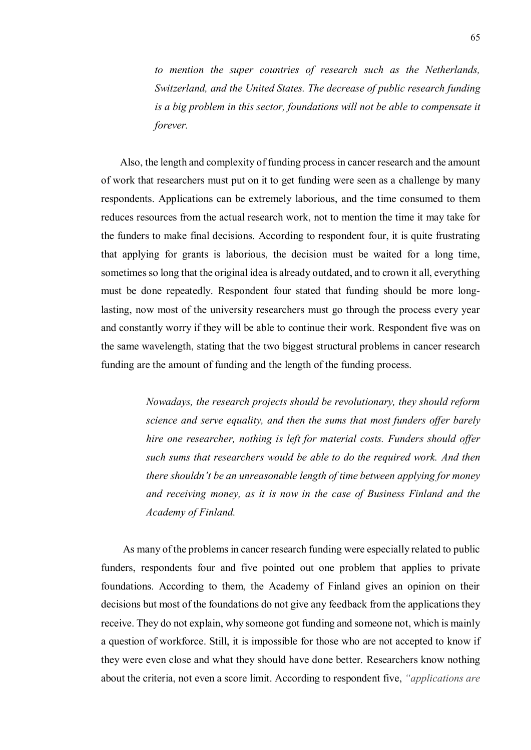*to mention the super countries of research such as the Netherlands, Switzerland, and the United States. The decrease of public research funding is a big problem in this sector, foundations will not be able to compensate it forever.* 

Also, the length and complexity of funding process in cancer research and the amount of work that researchers must put on it to get funding were seen as a challenge by many respondents. Applications can be extremely laborious, and the time consumed to them reduces resources from the actual research work, not to mention the time it may take for the funders to make final decisions. According to respondent four, it is quite frustrating that applying for grants is laborious, the decision must be waited for a long time, sometimes so long that the original idea is already outdated, and to crown it all, everything must be done repeatedly. Respondent four stated that funding should be more longlasting, now most of the university researchers must go through the process every year and constantly worry if they will be able to continue their work. Respondent five was on the same wavelength, stating that the two biggest structural problems in cancer research funding are the amount of funding and the length of the funding process.

> *Nowadays, the research projects should be revolutionary, they should reform science and serve equality, and then the sums that most funders offer barely hire one researcher, nothing is left for material costs. Funders should offer such sums that researchers would be able to do the required work. And then there shouldn't be an unreasonable length of time between applying for money and receiving money, as it is now in the case of Business Finland and the Academy of Finland.*

As many of the problems in cancer research funding were especially related to public funders, respondents four and five pointed out one problem that applies to private foundations. According to them, the Academy of Finland gives an opinion on their decisions but most of the foundations do not give any feedback from the applications they receive. They do not explain, why someone got funding and someone not, which is mainly a question of workforce. Still, it is impossible for those who are not accepted to know if they were even close and what they should have done better. Researchers know nothing about the criteria, not even a score limit. According to respondent five, *"applications are*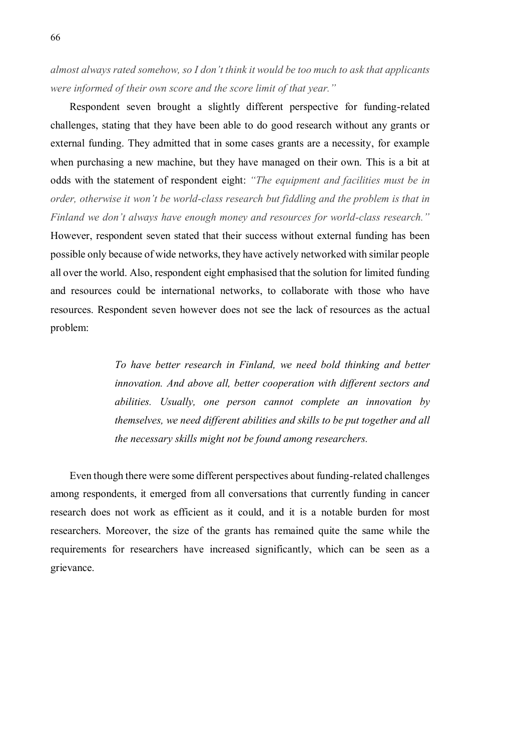*almost always rated somehow, so I don't think it would be too much to ask that applicants were informed of their own score and the score limit of that year."*

Respondent seven brought a slightly different perspective for funding-related challenges, stating that they have been able to do good research without any grants or external funding. They admitted that in some cases grants are a necessity, for example when purchasing a new machine, but they have managed on their own. This is a bit at odds with the statement of respondent eight: *"The equipment and facilities must be in order, otherwise it won't be world-class research but fiddling and the problem is that in Finland we don't always have enough money and resources for world-class research."* However, respondent seven stated that their success without external funding has been possible only because of wide networks, they have actively networked with similar people all over the world. Also, respondent eight emphasised that the solution for limited funding and resources could be international networks, to collaborate with those who have resources. Respondent seven however does not see the lack of resources as the actual

problem:

*To have better research in Finland, we need bold thinking and better innovation. And above all, better cooperation with different sectors and abilities. Usually, one person cannot complete an innovation by themselves, we need different abilities and skills to be put together and all the necessary skills might not be found among researchers.*

Even though there were some different perspectives about funding-related challenges among respondents, it emerged from all conversations that currently funding in cancer research does not work as efficient as it could, and it is a notable burden for most researchers. Moreover, the size of the grants has remained quite the same while the requirements for researchers have increased significantly, which can be seen as a grievance.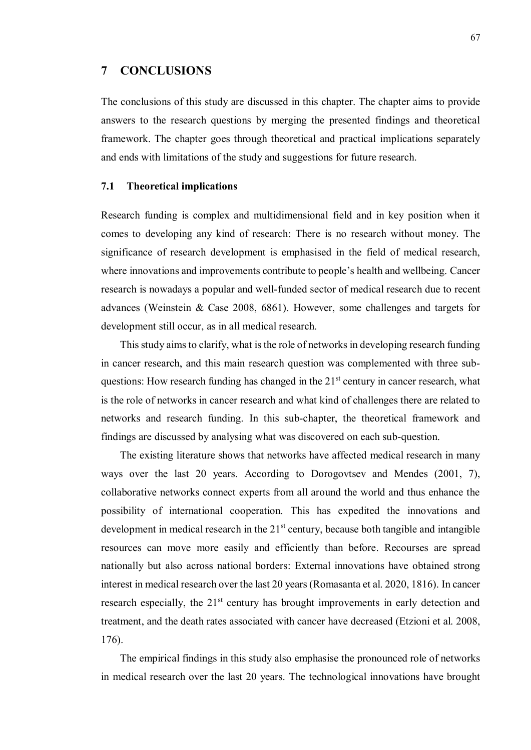# **7 CONCLUSIONS**

The conclusions of this study are discussed in this chapter. The chapter aims to provide answers to the research questions by merging the presented findings and theoretical framework. The chapter goes through theoretical and practical implications separately and ends with limitations of the study and suggestions for future research.

### **7.1 Theoretical implications**

Research funding is complex and multidimensional field and in key position when it comes to developing any kind of research: There is no research without money. The significance of research development is emphasised in the field of medical research, where innovations and improvements contribute to people's health and wellbeing. Cancer research is nowadays a popular and well-funded sector of medical research due to recent advances (Weinstein & Case 2008, 6861). However, some challenges and targets for development still occur, as in all medical research.

This study aims to clarify, what is the role of networks in developing research funding in cancer research, and this main research question was complemented with three subquestions: How research funding has changed in the  $21<sup>st</sup>$  century in cancer research, what is the role of networks in cancer research and what kind of challenges there are related to networks and research funding. In this sub-chapter, the theoretical framework and findings are discussed by analysing what was discovered on each sub-question.

The existing literature shows that networks have affected medical research in many ways over the last 20 years. According to Dorogovtsev and Mendes (2001, 7), collaborative networks connect experts from all around the world and thus enhance the possibility of international cooperation. This has expedited the innovations and development in medical research in the  $21<sup>st</sup>$  century, because both tangible and intangible resources can move more easily and efficiently than before. Recourses are spread nationally but also across national borders: External innovations have obtained strong interest in medical research over the last 20 years (Romasanta et al. 2020, 1816). In cancer research especially, the  $21<sup>st</sup>$  century has brought improvements in early detection and treatment, and the death rates associated with cancer have decreased (Etzioni et al. 2008, 176).

The empirical findings in this study also emphasise the pronounced role of networks in medical research over the last 20 years. The technological innovations have brought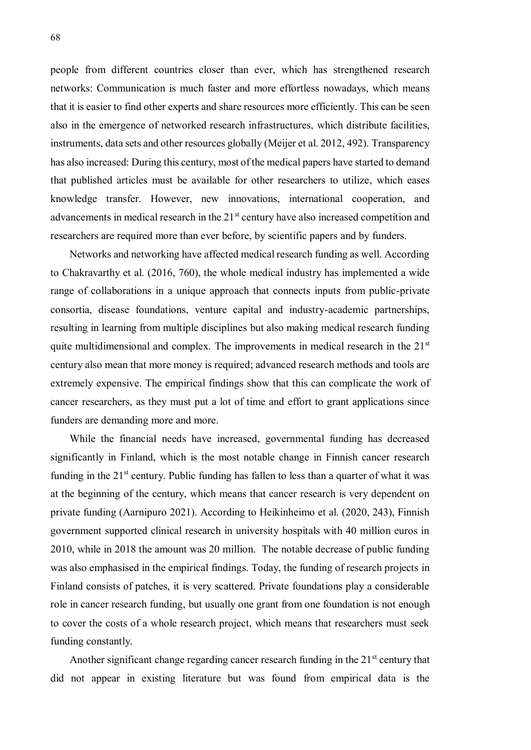people from different countries closer than ever, which has strengthened research networks: Communication is much faster and more effortless nowadays, which means that it is easier to find other experts and share resources more efficiently. This can be seen also in the emergence of networked research infrastructures, which distribute facilities, instruments, data sets and other resources globally (Meijer et al. 2012, 492). Transparency has also increased: During this century, most of the medical papers have started to demand that published articles must be available for other researchers to utilize, which eases knowledge transfer. However, new innovations, international cooperation, and advancements in medical research in the 21<sup>st</sup> century have also increased competition and researchers are required more than ever before, by scientific papers and by funders.

Networks and networking have affected medical research funding as well. According to Chakravarthy et al. (2016, 760), the whole medical industry has implemented a wide range of collaborations in a unique approach that connects inputs from public-private consortia, disease foundations, venture capital and industry-academic partnerships, resulting in learning from multiple disciplines but also making medical research funding quite multidimensional and complex. The improvements in medical research in the  $21<sup>st</sup>$ century also mean that more money is required; advanced research methods and tools are extremely expensive. The empirical findings show that this can complicate the work of cancer researchers, as they must put a lot of time and effort to grant applications since funders are demanding more and more.

While the financial needs have increased, governmental funding has decreased significantly in Finland, which is the most notable change in Finnish cancer research funding in the  $21<sup>st</sup>$  century. Public funding has fallen to less than a quarter of what it was at the beginning of the century, which means that cancer research is very dependent on private funding (Aarnipuro 2021). According to Heikinheimo et al. (2020, 243), Finnish government supported clinical research in university hospitals with 40 million euros in 2010, while in 2018 the amount was 20 million. The notable decrease of public funding was also emphasised in the empirical findings. Today, the funding of research projects in Finland consists of patches, it is very scattered. Private foundations play a considerable role in cancer research funding, but usually one grant from one foundation is not enough to cover the costs of a whole research project, which means that researchers must seek funding constantly.

Another significant change regarding cancer research funding in the  $21<sup>st</sup>$  century that did not appear in existing literature but was found from empirical data is the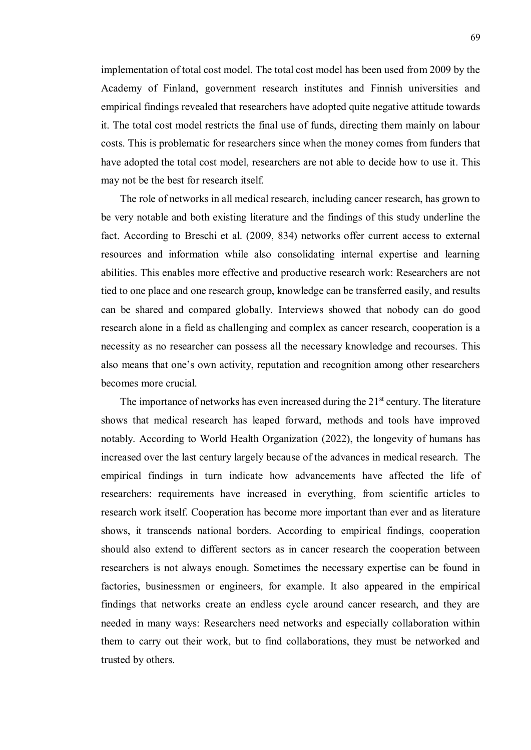implementation of total cost model. The total cost model has been used from 2009 by the Academy of Finland, government research institutes and Finnish universities and empirical findings revealed that researchers have adopted quite negative attitude towards it. The total cost model restricts the final use of funds, directing them mainly on labour costs. This is problematic for researchers since when the money comes from funders that have adopted the total cost model, researchers are not able to decide how to use it. This may not be the best for research itself.

The role of networks in all medical research, including cancer research, has grown to be very notable and both existing literature and the findings of this study underline the fact. According to Breschi et al. (2009, 834) networks offer current access to external resources and information while also consolidating internal expertise and learning abilities. This enables more effective and productive research work: Researchers are not tied to one place and one research group, knowledge can be transferred easily, and results can be shared and compared globally. Interviews showed that nobody can do good research alone in a field as challenging and complex as cancer research, cooperation is a necessity as no researcher can possess all the necessary knowledge and recourses. This also means that one's own activity, reputation and recognition among other researchers becomes more crucial.

The importance of networks has even increased during the  $21<sup>st</sup>$  century. The literature shows that medical research has leaped forward, methods and tools have improved notably. According to World Health Organization (2022), the longevity of humans has increased over the last century largely because of the advances in medical research. The empirical findings in turn indicate how advancements have affected the life of researchers: requirements have increased in everything, from scientific articles to research work itself. Cooperation has become more important than ever and as literature shows, it transcends national borders. According to empirical findings, cooperation should also extend to different sectors as in cancer research the cooperation between researchers is not always enough. Sometimes the necessary expertise can be found in factories, businessmen or engineers, for example. It also appeared in the empirical findings that networks create an endless cycle around cancer research, and they are needed in many ways: Researchers need networks and especially collaboration within them to carry out their work, but to find collaborations, they must be networked and trusted by others.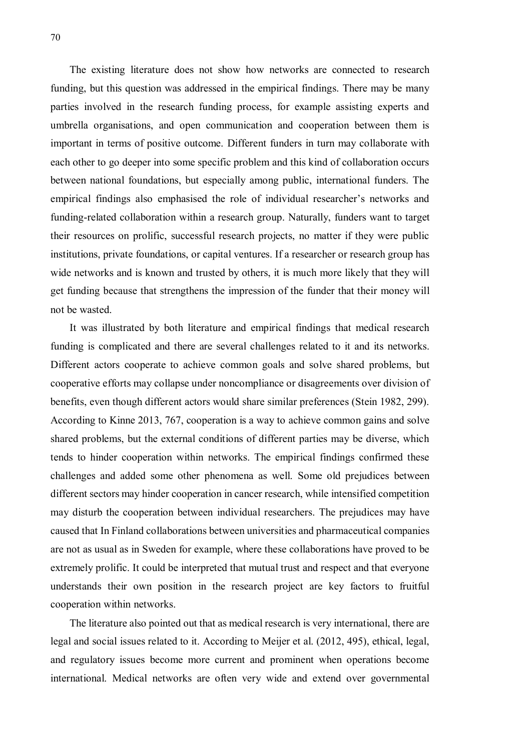The existing literature does not show how networks are connected to research funding, but this question was addressed in the empirical findings. There may be many parties involved in the research funding process, for example assisting experts and umbrella organisations, and open communication and cooperation between them is important in terms of positive outcome. Different funders in turn may collaborate with each other to go deeper into some specific problem and this kind of collaboration occurs between national foundations, but especially among public, international funders. The empirical findings also emphasised the role of individual researcher's networks and funding-related collaboration within a research group. Naturally, funders want to target their resources on prolific, successful research projects, no matter if they were public institutions, private foundations, or capital ventures. If a researcher or research group has wide networks and is known and trusted by others, it is much more likely that they will get funding because that strengthens the impression of the funder that their money will not be wasted.

It was illustrated by both literature and empirical findings that medical research funding is complicated and there are several challenges related to it and its networks. Different actors cooperate to achieve common goals and solve shared problems, but cooperative efforts may collapse under noncompliance or disagreements over division of benefits, even though different actors would share similar preferences (Stein 1982, 299). According to Kinne 2013, 767, cooperation is a way to achieve common gains and solve shared problems, but the external conditions of different parties may be diverse, which tends to hinder cooperation within networks. The empirical findings confirmed these challenges and added some other phenomena as well. Some old prejudices between different sectors may hinder cooperation in cancer research, while intensified competition may disturb the cooperation between individual researchers. The prejudices may have caused that In Finland collaborations between universities and pharmaceutical companies are not as usual as in Sweden for example, where these collaborations have proved to be extremely prolific. It could be interpreted that mutual trust and respect and that everyone understands their own position in the research project are key factors to fruitful cooperation within networks.

The literature also pointed out that as medical research is very international, there are legal and social issues related to it. According to Meijer et al. (2012, 495), ethical, legal, and regulatory issues become more current and prominent when operations become international. Medical networks are often very wide and extend over governmental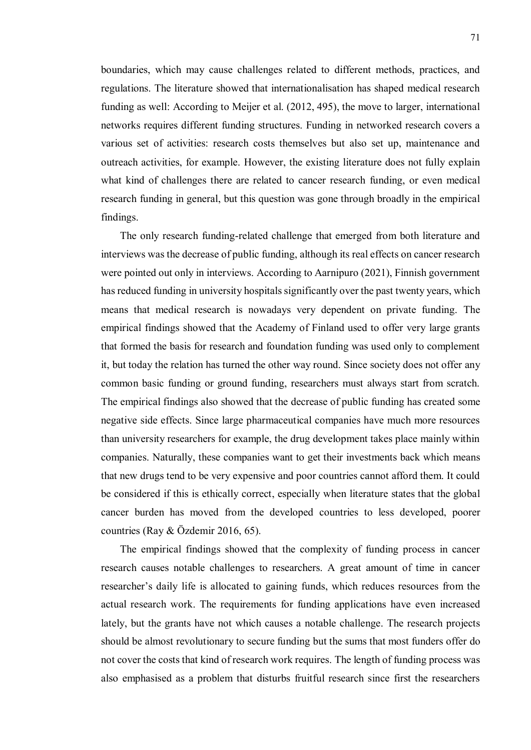boundaries, which may cause challenges related to different methods, practices, and regulations. The literature showed that internationalisation has shaped medical research funding as well: According to Meijer et al. (2012, 495), the move to larger, international networks requires different funding structures. Funding in networked research covers a various set of activities: research costs themselves but also set up, maintenance and outreach activities, for example. However, the existing literature does not fully explain what kind of challenges there are related to cancer research funding, or even medical research funding in general, but this question was gone through broadly in the empirical findings.

The only research funding-related challenge that emerged from both literature and interviews was the decrease of public funding, although its real effects on cancer research were pointed out only in interviews. According to Aarnipuro (2021), Finnish government has reduced funding in university hospitals significantly over the past twenty years, which means that medical research is nowadays very dependent on private funding. The empirical findings showed that the Academy of Finland used to offer very large grants that formed the basis for research and foundation funding was used only to complement it, but today the relation has turned the other way round. Since society does not offer any common basic funding or ground funding, researchers must always start from scratch. The empirical findings also showed that the decrease of public funding has created some negative side effects. Since large pharmaceutical companies have much more resources than university researchers for example, the drug development takes place mainly within companies. Naturally, these companies want to get their investments back which means that new drugs tend to be very expensive and poor countries cannot afford them. It could be considered if this is ethically correct, especially when literature states that the global cancer burden has moved from the developed countries to less developed, poorer countries (Ray & Özdemir 2016, 65).

The empirical findings showed that the complexity of funding process in cancer research causes notable challenges to researchers. A great amount of time in cancer researcher's daily life is allocated to gaining funds, which reduces resources from the actual research work. The requirements for funding applications have even increased lately, but the grants have not which causes a notable challenge. The research projects should be almost revolutionary to secure funding but the sums that most funders offer do not cover the costs that kind of research work requires. The length of funding process was also emphasised as a problem that disturbs fruitful research since first the researchers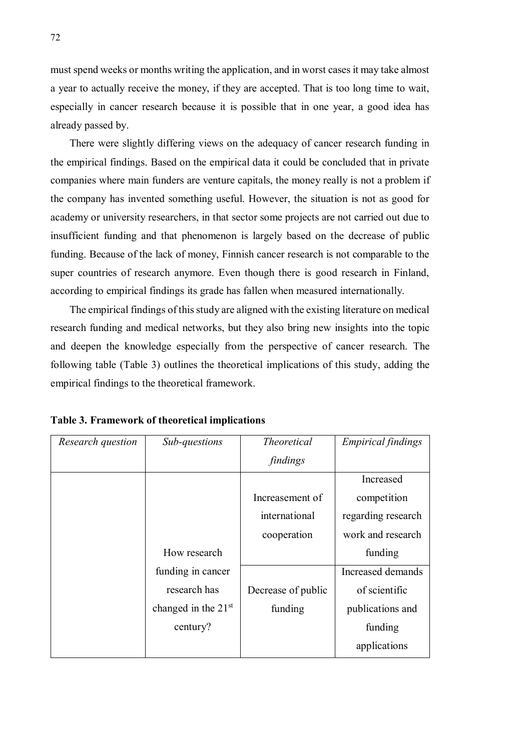must spend weeks or months writing the application, and in worst cases it may take almost a year to actually receive the money, if they are accepted. That is too long time to wait, especially in cancer research because it is possible that in one year, a good idea has already passed by.

There were slightly differing views on the adequacy of cancer research funding in the empirical findings. Based on the empirical data it could be concluded that in private companies where main funders are venture capitals, the money really is not a problem if the company has invented something useful. However, the situation is not as good for academy or university researchers, in that sector some projects are not carried out due to insufficient funding and that phenomenon is largely based on the decrease of public funding. Because of the lack of money, Finnish cancer research is not comparable to the super countries of research anymore. Even though there is good research in Finland, according to empirical findings its grade has fallen when measured internationally.

The empirical findings of this study are aligned with the existing literature on medical research funding and medical networks, but they also bring new insights into the topic and deepen the knowledge especially from the perspective of cancer research. The following table (Table 3) outlines the theoretical implications of this study, adding the empirical findings to the theoretical framework.

| Research question | Sub-questions         | <i>Theoretical</i> | <b>Empirical findings</b> |
|-------------------|-----------------------|--------------------|---------------------------|
|                   |                       | findings           |                           |
|                   |                       |                    | Increased                 |
|                   |                       | Increasement of    | competition               |
|                   |                       | international      | regarding research        |
|                   |                       | cooperation        | work and research         |
|                   | How research          |                    | funding                   |
|                   | funding in cancer     |                    | Increased demands         |
|                   | research has          | Decrease of public | of scientific             |
|                   | changed in the $21st$ | funding            | publications and          |
|                   | century?              |                    | funding                   |
|                   |                       |                    | applications              |

| Table 3. Framework of theoretical implications |  |  |  |  |  |  |  |  |  |
|------------------------------------------------|--|--|--|--|--|--|--|--|--|
|------------------------------------------------|--|--|--|--|--|--|--|--|--|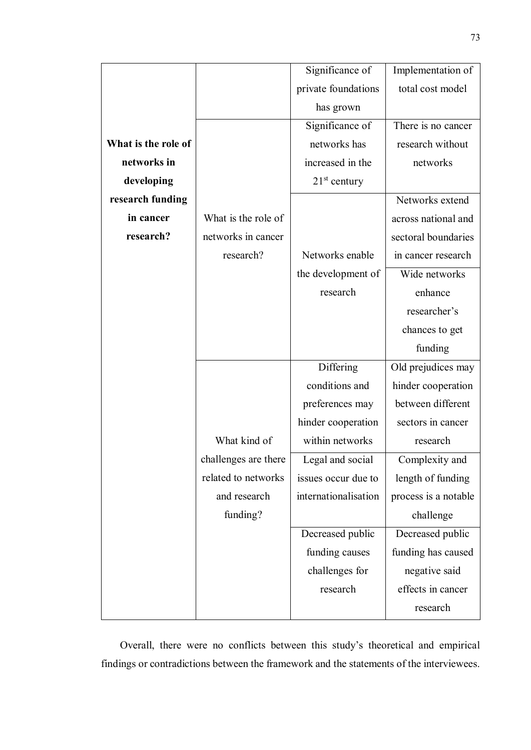|                     |                      | Significance of      | Implementation of    |
|---------------------|----------------------|----------------------|----------------------|
|                     |                      | private foundations  | total cost model     |
|                     |                      | has grown            |                      |
|                     |                      | Significance of      | There is no cancer   |
| What is the role of |                      | networks has         | research without     |
| networks in         |                      | increased in the     | networks             |
| developing          |                      | $21st$ century       |                      |
| research funding    |                      |                      | Networks extend      |
| in cancer           | What is the role of  |                      | across national and  |
| research?           | networks in cancer   |                      | sectoral boundaries  |
|                     | research?            | Networks enable      | in cancer research   |
|                     |                      | the development of   | Wide networks        |
|                     |                      | research             | enhance              |
|                     |                      |                      | researcher's         |
|                     |                      |                      | chances to get       |
|                     |                      |                      | funding              |
|                     |                      | Differing            | Old prejudices may   |
|                     |                      |                      |                      |
|                     |                      | conditions and       | hinder cooperation   |
|                     |                      | preferences may      | between different    |
|                     |                      | hinder cooperation   | sectors in cancer    |
|                     | What kind of         | within networks      | research             |
|                     | challenges are there | Legal and social     | Complexity and       |
|                     | related to networks  | issues occur due to  | length of funding    |
|                     | and research         | internationalisation | process is a notable |
|                     | funding?             |                      | challenge            |
|                     |                      | Decreased public     | Decreased public     |
|                     |                      | funding causes       | funding has caused   |
|                     |                      | challenges for       | negative said        |
|                     |                      | research             | effects in cancer    |

Overall, there were no conflicts between this study's theoretical and empirical findings or contradictions between the framework and the statements of the interviewees.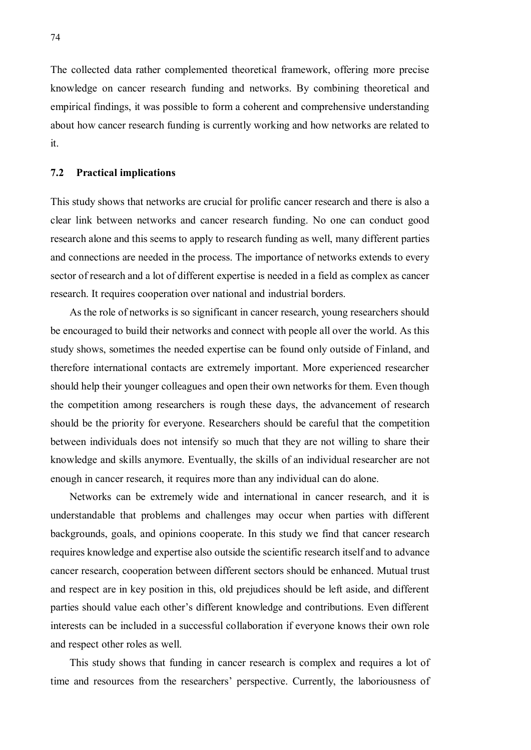The collected data rather complemented theoretical framework, offering more precise knowledge on cancer research funding and networks. By combining theoretical and empirical findings, it was possible to form a coherent and comprehensive understanding about how cancer research funding is currently working and how networks are related to it.

### **7.2 Practical implications**

This study shows that networks are crucial for prolific cancer research and there is also a clear link between networks and cancer research funding. No one can conduct good research alone and this seems to apply to research funding as well, many different parties and connections are needed in the process. The importance of networks extends to every sector of research and a lot of different expertise is needed in a field as complex as cancer research. It requires cooperation over national and industrial borders.

As the role of networks is so significant in cancer research, young researchers should be encouraged to build their networks and connect with people all over the world. As this study shows, sometimes the needed expertise can be found only outside of Finland, and therefore international contacts are extremely important. More experienced researcher should help their younger colleagues and open their own networks for them. Even though the competition among researchers is rough these days, the advancement of research should be the priority for everyone. Researchers should be careful that the competition between individuals does not intensify so much that they are not willing to share their knowledge and skills anymore. Eventually, the skills of an individual researcher are not enough in cancer research, it requires more than any individual can do alone.

Networks can be extremely wide and international in cancer research, and it is understandable that problems and challenges may occur when parties with different backgrounds, goals, and opinions cooperate. In this study we find that cancer research requires knowledge and expertise also outside the scientific research itself and to advance cancer research, cooperation between different sectors should be enhanced. Mutual trust and respect are in key position in this, old prejudices should be left aside, and different parties should value each other's different knowledge and contributions. Even different interests can be included in a successful collaboration if everyone knows their own role and respect other roles as well.

This study shows that funding in cancer research is complex and requires a lot of time and resources from the researchers' perspective. Currently, the laboriousness of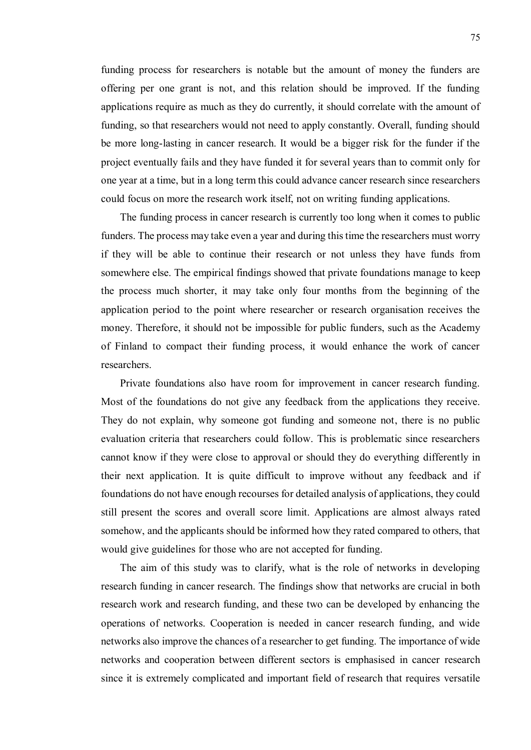funding process for researchers is notable but the amount of money the funders are offering per one grant is not, and this relation should be improved. If the funding applications require as much as they do currently, it should correlate with the amount of funding, so that researchers would not need to apply constantly. Overall, funding should be more long-lasting in cancer research. It would be a bigger risk for the funder if the project eventually fails and they have funded it for several years than to commit only for one year at a time, but in a long term this could advance cancer research since researchers could focus on more the research work itself, not on writing funding applications.

The funding process in cancer research is currently too long when it comes to public funders. The process may take even a year and during this time the researchers must worry if they will be able to continue their research or not unless they have funds from somewhere else. The empirical findings showed that private foundations manage to keep the process much shorter, it may take only four months from the beginning of the application period to the point where researcher or research organisation receives the money. Therefore, it should not be impossible for public funders, such as the Academy of Finland to compact their funding process, it would enhance the work of cancer researchers.

Private foundations also have room for improvement in cancer research funding. Most of the foundations do not give any feedback from the applications they receive. They do not explain, why someone got funding and someone not, there is no public evaluation criteria that researchers could follow. This is problematic since researchers cannot know if they were close to approval or should they do everything differently in their next application. It is quite difficult to improve without any feedback and if foundations do not have enough recourses for detailed analysis of applications, they could still present the scores and overall score limit. Applications are almost always rated somehow, and the applicants should be informed how they rated compared to others, that would give guidelines for those who are not accepted for funding.

The aim of this study was to clarify, what is the role of networks in developing research funding in cancer research. The findings show that networks are crucial in both research work and research funding, and these two can be developed by enhancing the operations of networks. Cooperation is needed in cancer research funding, and wide networks also improve the chances of a researcher to get funding. The importance of wide networks and cooperation between different sectors is emphasised in cancer research since it is extremely complicated and important field of research that requires versatile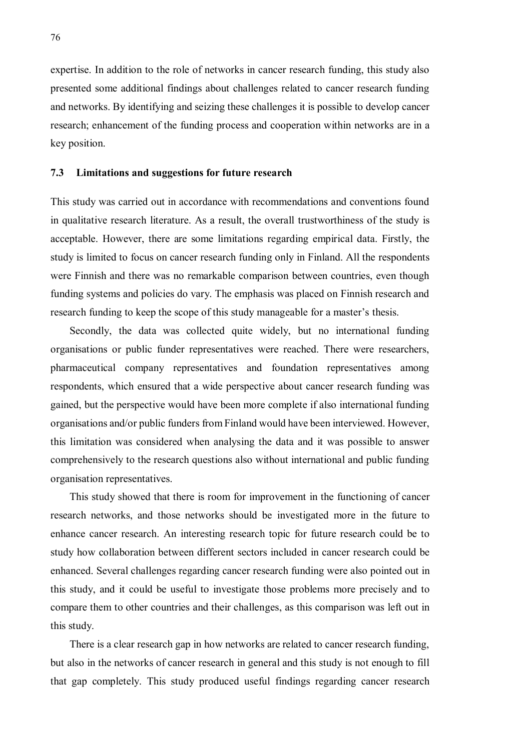expertise. In addition to the role of networks in cancer research funding, this study also presented some additional findings about challenges related to cancer research funding and networks. By identifying and seizing these challenges it is possible to develop cancer research; enhancement of the funding process and cooperation within networks are in a key position.

### **7.3 Limitations and suggestions for future research**

This study was carried out in accordance with recommendations and conventions found in qualitative research literature. As a result, the overall trustworthiness of the study is acceptable. However, there are some limitations regarding empirical data. Firstly, the study is limited to focus on cancer research funding only in Finland. All the respondents were Finnish and there was no remarkable comparison between countries, even though funding systems and policies do vary. The emphasis was placed on Finnish research and research funding to keep the scope of this study manageable for a master's thesis.

Secondly, the data was collected quite widely, but no international funding organisations or public funder representatives were reached. There were researchers, pharmaceutical company representatives and foundation representatives among respondents, which ensured that a wide perspective about cancer research funding was gained, but the perspective would have been more complete if also international funding organisations and/or public funders from Finland would have been interviewed. However, this limitation was considered when analysing the data and it was possible to answer comprehensively to the research questions also without international and public funding organisation representatives.

This study showed that there is room for improvement in the functioning of cancer research networks, and those networks should be investigated more in the future to enhance cancer research. An interesting research topic for future research could be to study how collaboration between different sectors included in cancer research could be enhanced. Several challenges regarding cancer research funding were also pointed out in this study, and it could be useful to investigate those problems more precisely and to compare them to other countries and their challenges, as this comparison was left out in this study.

There is a clear research gap in how networks are related to cancer research funding, but also in the networks of cancer research in general and this study is not enough to fill that gap completely. This study produced useful findings regarding cancer research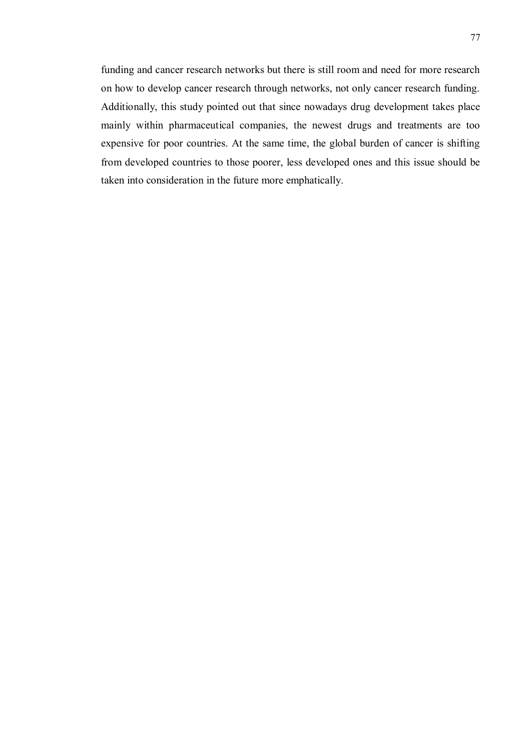funding and cancer research networks but there is still room and need for more research on how to develop cancer research through networks, not only cancer research funding. Additionally, this study pointed out that since nowadays drug development takes place mainly within pharmaceutical companies, the newest drugs and treatments are too expensive for poor countries. At the same time, the global burden of cancer is shifting from developed countries to those poorer, less developed ones and this issue should be taken into consideration in the future more emphatically.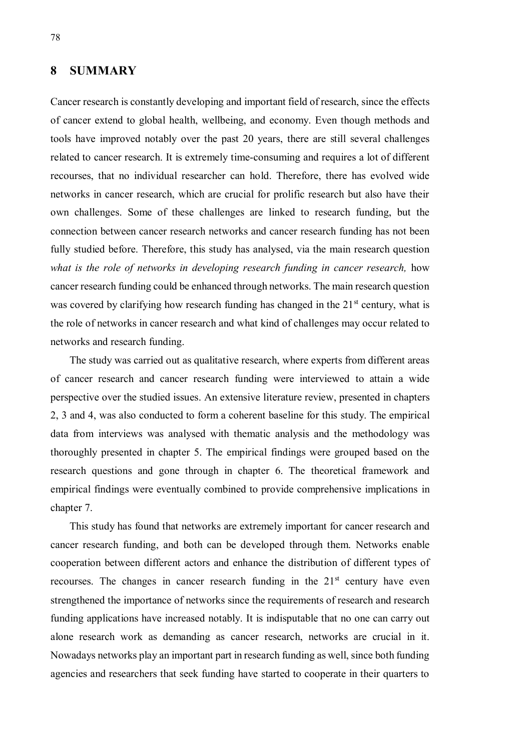## **8 SUMMARY**

Cancer research is constantly developing and important field of research, since the effects of cancer extend to global health, wellbeing, and economy. Even though methods and tools have improved notably over the past 20 years, there are still several challenges related to cancer research. It is extremely time-consuming and requires a lot of different recourses, that no individual researcher can hold. Therefore, there has evolved wide networks in cancer research, which are crucial for prolific research but also have their own challenges. Some of these challenges are linked to research funding, but the connection between cancer research networks and cancer research funding has not been fully studied before. Therefore, this study has analysed, via the main research question *what is the role of networks in developing research funding in cancer research,* how cancer research funding could be enhanced through networks. The main research question was covered by clarifying how research funding has changed in the  $21<sup>st</sup>$  century, what is the role of networks in cancer research and what kind of challenges may occur related to networks and research funding.

The study was carried out as qualitative research, where experts from different areas of cancer research and cancer research funding were interviewed to attain a wide perspective over the studied issues. An extensive literature review, presented in chapters 2, 3 and 4, was also conducted to form a coherent baseline for this study. The empirical data from interviews was analysed with thematic analysis and the methodology was thoroughly presented in chapter 5. The empirical findings were grouped based on the research questions and gone through in chapter 6. The theoretical framework and empirical findings were eventually combined to provide comprehensive implications in chapter 7.

This study has found that networks are extremely important for cancer research and cancer research funding, and both can be developed through them. Networks enable cooperation between different actors and enhance the distribution of different types of recourses. The changes in cancer research funding in the  $21<sup>st</sup>$  century have even strengthened the importance of networks since the requirements of research and research funding applications have increased notably. It is indisputable that no one can carry out alone research work as demanding as cancer research, networks are crucial in it. Nowadays networks play an important part in research funding as well, since both funding agencies and researchers that seek funding have started to cooperate in their quarters to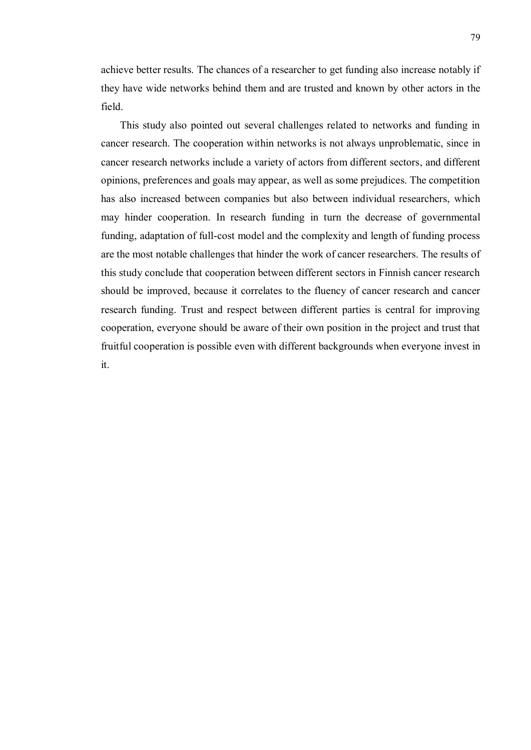achieve better results. The chances of a researcher to get funding also increase notably if they have wide networks behind them and are trusted and known by other actors in the field.

This study also pointed out several challenges related to networks and funding in cancer research. The cooperation within networks is not always unproblematic, since in cancer research networks include a variety of actors from different sectors, and different opinions, preferences and goals may appear, as well as some prejudices. The competition has also increased between companies but also between individual researchers, which may hinder cooperation. In research funding in turn the decrease of governmental funding, adaptation of full-cost model and the complexity and length of funding process are the most notable challenges that hinder the work of cancer researchers. The results of this study conclude that cooperation between different sectors in Finnish cancer research should be improved, because it correlates to the fluency of cancer research and cancer research funding. Trust and respect between different parties is central for improving cooperation, everyone should be aware of their own position in the project and trust that fruitful cooperation is possible even with different backgrounds when everyone invest in it.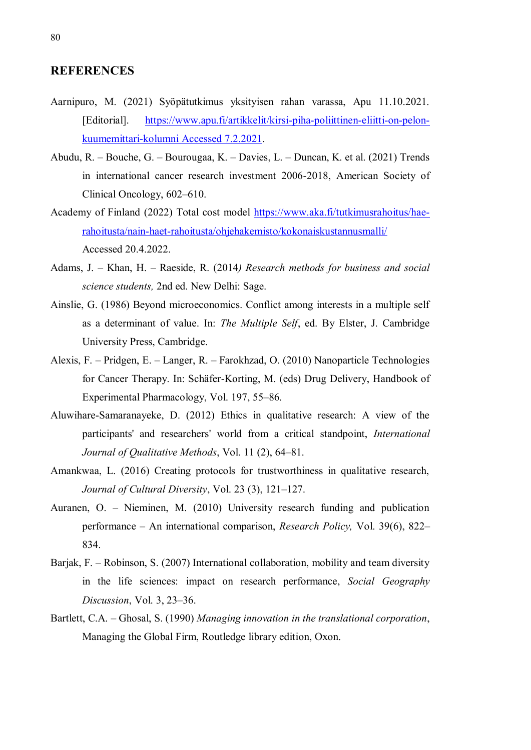## **REFERENCES**

- Aarnipuro, M. (2021) Syöpätutkimus yksityisen rahan varassa, Apu 11.10.2021. [Editorial]. [https://www.apu.fi/artikkelit/kirsi-piha-poliittinen-eliitti-on-pelon](https://www.apu.fi/artikkelit/kirsi-piha-poliittinen-eliitti-on-pelon-kuumemittari-kolumni%20Accessed%207.2.2021)[kuumemittari-kolumni Accessed 7.2.2021.](https://www.apu.fi/artikkelit/kirsi-piha-poliittinen-eliitti-on-pelon-kuumemittari-kolumni%20Accessed%207.2.2021)
- Abudu, R. Bouche, G. Bourougaa, K. Davies, L. Duncan, K. et al. (2021) Trends in international cancer research investment 2006-2018, American Society of Clinical Oncology, 602–610.
- Academy of Finland (2022) Total cost model [https://www.aka.fi/tutkimusrahoitus/hae](https://www.aka.fi/tutkimusrahoitus/hae-rahoitusta/nain-haet-rahoitusta/ohjehakemisto/kokonaiskustannusmalli/)[rahoitusta/nain-haet-rahoitusta/ohjehakemisto/kokonaiskustannusmalli/](https://www.aka.fi/tutkimusrahoitus/hae-rahoitusta/nain-haet-rahoitusta/ohjehakemisto/kokonaiskustannusmalli/) Accessed 20.4.2022.
- Adams, J. Khan, H. Raeside, R. (2014*) Research methods for business and social science students,* 2nd ed. New Delhi: Sage.
- Ainslie, G. (1986) Beyond microeconomics. Conflict among interests in a multiple self as a determinant of value. In: *The Multiple Self*, ed. By Elster, J. Cambridge University Press, Cambridge.
- Alexis, F. Pridgen, E. Langer, R. Farokhzad, O. (2010) Nanoparticle Technologies for Cancer Therapy. In: Schäfer-Korting, M. (eds) Drug Delivery, Handbook of Experimental Pharmacology, Vol. 197, 55–86.
- Aluwihare-Samaranayeke, D. (2012) Ethics in qualitative research: A view of the participants' and researchers' world from a critical standpoint, *International Journal of Qualitative Methods*, Vol. 11 (2), 64–81.
- Amankwaa, L. (2016) Creating protocols for trustworthiness in qualitative research, *Journal of Cultural Diversity*, Vol. 23 (3), 121–127.
- Auranen, O. Nieminen, M. (2010) University research funding and publication performance – An international comparison, *Research Policy,* Vol. 39(6), 822– 834.
- Barjak, F. Robinson, S. (2007) International collaboration, mobility and team diversity in the life sciences: impact on research performance, *Social Geography Discussion*, Vol. 3, 23–36.
- Bartlett, C.A. Ghosal, S. (1990) *Managing innovation in the translational corporation*, Managing the Global Firm, Routledge library edition, Oxon.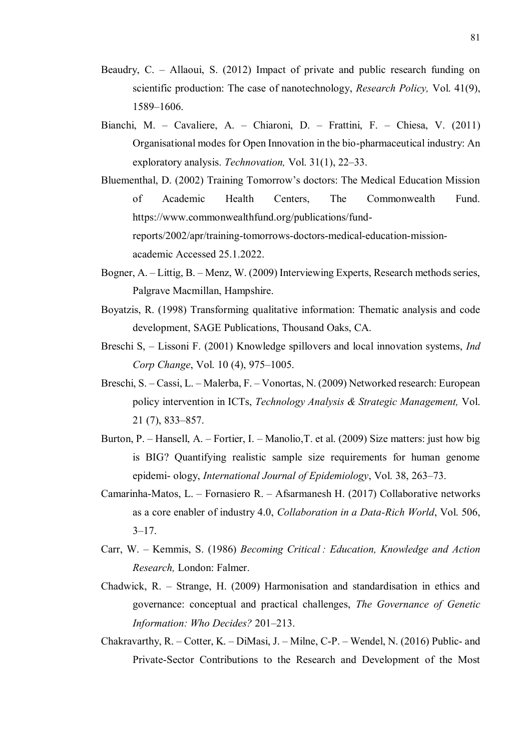- Beaudry, C. Allaoui, S. (2012) Impact of private and public research funding on scientific production: The case of nanotechnology, *Research Policy,* Vol. 41(9), 1589–1606.
- Bianchi, M. Cavaliere, A. Chiaroni, D. Frattini, F. Chiesa, V. (2011) Organisational modes for Open Innovation in the bio-pharmaceutical industry: An exploratory analysis. *Technovation,* Vol. 31(1), 22–33.
- Bluementhal, D. (2002) Training Tomorrow's doctors: The Medical Education Mission of Academic Health Centers, The Commonwealth Fund. [https://www.commonwealthfund.org/publications/fund](https://www.commonwealthfund.org/publications/fund-reports/2002/apr/training-tomorrows-doctors-medical-education-mission-academic%20Accessed%2025.1.2022)[reports/2002/apr/training-tomorrows-doctors-medical-education-mission](https://www.commonwealthfund.org/publications/fund-reports/2002/apr/training-tomorrows-doctors-medical-education-mission-academic%20Accessed%2025.1.2022)[academic Accessed 25.1.2022.](https://www.commonwealthfund.org/publications/fund-reports/2002/apr/training-tomorrows-doctors-medical-education-mission-academic%20Accessed%2025.1.2022)
- Bogner, A. Littig, B. Menz, W. (2009) Interviewing Experts, Research methods series, Palgrave Macmillan, Hampshire.
- Boyatzis, R. (1998) Transforming qualitative information: Thematic analysis and code development, SAGE Publications, Thousand Oaks, CA.
- Breschi S, Lissoni F. (2001) Knowledge spillovers and local innovation systems, *Ind Corp Change*, Vol. 10 (4), 975–1005.
- Breschi, S. Cassi, L. Malerba, F. Vonortas, N. (2009) Networked research: European policy intervention in ICTs, *Technology Analysis & Strategic Management,* Vol. 21 (7), 833–857.
- Burton, P. Hansell, A. Fortier, I. Manolio,T. et al. (2009) Size matters: just how big is BIG? Quantifying realistic sample size requirements for human genome epidemi- ology, *International Journal of Epidemiology*, Vol. 38, 263–73.
- Camarinha-Matos, L. Fornasiero R. Afsarmanesh H. (2017) Collaborative networks as a core enabler of industry 4.0, *Collaboration in a Data-Rich World*, Vol. 506,  $3-17.$
- Carr, W. Kemmis, S. (1986) *Becoming Critical : Education, Knowledge and Action Research,* London: Falmer.
- Chadwick, R. Strange, H. (2009) Harmonisation and standardisation in ethics and governance: conceptual and practical challenges, *The Governance of Genetic Information: Who Decides?* 201–213.
- Chakravarthy, R. Cotter, K. DiMasi, J. Milne, C-P. Wendel, N. (2016) Public- and Private-Sector Contributions to the Research and Development of the Most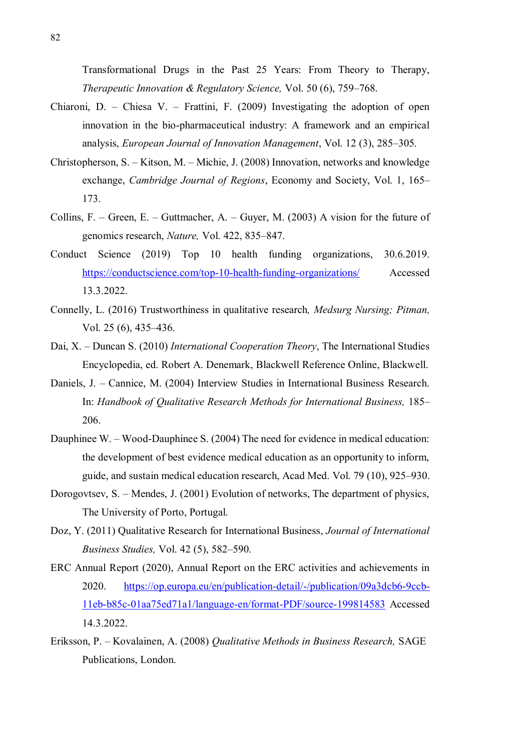Transformational Drugs in the Past 25 Years: From Theory to Therapy, *Therapeutic Innovation & Regulatory Science,* Vol. 50 (6), 759–768.

- Chiaroni, D. Chiesa V. Frattini, F. (2009) Investigating the adoption of open innovation in the bio-pharmaceutical industry: A framework and an empirical analysis, *European Journal of Innovation Management*, Vol. 12 (3), 285–305.
- Christopherson, S. Kitson, M. Michie, J. (2008) Innovation, networks and knowledge exchange, *Cambridge Journal of Regions*, Economy and Society, Vol. 1, 165– 173.
- Collins, F. Green, E. Guttmacher, A. Guyer, M. (2003) A vision for the future of genomics research, *Nature,* Vol. 422, 835–847.
- Conduct Science (2019) Top 10 health funding organizations, 30.6.2019. <https://conductscience.com/top-10-health-funding-organizations/> Accessed 13.3.2022.
- Connelly, L. (2016) Trustworthiness in qualitative research*, Medsurg Nursing; Pitman,* Vol. 25 (6), 435–436.
- Dai, X. Duncan S. (2010) *International Cooperation Theory*, The International Studies Encyclopedia, ed. Robert A. Denemark, Blackwell Reference Online, Blackwell.
- Daniels, J. Cannice, M. (2004) Interview Studies in International Business Research. In: *Handbook of Qualitative Research Methods for International Business,* 185– 206.
- Dauphinee W. Wood-Dauphinee S. (2004) The need for evidence in medical education: the development of best evidence medical education as an opportunity to inform, guide, and sustain medical education research, Acad Med. Vol. 79 (10), 925–930.
- Dorogovtsev, S. Mendes, J. (2001) Evolution of networks, The department of physics, The University of Porto, Portugal.
- Doz, Y. (2011) Qualitative Research for International Business, *Journal of International Business Studies,* Vol. 42 (5), 582–590.
- ERC Annual Report (2020), Annual Report on the ERC activities and achievements in 2020. [https://op.europa.eu/en/publication-detail/-/publication/09a3dcb6-9ccb-](https://op.europa.eu/en/publication-detail/-/publication/09a3dcb6-9ccb-11eb-b85c-01aa75ed71a1/language-en/format-PDF/source-199814583)[11eb-b85c-01aa75ed71a1/language-en/format-PDF/source-199814583](https://op.europa.eu/en/publication-detail/-/publication/09a3dcb6-9ccb-11eb-b85c-01aa75ed71a1/language-en/format-PDF/source-199814583) Accessed 14.3.2022.
- Eriksson, P. Kovalainen, A. (2008) *Qualitative Methods in Business Research,* SAGE Publications, London.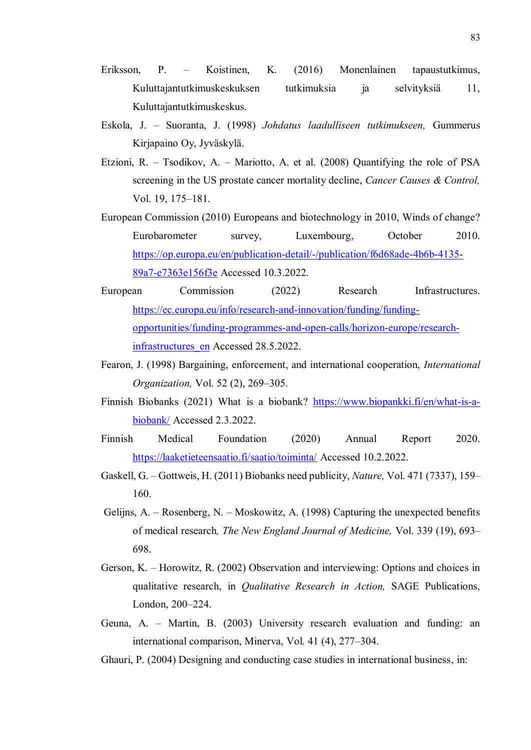- Eriksson, P. Koistinen, K. (2016) Monenlainen tapaustutkimus, Kuluttajantutkimuskeskuksen tutkimuksia ja selvityksiä 11, Kuluttajantutkimuskeskus.
- Eskola, J. Suoranta, J. (1998) *Johdatus laadulliseen tutkimukseen,* Gummerus Kirjapaino Oy, Jyväskylä.
- Etzioni, R. Tsodikov, A. Mariotto, A. et al. (2008) Quantifying the role of PSA screening in the US prostate cancer mortality decline, *Cancer Causes & Control,* Vol. 19, 175–181.
- European Commission (2010) Europeans and biotechnology in 2010, Winds of change? Eurobarometer survey, Luxembourg, October 2010. [https://op.europa.eu/en/publication-detail/-/publication/f6d68ade-4b6b-4135-](https://op.europa.eu/en/publication-detail/-/publication/f6d68ade-4b6b-4135-89a7-e7363e156f3e) [89a7-e7363e156f3e](https://op.europa.eu/en/publication-detail/-/publication/f6d68ade-4b6b-4135-89a7-e7363e156f3e) Accessed 10.3.2022.
- European Commission (2022) Research Infrastructures. [https://ec.europa.eu/info/research-and-innovation/funding/funding](https://ec.europa.eu/info/research-and-innovation/funding/funding-opportunities/funding-programmes-and-open-calls/horizon-europe/research-infrastructures_en)[opportunities/funding-programmes-and-open-calls/horizon-europe/research](https://ec.europa.eu/info/research-and-innovation/funding/funding-opportunities/funding-programmes-and-open-calls/horizon-europe/research-infrastructures_en)infrastructures en Accessed 28.5.2022.
- Fearon, J. (1998) Bargaining, enforcement, and international cooperation, *International Organization,* Vol. 52 (2), 269–305.
- Finnish Biobanks (2021) What is a biobank? [https://www.biopankki.fi/en/what-is-a](https://www.biopankki.fi/en/what-is-a-biobank/)[biobank/](https://www.biopankki.fi/en/what-is-a-biobank/) Accessed 2.3.2022.
- Finnish Medical Foundation (2020) Annual Report 2020. <https://laaketieteensaatio.fi/saatio/toiminta/> Accessed 10.2.2022.
- Gaskell, G. Gottweis, H. (2011) Biobanks need publicity, *Nature,* Vol. 471 (7337), 159– 160.
- Gelijns, A. Rosenberg, N. Moskowitz, A. (1998) Capturing the unexpected benefits of medical research*, The New England Journal of Medicine,* Vol. 339 (19), 693– 698.
- Gerson, K. Horowitz, R. (2002) Observation and interviewing: Options and choices in qualitative research, in *Qualitative Research in Action,* SAGE Publications, London, 200–224.
- Geuna, A. Martin, B. (2003) University research evaluation and funding: an international comparison, Minerva, Vol. 41 (4), 277–304.
- Ghauri, P. (2004) Designing and conducting case studies in international business, in: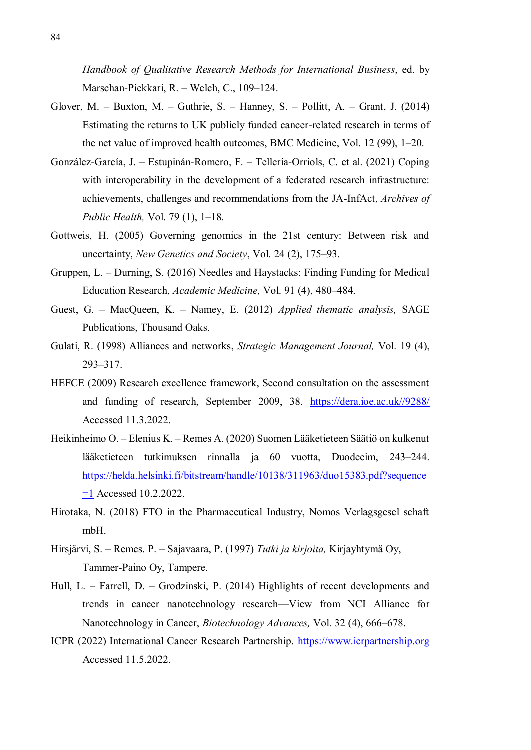*Handbook of Qualitative Research Methods for International Business*, ed. by Marschan-Piekkari, R. – Welch, C., 109–124.

- Glover, M. Buxton, M. Guthrie, S. Hanney, S. Pollitt, A. Grant, J.  $(2014)$ Estimating the returns to UK publicly funded cancer-related research in terms of the net value of improved health outcomes, BMC Medicine, Vol. 12 (99), 1–20.
- González-García, J. Estupinán-Romero, F. Tellería-Orriols, C. et al. (2021) Coping with interoperability in the development of a federated research infrastructure: achievements, challenges and recommendations from the JA-InfAct, *Archives of Public Health,* Vol. 79 (1), 1–18.
- Gottweis, H. (2005) Governing genomics in the 21st century: Between risk and uncertainty, *New Genetics and Society*, Vol. 24 (2), 175–93.
- Gruppen, L. Durning, S. (2016) Needles and Haystacks: Finding Funding for Medical Education Research, *Academic Medicine,* Vol. 91 (4), 480–484.
- Guest, G. MacQueen, K. Namey, E. (2012) *Applied thematic analysis,* SAGE Publications, Thousand Oaks.
- Gulati, R. (1998) Alliances and networks, *Strategic Management Journal,* Vol. 19 (4), 293–317.
- HEFCE (2009) Research excellence framework, Second consultation on the assessment and funding of research, September 2009, 38. [https://dera.ioe.ac.uk//9288/](https://dera.ioe.ac.uk/9288/) Accessed 11.3.2022.
- Heikinheimo O. Elenius K. Remes A. (2020) Suomen Lääketieteen Säätiö on kulkenut lääketieteen tutkimuksen rinnalla ja 60 vuotta, Duodecim, 243–244. [https://helda.helsinki.fi/bitstream/handle/10138/311963/duo15383.pdf?sequence](https://helda.helsinki.fi/bitstream/handle/10138/311963/duo15383.pdf?sequence=1) [=1](https://helda.helsinki.fi/bitstream/handle/10138/311963/duo15383.pdf?sequence=1) Accessed 10.2.2022.
- Hirotaka, N. (2018) FTO in the Pharmaceutical Industry, Nomos Verlagsgesel schaft mbH.
- Hirsjärvi, S. Remes. P. Sajavaara, P. (1997) *Tutki ja kirjoita,* Kirjayhtymä Oy, Tammer-Paino Oy, Tampere.
- Hull, L. Farrell, D. Grodzinski, P. (2014) Highlights of recent developments and trends in cancer nanotechnology research—View from NCI Alliance for Nanotechnology in Cancer, *Biotechnology Advances,* Vol. 32 (4), 666–678.
- ICPR (2022) International Cancer Research Partnership. [https://www.icrpartnership.org](https://www.icrpartnership.org/) Accessed 11.5.2022.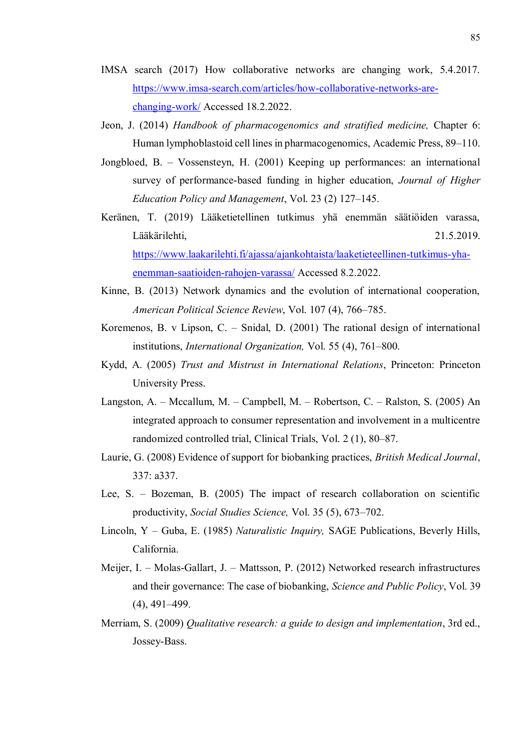- IMSA search (2017) How collaborative networks are changing work, 5.4.2017. [https://www.imsa-search.com/articles/how-collaborative-networks-are](https://www.imsa-search.com/articles/how-collaborative-networks-are-changing-work/)[changing-work/](https://www.imsa-search.com/articles/how-collaborative-networks-are-changing-work/) Accessed 18.2.2022.
- Jeon, J. (2014) *Handbook of pharmacogenomics and stratified medicine,* Chapter 6: Human lymphoblastoid cell lines in pharmacogenomics, Academic Press, 89–110.
- Jongbloed, B. Vossensteyn, H. (2001) Keeping up performances: an international survey of performance-based funding in higher education, *Journal of Higher Education Policy and Management*, Vol. 23 (2) 127–145.
- Keränen, T. (2019) Lääketietellinen tutkimus yhä enemmän säätiöiden varassa, Lääkärilehti, 21.5.2019. [https://www.laakarilehti.fi/ajassa/ajankohtaista/laaketieteellinen-tutkimus-yha](https://www.laakarilehti.fi/ajassa/ajankohtaista/laaketieteellinen-tutkimus-yha-enemman-saatioiden-rahojen-varassa/)[enemman-saatioiden-rahojen-varassa/](https://www.laakarilehti.fi/ajassa/ajankohtaista/laaketieteellinen-tutkimus-yha-enemman-saatioiden-rahojen-varassa/) Accessed 8.2.2022.
- Kinne, B. (2013) Network dynamics and the evolution of international cooperation, *American Political Science Review*, Vol. 107 (4), 766–785.
- Koremenos, B. v Lipson, C. Snidal, D. (2001) The rational design of international institutions, *International Organization,* Vol. 55 (4), 761–800.
- Kydd, A. (2005) *Trust and Mistrust in International Relations*, Princeton: Princeton University Press.
- Langston, A. Mccallum, M. Campbell, M. Robertson, C. Ralston, S. (2005) An integrated approach to consumer representation and involvement in a multicentre randomized controlled trial, Clinical Trials, Vol. 2 (1), 80–87.
- Laurie, G. (2008) Evidence of support for biobanking practices, *British Medical Journal*, 337: a337.
- Lee, S. Bozeman, B. (2005) The impact of research collaboration on scientific productivity, *Social Studies Science,* Vol. 35 (5), 673–702.
- Lincoln, Y Guba, E. (1985) *Naturalistic Inquiry,* SAGE Publications, Beverly Hills, California.
- Meijer, I. Molas-Gallart, J. Mattsson, P. (2012) Networked research infrastructures and their governance: The case of biobanking, *Science and Public Policy*, Vol. 39 (4), 491–499.
- Merriam, S. (2009) *Qualitative research: a guide to design and implementation*, 3rd ed., Jossey-Bass.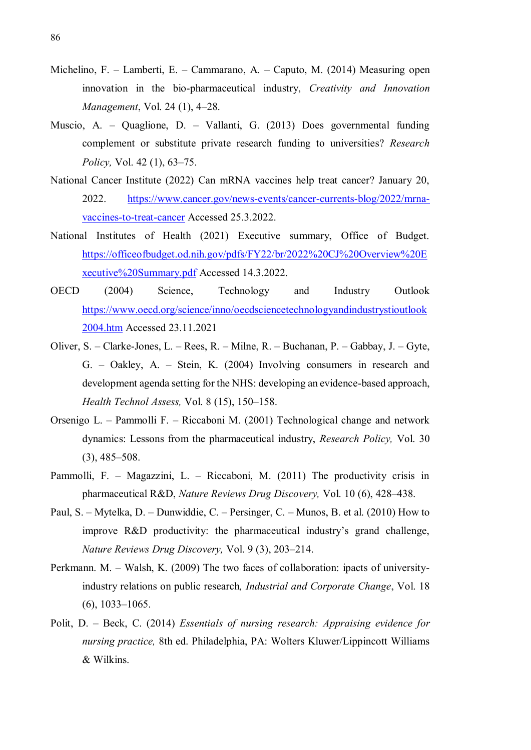- Michelino, F. Lamberti, E. Cammarano, A. Caputo, M. (2014) Measuring open innovation in the bio-pharmaceutical industry, *Creativity and Innovation Management*, Vol. 24 (1), 4–28.
- Muscio, A. Quaglione, D. Vallanti, G. (2013) Does governmental funding complement or substitute private research funding to universities? *Research Policy,* Vol. 42 (1), 63–75.
- National Cancer Institute (2022) Can mRNA vaccines help treat cancer? January 20, 2022. [https://www.cancer.gov/news-events/cancer-currents-blog/2022/mrna](https://www.cancer.gov/news-events/cancer-currents-blog/2022/mrna-vaccines-to-treat-cancer)[vaccines-to-treat-cancer](https://www.cancer.gov/news-events/cancer-currents-blog/2022/mrna-vaccines-to-treat-cancer) Accessed 25.3.2022.
- National Institutes of Health (2021) Executive summary, Office of Budget. [https://officeofbudget.od.nih.gov/pdfs/FY22/br/2022%20CJ%20Overview%20E](https://officeofbudget.od.nih.gov/pdfs/FY22/br/2022%20CJ%20Overview%20Executive%20Summary.pdf) [xecutive%20Summary.pdf](https://officeofbudget.od.nih.gov/pdfs/FY22/br/2022%20CJ%20Overview%20Executive%20Summary.pdf) Accessed 14.3.2022.
- OECD (2004) Science, Technology and Industry Outlook [https://www.oecd.org/science/inno/oecdsciencetechnologyandindustrystioutlook](https://www.oecd.org/science/inno/oecdsciencetechnologyandindustrystioutlook2004.htm) [2004.htm](https://www.oecd.org/science/inno/oecdsciencetechnologyandindustrystioutlook2004.htm) Accessed 23.11.2021
- Oliver, S. Clarke-Jones, L. Rees, R. Milne, R. Buchanan, P. Gabbay, J. Gyte, G. – Oakley, A. – Stein, K. (2004) Involving consumers in research and development agenda setting for the NHS: developing an evidence-based approach, *Health Technol Assess,* Vol. 8 (15), 150–158.
- Orsenigo L. Pammolli F. Riccaboni M. (2001) Technological change and network dynamics: Lessons from the pharmaceutical industry, *Research Policy,* Vol. 30 (3), 485–508.
- Pammolli, F. Magazzini, L. Riccaboni, M. (2011) The productivity crisis in pharmaceutical R&D, *Nature Reviews Drug Discovery,* Vol. 10 (6), 428–438.
- Paul, S. Mytelka, D. Dunwiddie, C. Persinger, C. Munos, B. et al. (2010) How to improve R&D productivity: the pharmaceutical industry's grand challenge, *Nature Reviews Drug Discovery,* Vol. 9 (3), 203–214.
- Perkmann. M. Walsh, K. (2009) The two faces of collaboration: ipacts of universityindustry relations on public research*, Industrial and Corporate Change*, Vol. 18 (6), 1033–1065.
- Polit, D. Beck, C. (2014) *Essentials of nursing research: Appraising evidence for nursing practice,* 8th ed. Philadelphia, PA: Wolters Kluwer/Lippincott Williams & Wilkins.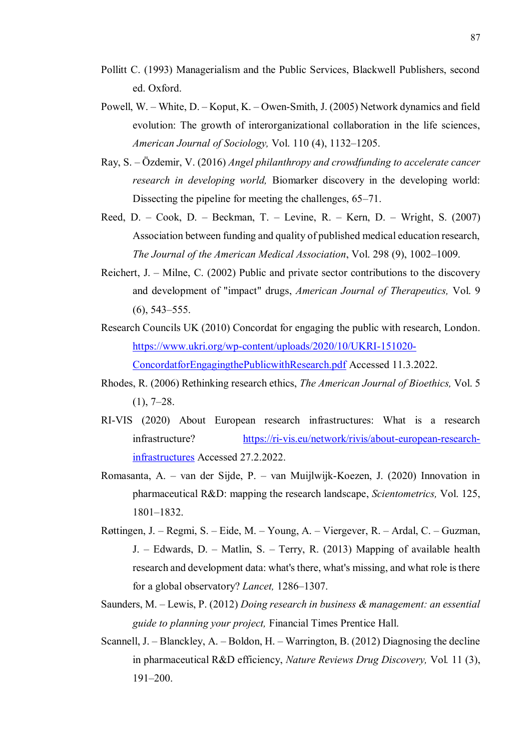- Pollitt C. (1993) Managerialism and the Public Services, Blackwell Publishers, second ed. Oxford.
- Powell, W. White, D. Koput, K. Owen-Smith, J. (2005) Network dynamics and field evolution: The growth of interorganizational collaboration in the life sciences, *American Journal of Sociology,* Vol. 110 (4), 1132–1205.
- Ray, S. Özdemir, V. (2016) *Angel philanthropy and crowdfunding to accelerate cancer research in developing world,* Biomarker discovery in the developing world: Dissecting the pipeline for meeting the challenges, 65–71.
- Reed, D. Cook, D. Beckman, T. Levine, R. Kern, D. Wright, S. (2007) Association between funding and quality of published medical education research, *The Journal of the American Medical Association*, Vol. 298 (9), 1002–1009.
- Reichert, J. Milne, C. (2002) Public and private sector contributions to the discovery and development of "impact" drugs, *American Journal of Therapeutics,* Vol. 9 (6), 543–555.
- Research Councils UK (2010) Concordat for engaging the public with research, London. [https://www.ukri.org/wp-content/uploads/2020/10/UKRI-151020-](https://www.ukri.org/wp-content/uploads/2020/10/UKRI-151020-ConcordatforEngagingthePublicwithResearch.pdf) [ConcordatforEngagingthePublicwithResearch.pdf](https://www.ukri.org/wp-content/uploads/2020/10/UKRI-151020-ConcordatforEngagingthePublicwithResearch.pdf) Accessed 11.3.2022.
- Rhodes, R. (2006) Rethinking research ethics, *The American Journal of Bioethics,* Vol. 5  $(1), 7-28.$
- RI-VIS (2020) About European research infrastructures: What is a research infrastructure? [https://ri-vis.eu/network/rivis/about-european-research](https://ri-vis.eu/network/rivis/about-european-research-infrastructures)[infrastructures](https://ri-vis.eu/network/rivis/about-european-research-infrastructures) Accessed 27.2.2022.
- Romasanta, A. van der Sijde, P. van Muijlwijk-Koezen, J. (2020) Innovation in pharmaceutical R&D: mapping the research landscape, *Scientometrics,* Vol. 125, 1801–1832.
- Røttingen, J. Regmi, S. Eide, M. Young, A. Viergever, R. Ardal, C. Guzman, J. – Edwards, D. – Matlin, S. – Terry, R. (2013) Mapping of available health research and development data: what's there, what's missing, and what role is there for a global observatory? *Lancet,* 1286–1307.
- Saunders, M. Lewis, P. (2012) *Doing research in business & management: an essential guide to planning your project,* Financial Times Prentice Hall.
- Scannell, J. Blanckley, A. Boldon, H. Warrington, B. (2012) Diagnosing the decline in pharmaceutical R&D efficiency, *Nature Reviews Drug Discovery,* Vol*.* 11 (3), 191–200.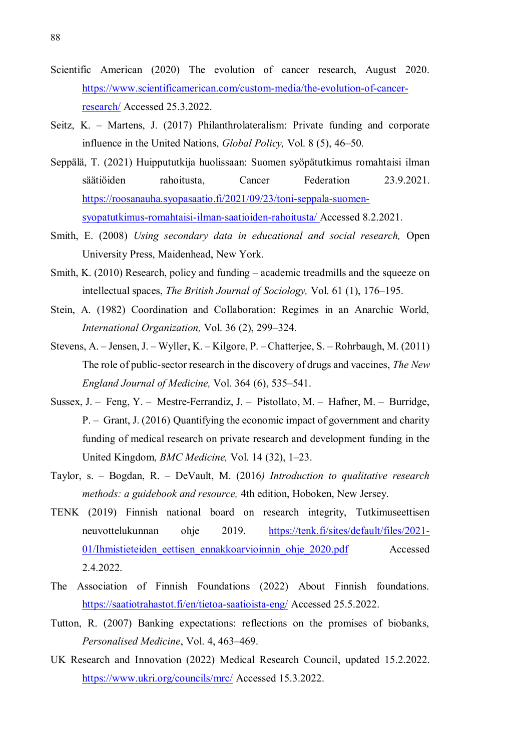- Scientific American (2020) The evolution of cancer research, August 2020. [https://www.scientificamerican.com/custom-media/the-evolution-of-cancer](https://www.scientificamerican.com/custom-media/the-evolution-of-cancer-research/)[research/](https://www.scientificamerican.com/custom-media/the-evolution-of-cancer-research/) Accessed 25.3.2022.
- Seitz, K. Martens, J. (2017) Philanthrolateralism: Private funding and corporate influence in the United Nations, *Global Policy,* Vol. 8 (5), 46–50.
- Seppälä, T. (2021) Huippututkija huolissaan: Suomen syöpätutkimus romahtaisi ilman säätiöiden rahoitusta, Cancer Federation 23.9.2021. [https://roosanauha.syopasaatio.fi/2021/09/23/toni-seppala-suomen](https://roosanauha.syopasaatio.fi/2021/09/23/toni-seppala-suomen-syopatutkimus-romahtaisi-ilman-saatioiden-rahoitusta/)[syopatutkimus-romahtaisi-ilman-saatioiden-rahoitusta/ A](https://roosanauha.syopasaatio.fi/2021/09/23/toni-seppala-suomen-syopatutkimus-romahtaisi-ilman-saatioiden-rahoitusta/)ccessed 8.2.2021.
- Smith, E. (2008) *Using secondary data in educational and social research,* Open University Press, Maidenhead, New York.
- Smith, K. (2010) Research, policy and funding academic treadmills and the squeeze on intellectual spaces, *The British Journal of Sociology,* Vol. 61 (1), 176–195.
- Stein, A. (1982) Coordination and Collaboration: Regimes in an Anarchic World, *International Organization,* Vol. 36 (2), 299–324.
- Stevens, A. Jensen, J. Wyller, K. Kilgore, P. –Chatterjee, S. Rohrbaugh, M. (2011) The role of public-sector research in the discovery of drugs and vaccines, *The New England Journal of Medicine,* Vol. 364 (6), 535–541.
- Sussex, J. Feng, Y. Mestre-Ferrandiz, J. Pistollato, M. Hafner, M. Burridge, P. – Grant, J. (2016) Quantifying the economic impact of government and charity funding of medical research on private research and development funding in the United Kingdom, *BMC Medicine,* Vol. 14 (32), 1–23.
- Taylor, s. Bogdan, R. DeVault, M. (2016*) Introduction to qualitative research methods: a guidebook and resource,* 4th edition, Hoboken, New Jersey.
- TENK (2019) Finnish national board on research integrity, Tutkimuseettisen neuvottelukunnan ohje 2019. [https://tenk.fi/sites/default/files/2021-](https://tenk.fi/sites/default/files/2021-01/Ihmistieteiden_eettisen_ennakkoarvioinnin_ohje_2020.pdf) 01/Ihmistieteiden eettisen ennakkoarvioinnin ohje 2020.pdf Accessed 2.4.2022.
- The Association of Finnish Foundations (2022) About Finnish foundations. <https://saatiotrahastot.fi/en/tietoa-saatioista-eng/> Accessed 25.5.2022.
- Tutton, R. (2007) Banking expectations: reflections on the promises of biobanks, *Personalised Medicine*, Vol. 4, 463–469.
- UK Research and Innovation (2022) Medical Research Council, updated 15.2.2022. <https://www.ukri.org/councils/mrc/> Accessed 15.3.2022.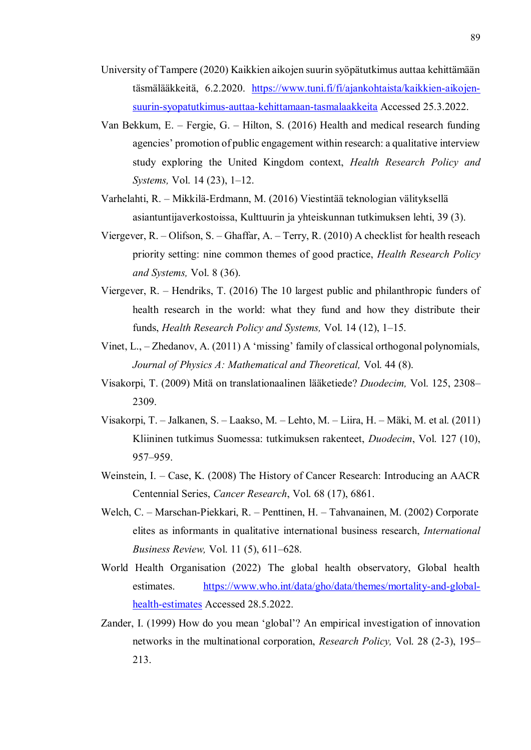- University of Tampere (2020) Kaikkien aikojen suurin syöpätutkimus auttaa kehittämään täsmälääkkeitä, 6.2.2020. [https://www.tuni.fi/fi/ajankohtaista/kaikkien-aikojen](https://www.tuni.fi/fi/ajankohtaista/kaikkien-aikojen-suurin-syopatutkimus-auttaa-kehittamaan-tasmalaakkeita)[suurin-syopatutkimus-auttaa-kehittamaan-tasmalaakkeita](https://www.tuni.fi/fi/ajankohtaista/kaikkien-aikojen-suurin-syopatutkimus-auttaa-kehittamaan-tasmalaakkeita) Accessed 25.3.2022.
- Van Bekkum, E. Fergie, G. Hilton, S. (2016) Health and medical research funding agencies' promotion of public engagement within research: a qualitative interview study exploring the United Kingdom context, *Health Research Policy and Systems,* Vol. 14 (23), 1–12.
- Varhelahti, R. Mikkilä-Erdmann, M. (2016) Viestintää teknologian välityksellä asiantuntijaverkostoissa, Kulttuurin ja yhteiskunnan tutkimuksen lehti, 39 (3).
- Viergever, R. Olifson, S. Ghaffar, A. Terry, R. (2010) A checklist for health reseach priority setting: nine common themes of good practice, *Health Research Policy and Systems,* Vol. 8 (36).
- Viergever, R. Hendriks, T. (2016) The 10 largest public and philanthropic funders of health research in the world: what they fund and how they distribute their funds, *Health Research Policy and Systems,* Vol. 14 (12), 1–15.
- Vinet, L., Zhedanov, A. (2011) A 'missing' family of classical orthogonal polynomials, *Journal of Physics A: Mathematical and Theoretical,* Vol. 44 (8).
- Visakorpi, T. (2009) Mitä on translationaalinen lääketiede? *Duodecim,* Vol. 125, 2308– 2309.
- Visakorpi, T. Jalkanen, S. Laakso, M. Lehto, M. Liira, H. Mäki, M. et al. (2011) Kliininen tutkimus Suomessa: tutkimuksen rakenteet, *Duodecim*, Vol. 127 (10), 957–959.
- Weinstein, I. Case, K. (2008) The History of Cancer Research: Introducing an AACR Centennial Series, *Cancer Research*, Vol. 68 (17), 6861.
- Welch, C. Marschan-Piekkari, R. Penttinen, H. Tahvanainen, M. (2002) Corporate elites as informants in qualitative international business research, *International Business Review,* Vol. 11 (5), 611–628.
- World Health Organisation (2022) The global health observatory, Global health estimates. [https://www.who.int/data/gho/data/themes/mortality-and-global](https://www.who.int/data/gho/data/themes/mortality-and-global-health-estimates)[health-estimates](https://www.who.int/data/gho/data/themes/mortality-and-global-health-estimates) Accessed 28.5.2022.
- Zander, I. (1999) How do you mean 'global'? An empirical investigation of innovation networks in the multinational corporation, *Research Policy,* Vol. 28 (2-3), 195– 213.